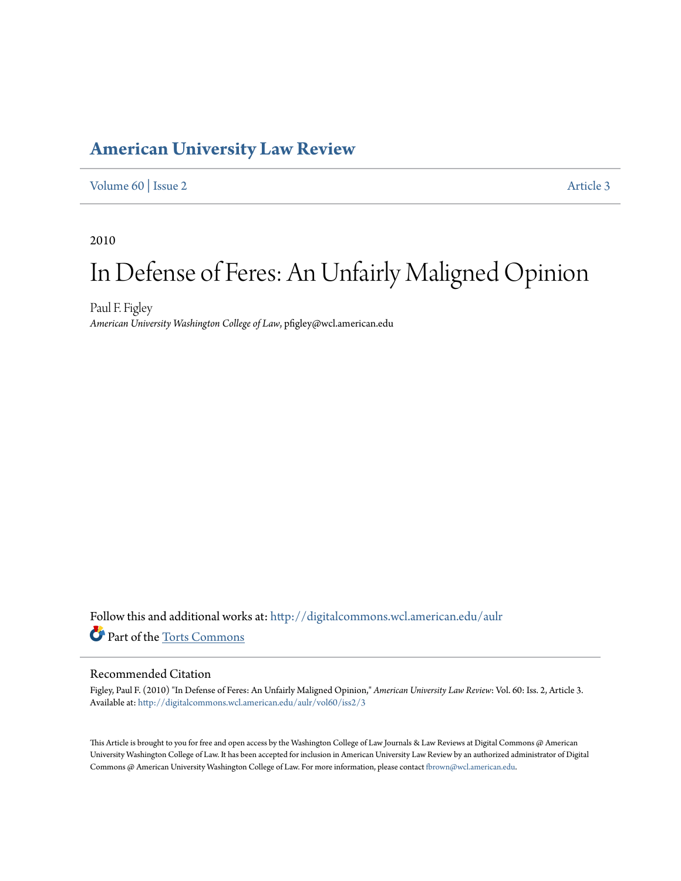# **[American University Law Review](http://digitalcommons.wcl.american.edu/aulr?utm_source=digitalcommons.wcl.american.edu%2Faulr%2Fvol60%2Fiss2%2F3&utm_medium=PDF&utm_campaign=PDFCoverPages)**

### [Volume 60](http://digitalcommons.wcl.american.edu/aulr/vol60?utm_source=digitalcommons.wcl.american.edu%2Faulr%2Fvol60%2Fiss2%2F3&utm_medium=PDF&utm_campaign=PDFCoverPages) | [Issue 2](http://digitalcommons.wcl.american.edu/aulr/vol60/iss2?utm_source=digitalcommons.wcl.american.edu%2Faulr%2Fvol60%2Fiss2%2F3&utm_medium=PDF&utm_campaign=PDFCoverPages) [Article 3](http://digitalcommons.wcl.american.edu/aulr/vol60/iss2/3?utm_source=digitalcommons.wcl.american.edu%2Faulr%2Fvol60%2Fiss2%2F3&utm_medium=PDF&utm_campaign=PDFCoverPages)

2010

# In Defense of Feres: An Unfairly Maligned Opinion

Paul F. Figley *American University Washington College of Law*, pfigley@wcl.american.edu

Follow this and additional works at: [http://digitalcommons.wcl.american.edu/aulr](http://digitalcommons.wcl.american.edu/aulr?utm_source=digitalcommons.wcl.american.edu%2Faulr%2Fvol60%2Fiss2%2F3&utm_medium=PDF&utm_campaign=PDFCoverPages) Part of the [Torts Commons](http://network.bepress.com/hgg/discipline/913?utm_source=digitalcommons.wcl.american.edu%2Faulr%2Fvol60%2Fiss2%2F3&utm_medium=PDF&utm_campaign=PDFCoverPages)

### Recommended Citation

Figley, Paul F. (2010) "In Defense of Feres: An Unfairly Maligned Opinion," *American University Law Review*: Vol. 60: Iss. 2, Article 3. Available at: [http://digitalcommons.wcl.american.edu/aulr/vol60/iss2/3](http://digitalcommons.wcl.american.edu/aulr/vol60/iss2/3?utm_source=digitalcommons.wcl.american.edu%2Faulr%2Fvol60%2Fiss2%2F3&utm_medium=PDF&utm_campaign=PDFCoverPages)

This Article is brought to you for free and open access by the Washington College of Law Journals & Law Reviews at Digital Commons @ American University Washington College of Law. It has been accepted for inclusion in American University Law Review by an authorized administrator of Digital Commons @ American University Washington College of Law. For more information, please contact [fbrown@wcl.american.edu](mailto:fbrown@wcl.american.edu).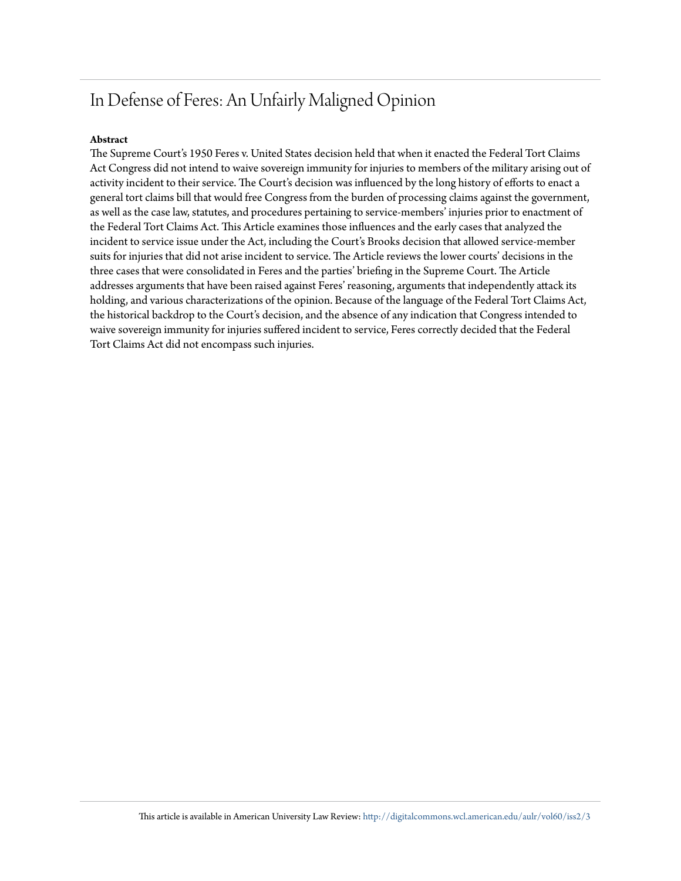# In Defense of Feres: An Unfairly Maligned Opinion

#### **Abstract**

The Supreme Court's 1950 Feres v. United States decision held that when it enacted the Federal Tort Claims Act Congress did not intend to waive sovereign immunity for injuries to members of the military arising out of activity incident to their service. The Court's decision was influenced by the long history of efforts to enact a general tort claims bill that would free Congress from the burden of processing claims against the government, as well as the case law, statutes, and procedures pertaining to service-members' injuries prior to enactment of the Federal Tort Claims Act. This Article examines those influences and the early cases that analyzed the incident to service issue under the Act, including the Court's Brooks decision that allowed service-member suits for injuries that did not arise incident to service. The Article reviews the lower courts' decisions in the three cases that were consolidated in Feres and the parties' briefing in the Supreme Court. The Article addresses arguments that have been raised against Feres' reasoning, arguments that independently attack its holding, and various characterizations of the opinion. Because of the language of the Federal Tort Claims Act, the historical backdrop to the Court's decision, and the absence of any indication that Congress intended to waive sovereign immunity for injuries suffered incident to service, Feres correctly decided that the Federal Tort Claims Act did not encompass such injuries.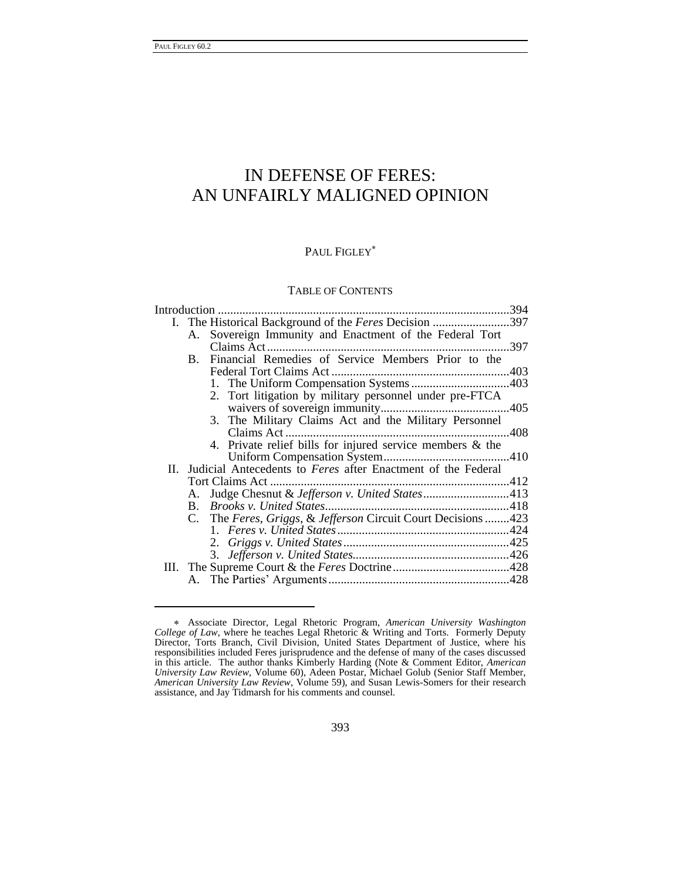-

## IN DEFENSE OF FERES: AN UNFAIRLY MALIGNED OPINION

### PAUL FIGLEY<sup>\*</sup>

### TABLE OF CONTENTS

|  |    | I. The Historical Background of the Feres Decision 397           |     |  |
|--|----|------------------------------------------------------------------|-----|--|
|  |    | A. Sovereign Immunity and Enactment of the Federal Tort          |     |  |
|  |    | Claims Act                                                       | 397 |  |
|  |    | B. Financial Remedies of Service Members Prior to the            |     |  |
|  |    |                                                                  |     |  |
|  |    |                                                                  |     |  |
|  |    | 2. Tort litigation by military personnel under pre-FTCA          |     |  |
|  |    |                                                                  |     |  |
|  |    | 3. The Military Claims Act and the Military Personnel            |     |  |
|  |    |                                                                  |     |  |
|  |    | 4. Private relief bills for injured service members & the        |     |  |
|  |    |                                                                  |     |  |
|  |    | II. Judicial Antecedents to Feres after Enactment of the Federal |     |  |
|  |    |                                                                  |     |  |
|  | A. | Judge Chesnut & Jefferson v. United States413                    |     |  |
|  |    |                                                                  |     |  |
|  |    | C. The Feres, Griggs, & Jefferson Circuit Court Decisions 423    |     |  |
|  |    |                                                                  |     |  |
|  |    |                                                                  |     |  |
|  |    |                                                                  |     |  |
|  |    |                                                                  |     |  |
|  |    |                                                                  |     |  |

Associate Director, Legal Rhetoric Program, *American University Washington College of Law*, where he teaches Legal Rhetoric & Writing and Torts. Formerly Deputy Director, Torts Branch, Civil Division, United States Department of Justice, where his responsibilities included Feres jurisprudence and the defense of many of the cases discussed in this article. The author thanks Kimberly Harding (Note & Comment Editor, *American University Law Review*, Volume 60), Adeen Postar, Michael Golub (Senior Staff Member, *American University Law Review*, Volume 59), and Susan Lewis-Somers for their research assistance, and Jay Tidmarsh for his comments and counsel.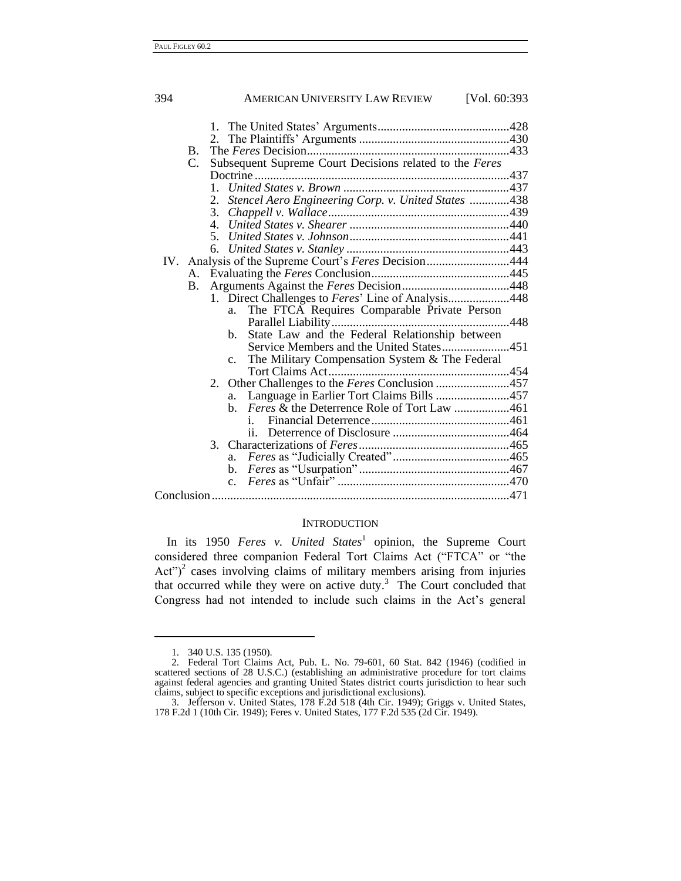| 394 |    | AMERICAN UNIVERSITY LAW REVIEW<br>[Vol. 60:393]                  |  |
|-----|----|------------------------------------------------------------------|--|
|     |    |                                                                  |  |
|     |    |                                                                  |  |
|     | В. |                                                                  |  |
|     | C. | Subsequent Supreme Court Decisions related to the Feres          |  |
|     |    |                                                                  |  |
|     |    |                                                                  |  |
|     |    | 2. Stencel Aero Engineering Corp. v. United States 438           |  |
|     |    | 3.                                                               |  |
|     |    |                                                                  |  |
|     |    |                                                                  |  |
|     |    |                                                                  |  |
|     |    | IV. Analysis of the Supreme Court's Feres Decision444            |  |
|     | A. |                                                                  |  |
|     | В. |                                                                  |  |
|     |    | 1. Direct Challenges to Feres' Line of Analysis448               |  |
|     |    | The FTCA Requires Comparable Private Person<br>a.                |  |
|     |    |                                                                  |  |
|     |    | State Law and the Federal Relationship between<br>b.             |  |
|     |    | Service Members and the United States451                         |  |
|     |    | The Military Compensation System & The Federal<br>$\mathbf{c}$ . |  |
|     |    | Other Challenges to the Feres Conclusion 457<br>2.               |  |
|     |    | Language in Earlier Tort Claims Bills 457<br>a.                  |  |
|     |    | b. Feres & the Deterrence Role of Tort Law 461                   |  |
|     |    | 1.                                                               |  |
|     |    | ii.                                                              |  |
|     |    |                                                                  |  |
|     |    |                                                                  |  |
|     |    |                                                                  |  |
|     |    |                                                                  |  |
|     |    |                                                                  |  |

#### **INTRODUCTION**

In its 1950 *Feres v. United States*<sup>1</sup> opinion, the Supreme Court considered three companion Federal Tort Claims Act ("FTCA" or "the Act")<sup>2</sup> cases involving claims of military members arising from injuries that occurred while they were on active duty. $3$  The Court concluded that Congress had not intended to include such claims in the Act's general

<sup>1.</sup> 340 U.S. 135 (1950).

<sup>2.</sup> Federal Tort Claims Act, Pub. L. No. 79-601, 60 Stat. 842 (1946) (codified in scattered sections of 28 U.S.C.) (establishing an administrative procedure for tort claims against federal agencies and granting United States district courts jurisdiction to hear such claims, subject to specific exceptions and jurisdictional exclusions).

<sup>3.</sup> Jefferson v. United States, 178 F.2d 518 (4th Cir. 1949); Griggs v. United States, 178 F.2d 1 (10th Cir. 1949); Feres v. United States, 177 F.2d 535 (2d Cir. 1949).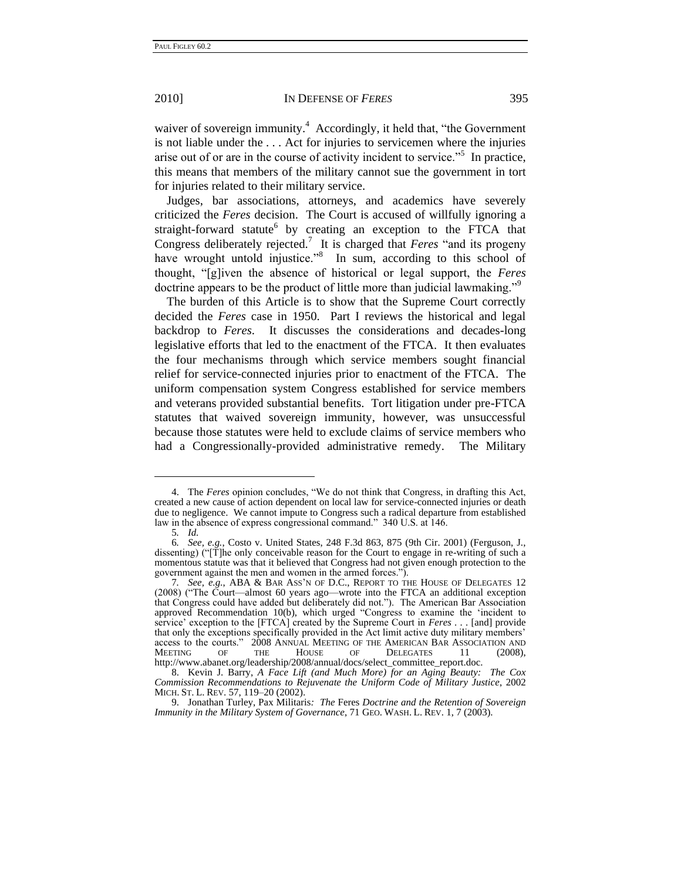waiver of sovereign immunity.<sup>4</sup> Accordingly, it held that, "the Government is not liable under the . . . Act for injuries to servicemen where the injuries arise out of or are in the course of activity incident to service."<sup>5</sup> In practice, this means that members of the military cannot sue the government in tort for injuries related to their military service.

Judges, bar associations, attorneys, and academics have severely criticized the *Feres* decision. The Court is accused of willfully ignoring a straight-forward statute<sup>6</sup> by creating an exception to the FTCA that Congress deliberately rejected.<sup>7</sup> It is charged that *Feres* "and its progeny have wrought untold injustice."<sup>8</sup> In sum, according to this school of thought, ―[g]iven the absence of historical or legal support, the *Feres* doctrine appears to be the product of little more than judicial lawmaking."<sup>9</sup>

The burden of this Article is to show that the Supreme Court correctly decided the *Feres* case in 1950. Part I reviews the historical and legal backdrop to *Feres*. It discusses the considerations and decades-long legislative efforts that led to the enactment of the FTCA. It then evaluates the four mechanisms through which service members sought financial relief for service-connected injuries prior to enactment of the FTCA. The uniform compensation system Congress established for service members and veterans provided substantial benefits. Tort litigation under pre-FTCA statutes that waived sovereign immunity, however, was unsuccessful because those statutes were held to exclude claims of service members who had a Congressionally-provided administrative remedy. The Military

<sup>4.</sup> The *Feres* opinion concludes, "We do not think that Congress, in drafting this Act, created a new cause of action dependent on local law for service-connected injuries or death due to negligence. We cannot impute to Congress such a radical departure from established law in the absence of express congressional command." 340 U.S. at 146.

<sup>5</sup>*. Id.*

<sup>6</sup>*. See, e.g.*, Costo v. United States, 248 F.3d 863, 875 (9th Cir. 2001) (Ferguson, J., dissenting) ("[T]he only conceivable reason for the Court to engage in re-writing of such a momentous statute was that it believed that Congress had not given enough protection to the government against the men and women in the armed forces.").

<sup>7</sup>*. See, e.g.*, ABA & BAR ASS'N OF D.C., REPORT TO THE HOUSE OF DELEGATES 12  $(2008)$  ("The Court—almost 60 years ago—wrote into the FTCA an additional exception that Congress could have added but deliberately did not."). The American Bar Association approved Recommendation 10(b), which urged "Congress to examine the 'incident to service' exception to the [FTCA] created by the Supreme Court in *Feres* . . . [and] provide that only the exceptions specifically provided in the Act limit active duty military members' access to the courts." 2008 ANNUAL MEETING OF THE AMERICAN BAR ASSOCIATION AND MEETING OF THE HOUSE OF DELEGATES 11 (2008), DELEGATES 11 http://www.abanet.org/leadership/2008/annual/docs/select\_committee\_report.doc.

<sup>8.</sup> Kevin J. Barry, *A Face Lift (and Much More) for an Aging Beauty: The Cox Commission Recommendations to Rejuvenate the Uniform Code of Military Justice*, 2002 MICH. ST. L. REV. 57, 119–20 (2002).

<sup>9.</sup> Jonathan Turley, Pax Militaris*: The* Feres *Doctrine and the Retention of Sovereign Immunity in the Military System of Governance*, 71 GEO. WASH. L. REV. 1, 7 (2003).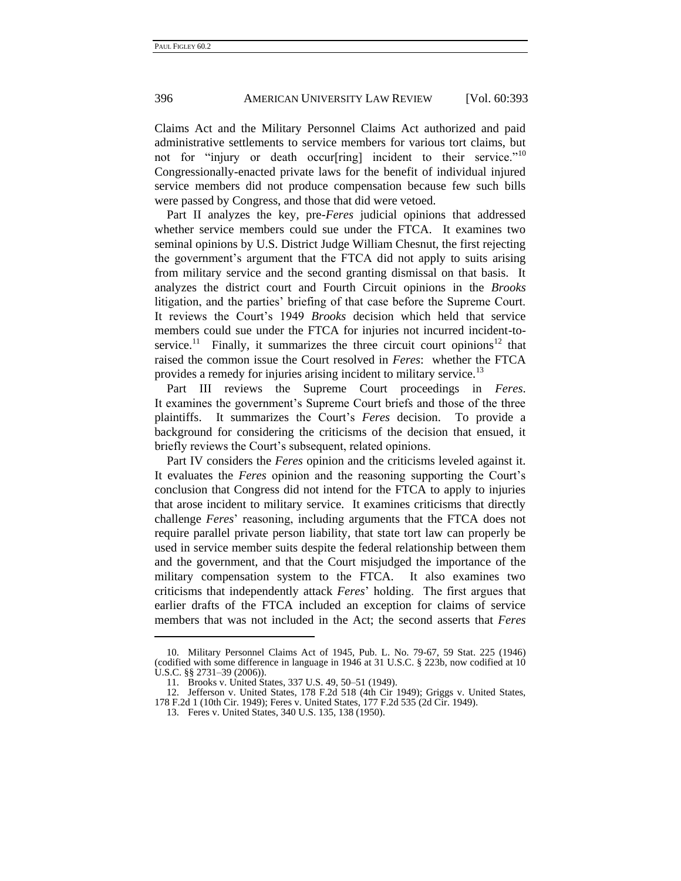Claims Act and the Military Personnel Claims Act authorized and paid administrative settlements to service members for various tort claims, but not for "injury or death occur[ring] incident to their service."<sup>10</sup> Congressionally-enacted private laws for the benefit of individual injured service members did not produce compensation because few such bills were passed by Congress, and those that did were vetoed.

Part II analyzes the key, pre-*Feres* judicial opinions that addressed whether service members could sue under the FTCA. It examines two seminal opinions by U.S. District Judge William Chesnut, the first rejecting the government's argument that the FTCA did not apply to suits arising from military service and the second granting dismissal on that basis. It analyzes the district court and Fourth Circuit opinions in the *Brooks*  litigation, and the parties' briefing of that case before the Supreme Court. It reviews the Court's 1949 *Brooks* decision which held that service members could sue under the FTCA for injuries not incurred incident-toservice.<sup>11</sup> Finally, it summarizes the three circuit court opinions<sup>12</sup> that raised the common issue the Court resolved in *Feres*: whether the FTCA provides a remedy for injuries arising incident to military service.<sup>13</sup>

Part III reviews the Supreme Court proceedings in *Feres*. It examines the government's Supreme Court briefs and those of the three plaintiffs. It summarizes the Court's *Feres* decision. To provide a background for considering the criticisms of the decision that ensued, it briefly reviews the Court's subsequent, related opinions.

Part IV considers the *Feres* opinion and the criticisms leveled against it. It evaluates the *Feres* opinion and the reasoning supporting the Court's conclusion that Congress did not intend for the FTCA to apply to injuries that arose incident to military service. It examines criticisms that directly challenge *Feres*' reasoning, including arguments that the FTCA does not require parallel private person liability, that state tort law can properly be used in service member suits despite the federal relationship between them and the government, and that the Court misjudged the importance of the military compensation system to the FTCA. It also examines two criticisms that independently attack *Feres*' holding. The first argues that earlier drafts of the FTCA included an exception for claims of service members that was not included in the Act; the second asserts that *Feres*

<sup>10.</sup> Military Personnel Claims Act of 1945, Pub. L. No. 79-67, 59 Stat. 225 (1946) (codified with some difference in language in 1946 at 31 U.S.C. § 223b, now codified at 10 U.S.C. §§ 2731–39 (2006)).

<sup>11.</sup> Brooks v. United States, 337 U.S. 49, 50–51 (1949).

<sup>12.</sup> Jefferson v. United States, 178 F.2d 518 (4th Cir 1949); Griggs v. United States, 178 F.2d 1 (10th Cir. 1949); Feres v. United States, 177 F.2d 535 (2d Cir. 1949).

<sup>13.</sup> Feres v. United States, 340 U.S. 135, 138 (1950).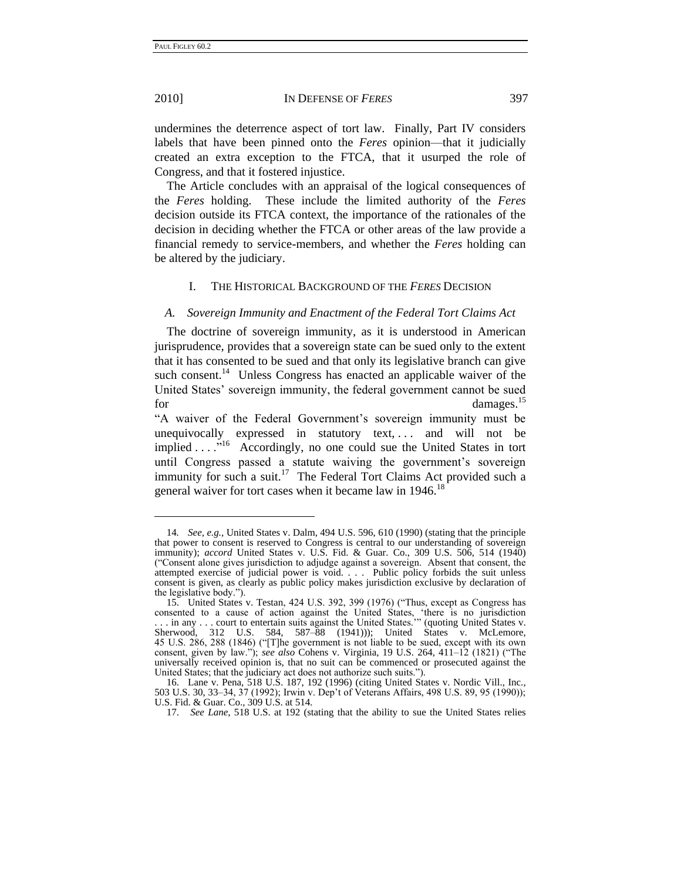<span id="page-6-0"></span>-

#### 2010] IN DEFENSE OF *FERES* 397

undermines the deterrence aspect of tort law. Finally, Part IV considers labels that have been pinned onto the *Feres* opinion—that it judicially created an extra exception to the FTCA, that it usurped the role of Congress, and that it fostered injustice.

The Article concludes with an appraisal of the logical consequences of the *Feres* holding. These include the limited authority of the *Feres* decision outside its FTCA context, the importance of the rationales of the decision in deciding whether the FTCA or other areas of the law provide a financial remedy to service-members, and whether the *Feres* holding can be altered by the judiciary.

#### I. THE HISTORICAL BACKGROUND OF THE *FERES* DECISION

#### *A. Sovereign Immunity and Enactment of the Federal Tort Claims Act*

The doctrine of sovereign immunity, as it is understood in American jurisprudence, provides that a sovereign state can be sued only to the extent that it has consented to be sued and that only its legislative branch can give such consent.<sup>14</sup> Unless Congress has enacted an applicable waiver of the United States' sovereign immunity, the federal government cannot be sued for damages.<sup>15</sup>

―A waiver of the Federal Government's sovereign immunity must be unequivocally expressed in statutory text, ... and will not be implied . . . .<sup>"16</sup> Accordingly, no one could sue the United States in tort until Congress passed a statute waiving the government's sovereign immunity for such a suit.<sup>17</sup> The Federal Tort Claims Act provided such a general waiver for tort cases when it became law in  $1946$ <sup>18</sup>

<sup>14</sup>*. See, e.g.*, United States v. Dalm, 494 U.S. 596, 610 (1990) (stating that the principle that power to consent is reserved to Congress is central to our understanding of sovereign immunity); *accord* United States v. U.S. Fid. & Guar. Co., 309 U.S. 506, 514 (1940) (―Consent alone gives jurisdiction to adjudge against a sovereign. Absent that consent, the attempted exercise of judicial power is void. . . . Public policy forbids the suit unless consent is given, as clearly as public policy makes jurisdiction exclusive by declaration of the legislative body.").

<sup>15.</sup> United States v. Testan, 424 U.S. 392, 399 (1976) ("Thus, except as Congress has consented to a cause of action against the United States, ‗there is no jurisdiction ... in any ... court to entertain suits against the United States."" (quoting United States v. Sherwood, 312 U.S. 584, 587–88 (1941))); United States v. McLemore, 45 U.S. 286, 288 (1846) ("The government is not liable to be sued, except with its own consent, given by law."); *see also* Cohens v. Virginia, 19 U.S. 264, 411–12 (1821) ("The universally received opinion is, that no suit can be commenced or prosecuted against the United States; that the judiciary act does not authorize such suits.").

<sup>16.</sup> Lane v. Pena, 518 U.S. 187, 192 (1996) (citing United States v. Nordic Vill., Inc., 503 U.S. 30, 33–34, 37 (1992); Irwin v. Dep't of Veterans Affairs, 498 U.S. 89, 95 (1990)); U.S. Fid. & Guar. Co., 309 U.S. at 514.

<sup>17.</sup> *See Lane*, 518 U.S. at 192 (stating that the ability to sue the United States relies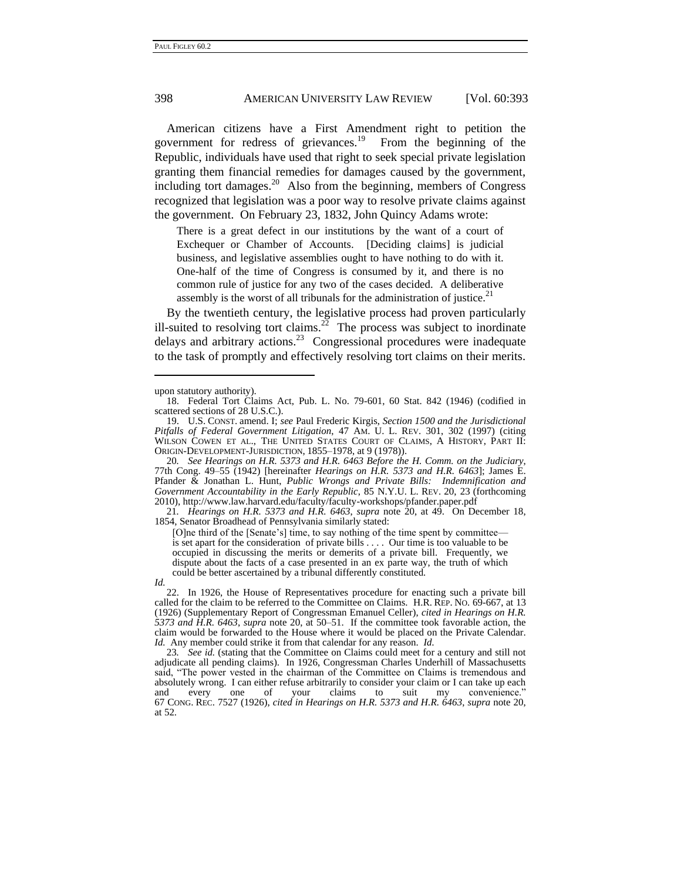American citizens have a First Amendment right to petition the government for redress of grievances.<sup>19</sup> From the beginning of the Republic, individuals have used that right to seek special private legislation granting them financial remedies for damages caused by the government, including tort damages. $20$  Also from the beginning, members of Congress recognized that legislation was a poor way to resolve private claims against the government. On February 23, 1832, John Quincy Adams wrote:

<span id="page-7-1"></span><span id="page-7-0"></span>There is a great defect in our institutions by the want of a court of Exchequer or Chamber of Accounts. [Deciding claims] is judicial business, and legislative assemblies ought to have nothing to do with it. One-half of the time of Congress is consumed by it, and there is no common rule of justice for any two of the cases decided. A deliberative assembly is the worst of all tribunals for the administration of justice.<sup>21</sup>

By the twentieth century, the legislative process had proven particularly ill-suited to resolving tort claims.<sup>22</sup> The process was subject to inordinate delays and arbitrary actions.<sup>23</sup> Congressional procedures were inadequate to the task of promptly and effectively resolving tort claims on their merits.

20*. See Hearings on H.R. 5373 and H.R. 6463 Before the H. Comm. on the Judiciary*, 77th Cong. 49–55 (1942) [hereinafter *Hearings on H.R. 5373 and H.R. 6463*]; James E. Pfander & Jonathan L. Hunt, *Public Wrongs and Private Bills: Indemnification and Government Accountability in the Early Republic*, 85 N.Y.U. L. REV. 20, 23 (forthcoming 2010), http://www.law.harvard.edu/faculty/faculty-workshops/pfander.paper.pdf

21*. Hearings on H.R. 5373 and H.R. 6463*, *supra* note [20,](#page-7-0) at 49. On December 18, 1854, Senator Broadhead of Pennsylvania similarly stated:

[O]ne third of the [Senate's] time, to say nothing of the time spent by committee is set apart for the consideration of private bills . . . . Our time is too valuable to be occupied in discussing the merits or demerits of a private bill. Frequently, we dispute about the facts of a case presented in an ex parte way, the truth of which could be better ascertained by a tribunal differently constituted.

-

23*. See id.* (stating that the Committee on Claims could meet for a century and still not adjudicate all pending claims). In 1926, Congressman Charles Underhill of Massachusetts said, "The power vested in the chairman of the Committee on Claims is tremendous and absolutely wrong. I can either refuse arbitrarily to consider your claim or I can take up each and every one of your claims to suit my convenience." and every one of your claims to suit my convenience." 67 CONG. REC. 7527 (1926), *cited in Hearings on H.R. 5373 and H.R. 6463*, *supra* note [20,](#page-7-0) at 52.

upon statutory authority).

<sup>18.</sup> Federal Tort Claims Act, Pub. L. No. 79-601, 60 Stat. 842 (1946) (codified in scattered sections of 28 U.S.C.).

<sup>19.</sup> U.S. CONST. amend. I; *see* Paul Frederic Kirgis, *Section 1500 and the Jurisdictional Pitfalls of Federal Government Litigation*, 47 AM. U. L. REV. 301, 302 (1997) (citing WILSON COWEN ET AL., THE UNITED STATES COURT OF CLAIMS, A HISTORY, PART II: ORIGIN-DEVELOPMENT-JURISDICTION, 1855–1978, at 9 (1978)).

*Id.*

<sup>22.</sup> In 1926, the House of Representatives procedure for enacting such a private bill called for the claim to be referred to the Committee on Claims. H.R. REP. NO. 69-667, at 13 (1926) (Supplementary Report of Congressman Emanuel Celler), *cited in Hearings on H.R. 5373 and H.R. 6463*, *supra* note [20,](#page-7-0) at 50–51. If the committee took favorable action, the claim would be forwarded to the House where it would be placed on the Private Calendar. *Id.* Any member could strike it from that calendar for any reason. *Id.*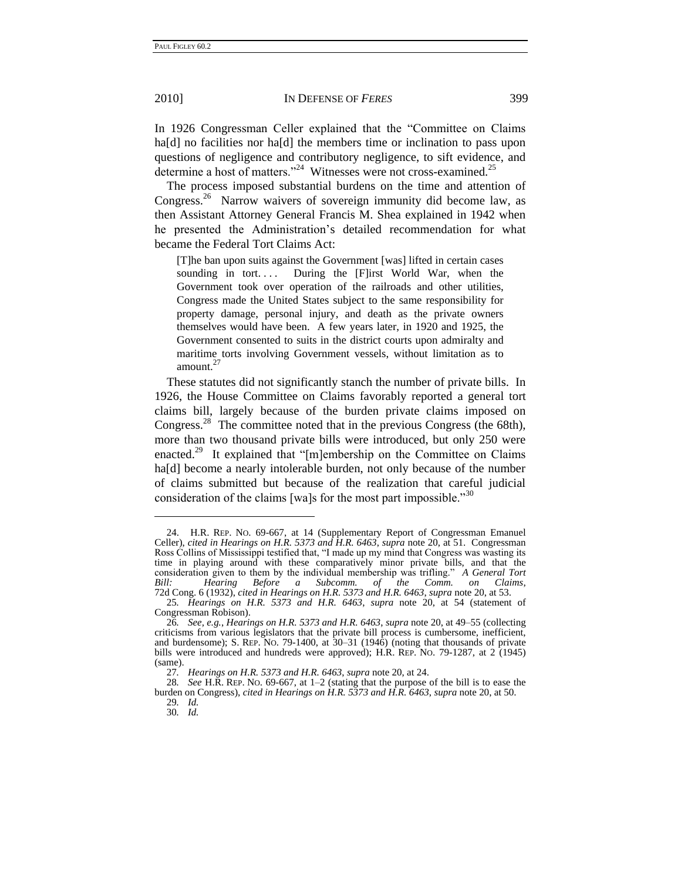In 1926 Congressman Celler explained that the "Committee on Claims" ha<sup>[d]</sup> no facilities nor ha<sup>[d]</sup> the members time or inclination to pass upon questions of negligence and contributory negligence, to sift evidence, and determine a host of matters."<sup>24</sup> Witnesses were not cross-examined.<sup>25</sup>

The process imposed substantial burdens on the time and attention of Congress.<sup>26</sup> Narrow waivers of sovereign immunity did become law, as then Assistant Attorney General Francis M. Shea explained in 1942 when he presented the Administration's detailed recommendation for what became the Federal Tort Claims Act:

[T]he ban upon suits against the Government [was] lifted in certain cases sounding in tort.... During the  $[F]$  irst World War, when the Government took over operation of the railroads and other utilities, Congress made the United States subject to the same responsibility for property damage, personal injury, and death as the private owners themselves would have been. A few years later, in 1920 and 1925, the Government consented to suits in the district courts upon admiralty and maritime torts involving Government vessels, without limitation as to amount. $^{2}$ 

<span id="page-8-0"></span>These statutes did not significantly stanch the number of private bills. In 1926, the House Committee on Claims favorably reported a general tort claims bill, largely because of the burden private claims imposed on Congress.<sup>28</sup> The committee noted that in the previous Congress (the 68th), more than two thousand private bills were introduced, but only 250 were enacted.<sup>29</sup> It explained that "[m]embership on the Committee on Claims ha[d] become a nearly intolerable burden, not only because of the number of claims submitted but because of the realization that careful judicial consideration of the claims [wa]s for the most part impossible.<sup>30</sup>

<sup>24.</sup> H.R. REP. NO. 69-667, at 14 (Supplementary Report of Congressman Emanuel Celler), *cited in Hearings on H.R. 5373 and H.R. 6463*, *supra* not[e 20,](#page-7-0) at 51. Congressman Ross Collins of Mississippi testified that, "I made up my mind that Congress was wasting its time in playing around with these comparatively minor private bills, and that the consideration given to them by the individual membership was trifling." *A General Tort Bill: Hearing Before a Subcomm. of the Comm. on Claims, Bill: Hearing Before a Subcomm. of the Comm. on Claims*, 72d Cong. 6 (1932), *cited in Hearings on H.R. 5373 and H.R. 6463*, *supra* not[e 20,](#page-7-0) at 53.

<sup>25</sup>*. Hearings on H.R. 5373 and H.R. 6463*, *supra* note [20,](#page-7-0) at 54 (statement of Congressman Robison).

<sup>26</sup>*. See, e.g.*, *Hearings on H.R. 5373 and H.R. 6463*, *supra* not[e 20,](#page-7-0) at 49–55 (collecting criticisms from various legislators that the private bill process is cumbersome, inefficient, and burdensome); S. REP. NO. 79-1400, at 30–31 (1946) (noting that thousands of private bills were introduced and hundreds were approved); H.R. REP. NO. 79-1287, at 2 (1945) (same).

<sup>27</sup>*. Hearings on H.R. 5373 and H.R. 6463*, *supra* not[e 20,](#page-7-0) at 24.

<sup>28</sup>*. See* H.R. REP. NO. 69-667, at 1–2 (stating that the purpose of the bill is to ease the burden on Congress), *cited in Hearings on H.R. 5373 and H.R. 6463*, *supra* note [20,](#page-7-0) at 50. 29*. Id.*

<sup>30</sup>*. Id.*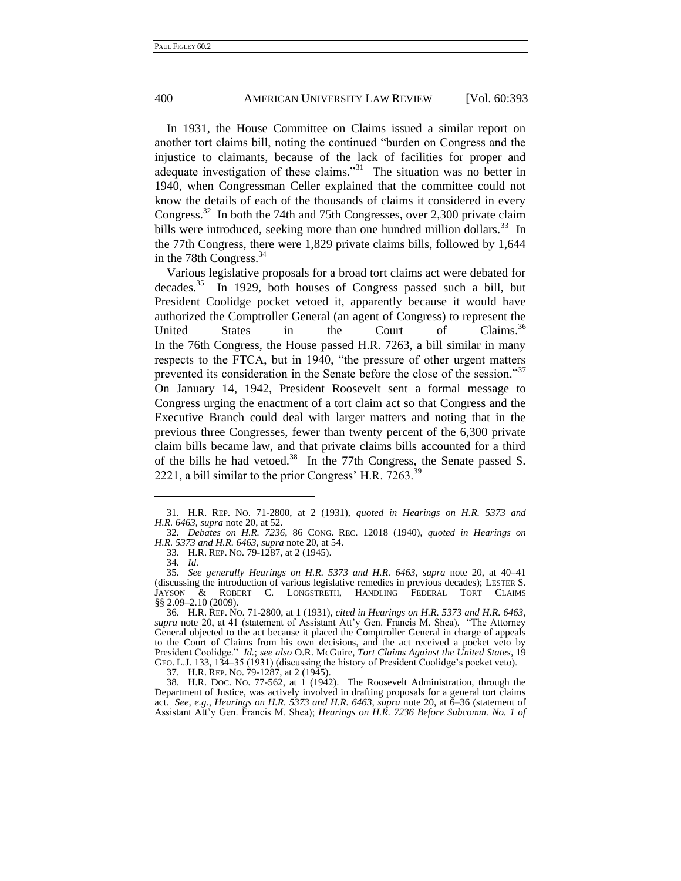In 1931, the House Committee on Claims issued a similar report on another tort claims bill, noting the continued "burden on Congress and the injustice to claimants, because of the lack of facilities for proper and adequate investigation of these claims."<sup>31</sup> The situation was no better in 1940, when Congressman Celler explained that the committee could not know the details of each of the thousands of claims it considered in every Congress.<sup>32</sup> In both the 74th and 75th Congresses, over 2,300 private claim bills were introduced, seeking more than one hundred million dollars.<sup>33</sup> In the 77th Congress, there were 1,829 private claims bills, followed by 1,644 in the 78th Congress.<sup>34</sup>

<span id="page-9-0"></span>Various legislative proposals for a broad tort claims act were debated for decades.<sup>35</sup> In 1929, both houses of Congress passed such a bill, but President Coolidge pocket vetoed it, apparently because it would have authorized the Comptroller General (an agent of Congress) to represent the United States in the Court of Claims.<sup>36</sup> In the 76th Congress, the House passed H.R. 7263, a bill similar in many respects to the FTCA, but in 1940, "the pressure of other urgent matters prevented its consideration in the Senate before the close of the session."37 On January 14, 1942, President Roosevelt sent a formal message to Congress urging the enactment of a tort claim act so that Congress and the Executive Branch could deal with larger matters and noting that in the previous three Congresses, fewer than twenty percent of the 6,300 private claim bills became law, and that private claims bills accounted for a third of the bills he had vetoed.<sup>38</sup> In the 77th Congress, the Senate passed S. 2221, a bill similar to the prior Congress' H.R.  $7263.^{39}$ 

-

37. H.R. REP. NO. 79-1287, at 2 (1945).

38. H.R. DOC. NO. 77-562, at 1 (1942). The Roosevelt Administration, through the Department of Justice, was actively involved in drafting proposals for a general tort claims act. *See, e.g.*, *Hearings on H.R. 5373 and H.R. 6463*, *supra* note [20,](#page-7-0) at 6–36 (statement of Assistant Att'y Gen. Francis M. Shea); *Hearings on H.R. 7236 Before Subcomm. No. 1 of* 

<sup>31.</sup> H.R. REP. NO. 71-2800, at 2 (1931), *quoted in Hearings on H.R. 5373 and H.R. 6463*, *supra* not[e 20,](#page-7-0) at 52.

<sup>32</sup>*. Debates on H.R. 7236*, 86 CONG. REC. 12018 (1940), *quoted in Hearings on H.R. 5373 and H.R. 6463*, *supra* not[e 20,](#page-7-0) at 54.

<sup>33.</sup> H.R. REP. NO. 79-1287, at 2 (1945).

<sup>34</sup>*. Id.*

<sup>35</sup>*. See generally Hearings on H.R. 5373 and H.R. 6463*, *supra* note [20,](#page-7-0) at 40–41 (discussing the introduction of various legislative remedies in previous decades); LESTER S.<br>JAYSON & ROBERT C. LONGSTRETH, HANDLING FEDERAL TORT CLAIMS & ROBERT C. LONGSTRETH, HANDLING FEDERAL TORT CLAIMS §§ 2.09-2.10 (2009).

<sup>36.</sup> H.R. REP. NO. 71-2800, at 1 (1931), *cited in Hearings on H.R. 5373 and H.R. 6463*, *supra* note [20,](#page-7-0) at 41 (statement of Assistant Att'y Gen. Francis M. Shea). "The Attorney General objected to the act because it placed the Comptroller General in charge of appeals to the Court of Claims from his own decisions, and the act received a pocket veto by President Coolidge.‖ *Id.*; *see also* O.R. McGuire, *Tort Claims Against the United States*, 19 GEO. L.J. 133, 134–35 (1931) (discussing the history of President Coolidge's pocket veto).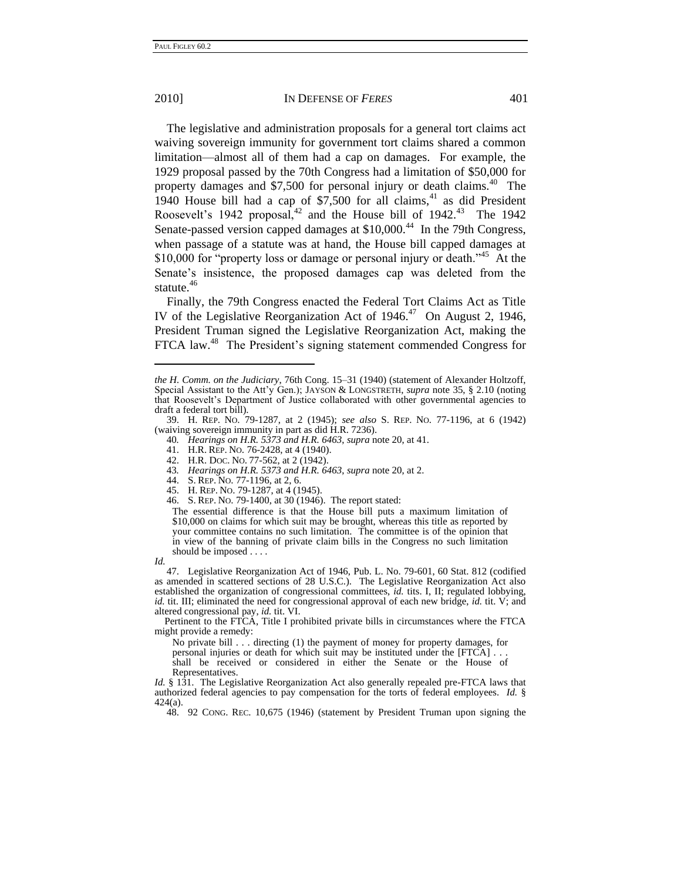The legislative and administration proposals for a general tort claims act waiving sovereign immunity for government tort claims shared a common limitation—almost all of them had a cap on damages. For example, the 1929 proposal passed by the 70th Congress had a limitation of \$50,000 for property damages and \$7,500 for personal injury or death claims.<sup>40</sup> The 1940 House bill had a cap of  $$7,500$  for all claims,<sup>41</sup> as did President Roosevelt's 1942 proposal,<sup>42</sup> and the House bill of 1942.<sup>43</sup> The 1942 Senate-passed version capped damages at \$10,000.<sup>44</sup> In the 79th Congress, when passage of a statute was at hand, the House bill capped damages at \$10,000 for "property loss or damage or personal injury or death."<sup>45</sup> At the Senate's insistence, the proposed damages cap was deleted from the statute. $46$ 

Finally, the 79th Congress enacted the Federal Tort Claims Act as Title IV of the Legislative Reorganization Act of  $1946<sup>47</sup>$  On August 2, 1946, President Truman signed the Legislative Reorganization Act, making the FTCA law.<sup>48</sup> The President's signing statement commended Congress for

- 42. H.R. DOC. NO. 77-562, at 2 (1942).
- 43*. Hearings on H.R. 5373 and H.R. 6463*, *supra* not[e 20,](#page-7-0) at 2.
- 44. S. REP. NO. 77-1196, at 2, 6.
- 45. H. REP. NO. 79-1287, at 4 (1945).
- 46. S. REP. NO. 79-1400, at 30 (1946). The report stated:

The essential difference is that the House bill puts a maximum limitation of \$10,000 on claims for which suit may be brought, whereas this title as reported by your committee contains no such limitation. The committee is of the opinion that in view of the banning of private claim bills in the Congress no such limitation should be imposed . . . .

*Id.*

-

47. Legislative Reorganization Act of 1946, Pub. L. No. 79-601, 60 Stat. 812 (codified as amended in scattered sections of 28 U.S.C.). The Legislative Reorganization Act also established the organization of congressional committees, *id.* tits. I, II; regulated lobbying, *id.* tit. III; eliminated the need for congressional approval of each new bridge, *id.* tit. V; and altered congressional pay, *id.* tit. VI.

Pertinent to the FTCA, Title I prohibited private bills in circumstances where the FTCA might provide a remedy:

No private bill . . . directing (1) the payment of money for property damages, for

personal injuries or death for which suit may be instituted under the [FTCA] . . .

shall be received or considered in either the Senate or the House of Representatives.

*Id.* § 131. The Legislative Reorganization Act also generally repealed pre-FTCA laws that authorized federal agencies to pay compensation for the torts of federal employees. *Id.* § 424(a).

48. 92 CONG. REC. 10,675 (1946) (statement by President Truman upon signing the

*the H. Comm. on the Judiciary*, 76th Cong. 15–31 (1940) (statement of Alexander Holtzoff, Special Assistant to the Att'y Gen.); JAYSON & LONGSTRETH, *supra* note [35,](#page-9-0) § 2.10 (noting that Roosevelt's Department of Justice collaborated with other governmental agencies to draft a federal tort bill).

<sup>39.</sup> H. REP. NO. 79-1287, at 2 (1945); *see also* S. REP. NO. 77-1196, at 6 (1942) (waiving sovereign immunity in part as did H.R. 7236).

<sup>40</sup>*. Hearings on H.R. 5373 and H.R. 6463*, *supra* not[e 20,](#page-7-0) at 41.

<sup>41.</sup> H.R. REP. NO. 76-2428, at 4 (1940).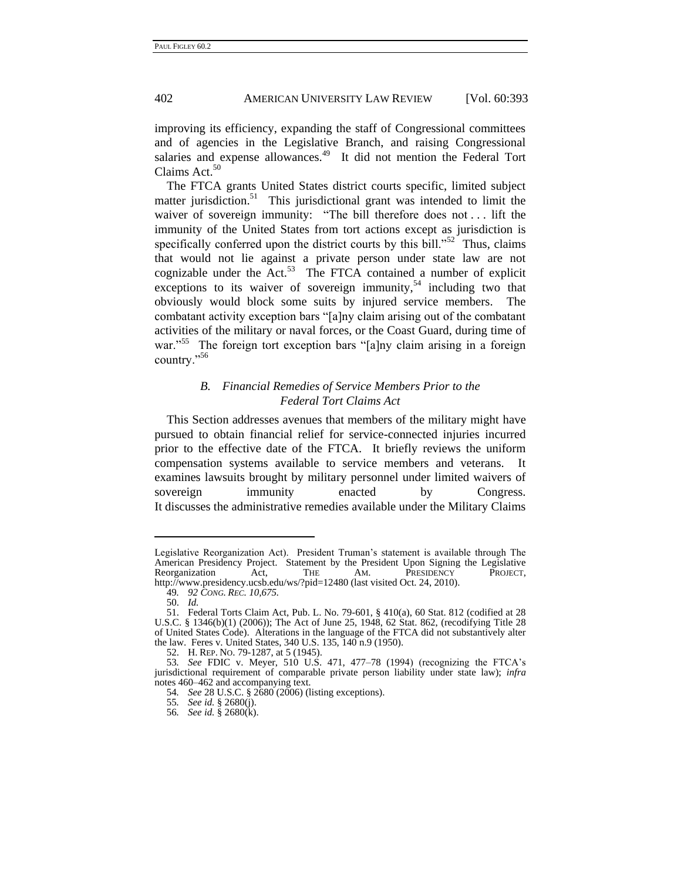improving its efficiency, expanding the staff of Congressional committees and of agencies in the Legislative Branch, and raising Congressional salaries and expense allowances.<sup>49</sup> It did not mention the Federal Tort Claims Act.<sup>50</sup>

The FTCA grants United States district courts specific, limited subject matter jurisdiction.<sup>51</sup> This jurisdictional grant was intended to limit the waiver of sovereign immunity: "The bill therefore does not . . . lift the immunity of the United States from tort actions except as jurisdiction is specifically conferred upon the district courts by this bill." $52$  Thus, claims that would not lie against a private person under state law are not cognizable under the  $Act.^{53}$  The FTCA contained a number of explicit exceptions to its waiver of sovereign immunity,  $54$  including two that obviously would block some suits by injured service members. The combatant activity exception bars "[a]ny claim arising out of the combatant activities of the military or naval forces, or the Coast Guard, during time of war."<sup>55</sup> The foreign tort exception bars "[a]ny claim arising in a foreign country."<sup>56</sup>

#### *B. Financial Remedies of Service Members Prior to the Federal Tort Claims Act*

This Section addresses avenues that members of the military might have pursued to obtain financial relief for service-connected injuries incurred prior to the effective date of the FTCA. It briefly reviews the uniform compensation systems available to service members and veterans. It examines lawsuits brought by military personnel under limited waivers of sovereign immunity enacted by Congress. It discusses the administrative remedies available under the Military Claims

Legislative Reorganization Act). President Truman's statement is available through The American Presidency Project. Statement by the President Upon Signing the Legislative Reorganization Act, THE AM. PRESIDENCY PROJECT, http://www.presidency.ucsb.edu/ws/?pid=12480 (last visited Oct. 24, 2010).

<sup>49</sup>*. 92 CONG. REC. 10,675.*

<sup>50.</sup> *Id.*

<sup>51.</sup> Federal Torts Claim Act, Pub. L. No. 79-601, § 410(a), 60 Stat. 812 (codified at 28 U.S.C. § 1346(b)(1) (2006)); The Act of June 25, 1948, 62 Stat. 862, (recodifying Title 28 of United States Code). Alterations in the language of the FTCA did not substantively alter the law. Feres v. United States, 340 U.S. 135, 140 n.9 (1950).

<sup>52.</sup> H. REP. NO. 79-1287, at 5 (1945).

<sup>53</sup>*. See* FDIC v. Meyer, 510 U.S. 471, 477–78 (1994) (recognizing the FTCA's jurisdictional requirement of comparable private person liability under state law); *infra* note[s 460](#page-57-0)[–462](#page-57-1) and accompanying text.

<sup>54</sup>*. See* 28 U.S.C. § 2680 (2006) (listing exceptions).

<sup>55</sup>*. See id.* § 2680(j).

<sup>56</sup>*. See id.* § 2680(k).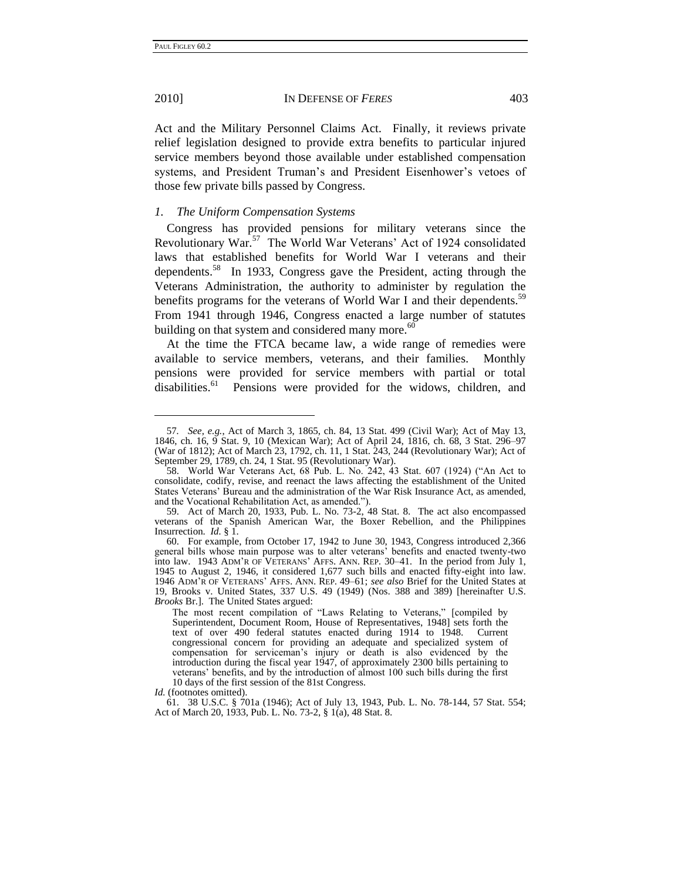-

#### 2010] IN DEFENSE OF *FERES* 403

Act and the Military Personnel Claims Act. Finally, it reviews private relief legislation designed to provide extra benefits to particular injured service members beyond those available under established compensation systems, and President Truman's and President Eisenhower's vetoes of those few private bills passed by Congress.

#### *1. The Uniform Compensation Systems*

Congress has provided pensions for military veterans since the Revolutionary War.<sup>57</sup> The World War Veterans' Act of 1924 consolidated laws that established benefits for World War I veterans and their dependents. 58 In 1933, Congress gave the President, acting through the Veterans Administration, the authority to administer by regulation the benefits programs for the veterans of World War I and their dependents.<sup>59</sup> From 1941 through 1946, Congress enacted a large number of statutes building on that system and considered many more. $60$ 

<span id="page-12-0"></span>At the time the FTCA became law, a wide range of remedies were available to service members, veterans, and their families. Monthly pensions were provided for service members with partial or total disabilities.<sup>61</sup> Pensions were provided for the widows, children, and

<sup>57</sup>*. See, e.g.*, Act of March 3, 1865, ch. 84, 13 Stat. 499 (Civil War); Act of May 13, 1846, ch. 16, 9 Stat. 9, 10 (Mexican War); Act of April 24, 1816, ch. 68, 3 Stat. 296–97 (War of 1812); Act of March 23, 1792, ch. 11, 1 Stat. 243, 244 (Revolutionary War); Act of September 29, 1789, ch. 24, 1 Stat. 95 (Revolutionary War).

<sup>58.</sup> World War Veterans Act, 68 Pub. L. No. 242, 43 Stat. 607 (1924) ("An Act to consolidate, codify, revise, and reenact the laws affecting the establishment of the United States Veterans' Bureau and the administration of the War Risk Insurance Act, as amended, and the Vocational Rehabilitation Act, as amended.").

<sup>59.</sup> Act of March 20, 1933, Pub. L. No. 73-2, 48 Stat. 8. The act also encompassed veterans of the Spanish American War, the Boxer Rebellion, and the Philippines Insurrection. *Id.* § 1.

<sup>60.</sup> For example, from October 17, 1942 to June 30, 1943, Congress introduced 2,366 general bills whose main purpose was to alter veterans' benefits and enacted twenty-two into law. 1943 ADM'R OF VETERANS' AFFS. ANN. REP. 30–41. In the period from July 1, 1945 to August 2, 1946, it considered 1,677 such bills and enacted fifty-eight into law. 1946 ADM'R OF VETERANS' AFFS. ANN. REP. 49–61; *see also* Brief for the United States at 19, Brooks v. United States, 337 U.S. 49 (1949) (Nos. 388 and 389) [hereinafter U.S. *Brooks* Br.]. The United States argued:

The most recent compilation of "Laws Relating to Veterans," [compiled by Superintendent, Document Room, House of Representatives, 1948] sets forth the text of over 490 federal statutes enacted during 1914 to 1948. Current congressional concern for providing an adequate and specialized system of compensation for serviceman's injury or death is also evidenced by the introduction during the fiscal year 1947, of approximately 2300 bills pertaining to veterans' benefits, and by the introduction of almost 100 such bills during the first 10 days of the first session of the 81st Congress.

*Id.* (footnotes omitted).

<sup>61.</sup> 38 U.S.C. § 701a (1946); Act of July 13, 1943, Pub. L. No. 78-144, 57 Stat. 554; Act of March 20, 1933, Pub. L. No. 73-2, § 1(a), 48 Stat. 8.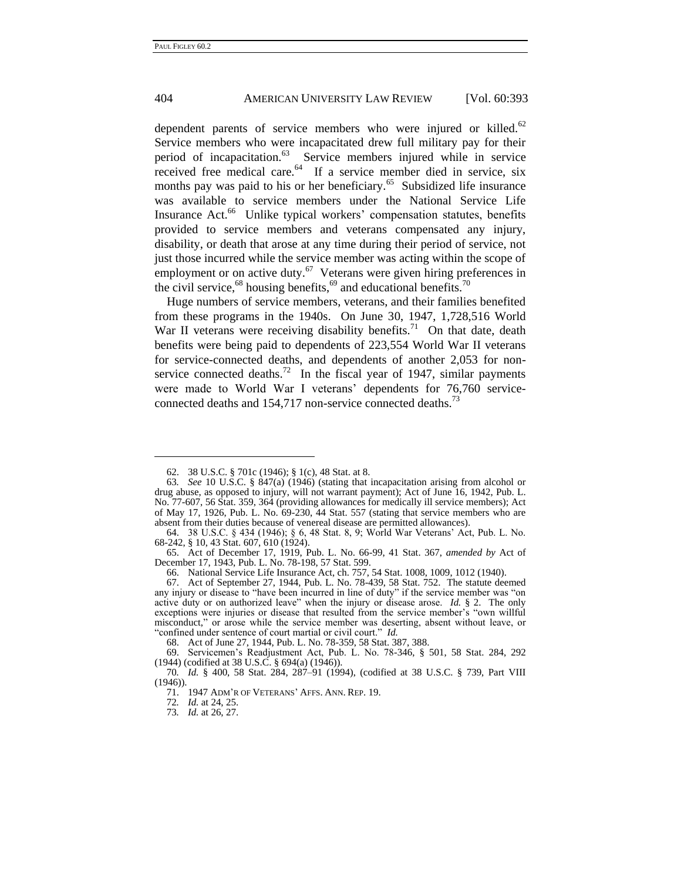dependent parents of service members who were injured or killed.<sup>62</sup> Service members who were incapacitated drew full military pay for their period of incapacitation.<sup>63</sup> Service members injured while in service received free medical care.<sup>64</sup> If a service member died in service, six months pay was paid to his or her beneficiary.<sup>65</sup> Subsidized life insurance was available to service members under the National Service Life Insurance Act.<sup>66</sup> Unlike typical workers' compensation statutes, benefits provided to service members and veterans compensated any injury, disability, or death that arose at any time during their period of service, not just those incurred while the service member was acting within the scope of employment or on active duty.<sup>67</sup> Veterans were given hiring preferences in the civil service,  $^{68}$  housing benefits,  $^{69}$  and educational benefits.  $^{70}$ 

Huge numbers of service members, veterans, and their families benefited from these programs in the 1940s. On June 30, 1947, 1,728,516 World War II veterans were receiving disability benefits.<sup>71</sup> On that date, death benefits were being paid to dependents of 223,554 World War II veterans for service-connected deaths, and dependents of another 2,053 for nonservice connected deaths.<sup>72</sup> In the fiscal year of 1947, similar payments were made to World War I veterans' dependents for 76,760 serviceconnected deaths and 154,717 non-service connected deaths.<sup>73</sup>

<sup>62.</sup> 38 U.S.C. § 701c (1946); § 1(c), 48 Stat. at 8.

<sup>63</sup>*. See* 10 U.S.C. § 847(a) (1946) (stating that incapacitation arising from alcohol or drug abuse, as opposed to injury, will not warrant payment); Act of June 16, 1942, Pub. L. No. 77-607, 56 Stat. 359, 364 (providing allowances for medically ill service members); Act of May 17, 1926, Pub. L. No. 69-230, 44 Stat. 557 (stating that service members who are absent from their duties because of venereal disease are permitted allowances).

<sup>64.</sup> 38 U.S.C. § 434 (1946); § 6, 48 Stat. 8, 9; World War Veterans' Act, Pub. L. No. 68-242, § 10, 43 Stat. 607, 610 (1924).

<sup>65.</sup> Act of December 17, 1919, Pub. L. No. 66-99, 41 Stat. 367, *amended by* Act of December 17, 1943, Pub. L. No. 78-198, 57 Stat. 599.

<sup>66.</sup> National Service Life Insurance Act, ch. 757, 54 Stat. 1008, 1009, 1012 (1940).

<sup>67.</sup> Act of September 27, 1944, Pub. L. No. 78-439, 58 Stat. 752. The statute deemed any injury or disease to "have been incurred in line of duty" if the service member was "on active duty or on authorized leave" when the injury or disease arose. *Id.*  $\S$  2. The only exceptions were injuries or disease that resulted from the service member's "own willful misconduct,‖ or arose while the service member was deserting, absent without leave, or "confined under sentence of court martial or civil court." *Id.* 

<sup>68.</sup> Act of June 27, 1944, Pub. L. No. 78-359, 58 Stat. 387, 388.

<sup>69.</sup> Servicemen's Readjustment Act, Pub. L. No. 78-346, § 501, 58 Stat. 284, 292 (1944) (codified at 38 U.S.C. § 694(a) (1946)).

<sup>70</sup>*. Id.* § 400, 58 Stat. 284, 287–91 (1994), (codified at 38 U.S.C. § 739, Part VIII (1946)).

<sup>71.</sup> 1947 ADM'R OF VETERANS' AFFS. ANN. REP. 19.

<sup>72</sup>*. Id.* at 24, 25.

<sup>73</sup>*. Id.* at 26, 27.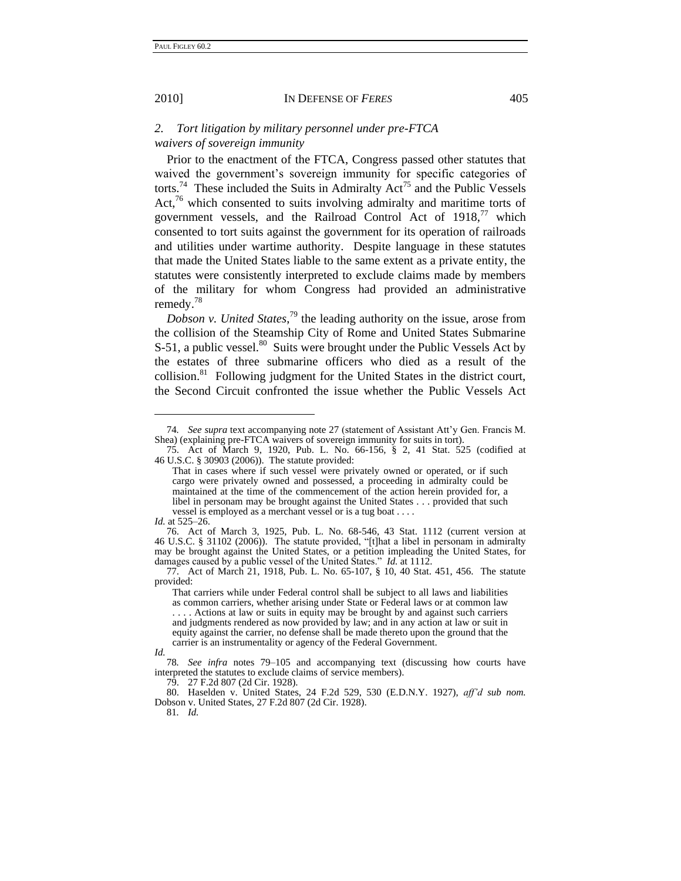#### *2. Tort litigation by military personnel under pre-FTCA waivers of sovereign immunity*

Prior to the enactment of the FTCA, Congress passed other statutes that waived the government's sovereign immunity for specific categories of torts.<sup>74</sup> These included the Suits in Admiralty  $Act^{75}$  and the Public Vessels Act, $76$  which consented to suits involving admiralty and maritime torts of government vessels, and the Railroad Control Act of  $1918<sup>77</sup>$  which consented to tort suits against the government for its operation of railroads and utilities under wartime authority. Despite language in these statutes that made the United States liable to the same extent as a private entity, the statutes were consistently interpreted to exclude claims made by members of the military for whom Congress had provided an administrative remedy.<sup>78</sup>

*Dobson v. United States*, <sup>79</sup> the leading authority on the issue, arose from the collision of the Steamship City of Rome and United States Submarine S-51, a public vessel.<sup>80</sup> Suits were brought under the Public Vessels Act by the estates of three submarine officers who died as a result of the collision.<sup>81</sup> Following judgment for the United States in the district court, the Second Circuit confronted the issue whether the Public Vessels Act

-

79. 27 F.2d 807 (2d Cir. 1928).

81*. Id.*

<sup>74</sup>*. See supra* text accompanying note [27](#page-8-0) (statement of Assistant Att'y Gen. Francis M. Shea) (explaining pre-FTCA waivers of sovereign immunity for suits in tort).

<sup>75.</sup> Act of March 9, 1920, Pub. L. No. 66-156, § 2, 41 Stat. 525 (codified at 46 U.S.C. § 30903 (2006)). The statute provided:

That in cases where if such vessel were privately owned or operated, or if such cargo were privately owned and possessed, a proceeding in admiralty could be maintained at the time of the commencement of the action herein provided for, a libel in personam may be brought against the United States . . . provided that such vessel is employed as a merchant vessel or is a tug boat . . . .

*Id.* at 525–26.

<sup>76.</sup> Act of March 3, 1925, Pub. L. No. 68-546, 43 Stat. 1112 (current version at 46 U.S.C. § 31102 (2006)). The statute provided, "[t]hat a libel in personam in admiralty may be brought against the United States, or a petition impleading the United States, for damages caused by a public vessel of the United States." *Id.* at 1112.

<sup>77.</sup> Act of March 21, 1918, Pub. L. No. 65-107, § 10, 40 Stat. 451, 456. The statute provided:

That carriers while under Federal control shall be subject to all laws and liabilities as common carriers, whether arising under State or Federal laws or at common law . . . . Actions at law or suits in equity may be brought by and against such carriers and judgments rendered as now provided by law; and in any action at law or suit in equity against the carrier, no defense shall be made thereto upon the ground that the carrier is an instrumentality or agency of the Federal Government.

*Id.*

<sup>78</sup>*. See infra* notes 79–105 and accompanying text (discussing how courts have interpreted the statutes to exclude claims of service members).

<sup>80.</sup> Haselden v. United States, 24 F.2d 529, 530 (E.D.N.Y. 1927), *aff'd sub nom.* Dobson v. United States, 27 F.2d 807 (2d Cir. 1928).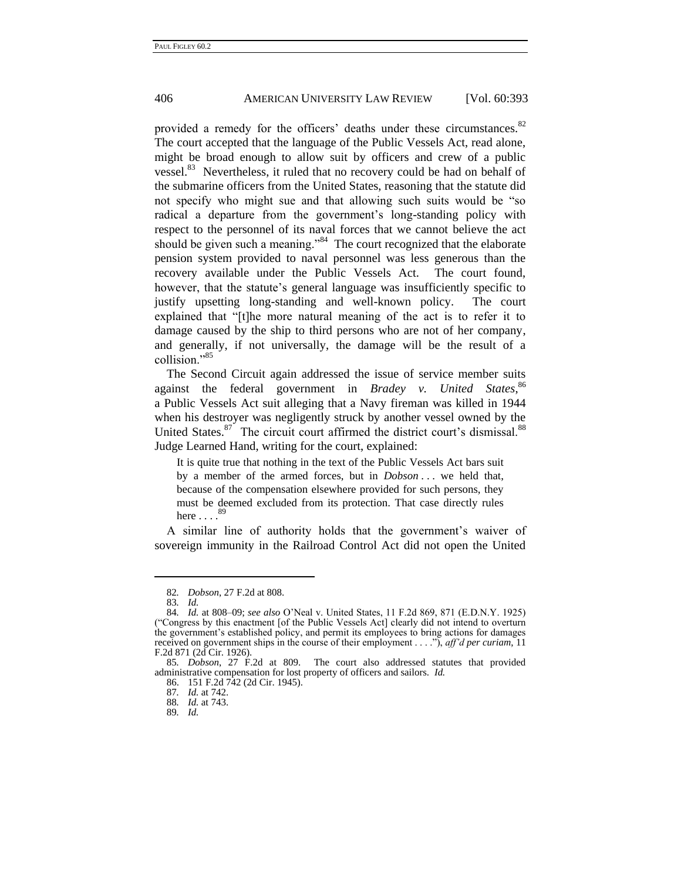provided a remedy for the officers' deaths under these circumstances.<sup>82</sup> The court accepted that the language of the Public Vessels Act, read alone, might be broad enough to allow suit by officers and crew of a public vessel.<sup>83</sup> Nevertheless, it ruled that no recovery could be had on behalf of the submarine officers from the United States, reasoning that the statute did not specify who might sue and that allowing such suits would be "so radical a departure from the government's long-standing policy with respect to the personnel of its naval forces that we cannot believe the act should be given such a meaning."<sup>84</sup> The court recognized that the elaborate pension system provided to naval personnel was less generous than the recovery available under the Public Vessels Act. The court found, however, that the statute's general language was insufficiently specific to justify upsetting long-standing and well-known policy. The court explained that "[t]he more natural meaning of the act is to refer it to damage caused by the ship to third persons who are not of her company, and generally, if not universally, the damage will be the result of a collision."<sup>85</sup>

The Second Circuit again addressed the issue of service member suits against the federal government in *Bradey v. United States*,<sup>86</sup> a Public Vessels Act suit alleging that a Navy fireman was killed in 1944 when his destroyer was negligently struck by another vessel owned by the United States.<sup>87</sup> The circuit court affirmed the district court's dismissal.<sup>88</sup> Judge Learned Hand, writing for the court, explained:

It is quite true that nothing in the text of the Public Vessels Act bars suit by a member of the armed forces, but in *Dobson* . . . we held that, because of the compensation elsewhere provided for such persons, they must be deemed excluded from its protection. That case directly rules here  $\ldots$ .  $^{89}$ 

A similar line of authority holds that the government's waiver of sovereign immunity in the Railroad Control Act did not open the United

<sup>82</sup>*. Dobson*, 27 F.2d at 808.

<sup>83</sup>*. Id.*

<sup>84</sup>*. Id.* at 808–09; *see also* O'Neal v. United States, 11 F.2d 869, 871 (E.D.N.Y. 1925) (―Congress by this enactment [of the Public Vessels Act] clearly did not intend to overturn the government's established policy, and permit its employees to bring actions for damages received on government ships in the course of their employment . . . .‖), *aff'd per curiam*, 11 F.2d 871 (2d Cir. 1926).

<sup>85</sup>*. Dobson*, 27 F.2d at 809. The court also addressed statutes that provided administrative compensation for lost property of officers and sailors. *Id.*

<sup>86.</sup> 151 F.2d 742 (2d Cir. 1945).

<sup>87</sup>*. Id.* at 742.

<sup>88</sup>*. Id.* at 743.

<sup>89</sup>*. Id.*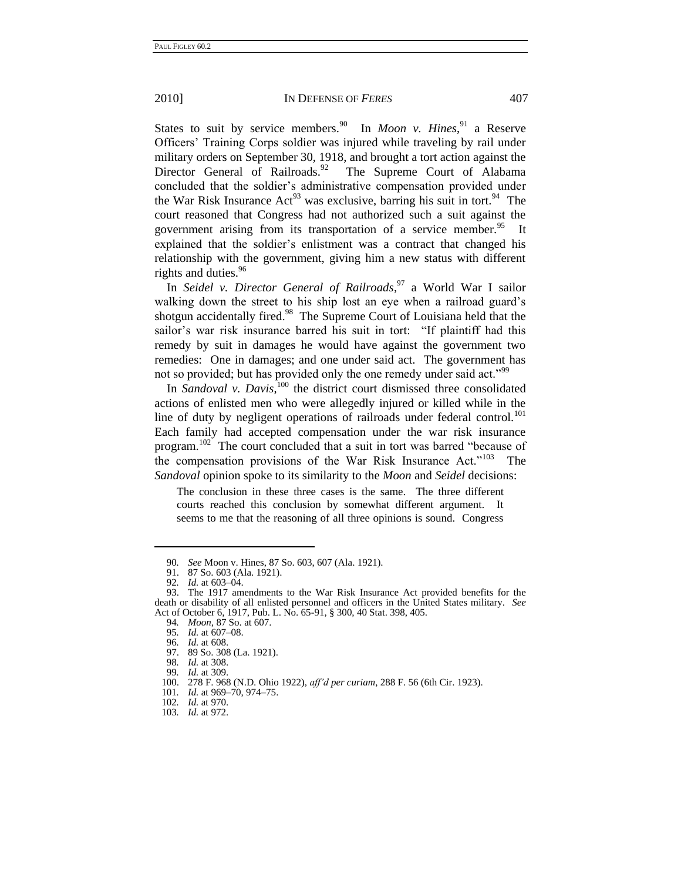States to suit by service members.<sup>90</sup> In *Moon v. Hines*,<sup>91</sup> a Reserve Officers' Training Corps soldier was injured while traveling by rail under military orders on September 30, 1918, and brought a tort action against the Director General of Railroads.<sup>92</sup> The Supreme Court of Alabama concluded that the soldier's administrative compensation provided under the War Risk Insurance  $Act^{93}$  was exclusive, barring his suit in tort.<sup>94</sup> The court reasoned that Congress had not authorized such a suit against the government arising from its transportation of a service member.<sup>95</sup> It explained that the soldier's enlistment was a contract that changed his relationship with the government, giving him a new status with different rights and duties.<sup>96</sup>

In *Seidel v. Director General of Railroads*, <sup>97</sup> a World War I sailor walking down the street to his ship lost an eye when a railroad guard's shotgun accidentally fired.<sup>98</sup> The Supreme Court of Louisiana held that the sailor's war risk insurance barred his suit in tort: "If plaintiff had this remedy by suit in damages he would have against the government two remedies: One in damages; and one under said act. The government has not so provided; but has provided only the one remedy under said act."<sup>99</sup>

In *Sandoval v. Davis*,<sup>100</sup> the district court dismissed three consolidated actions of enlisted men who were allegedly injured or killed while in the line of duty by negligent operations of railroads under federal control.<sup>101</sup> Each family had accepted compensation under the war risk insurance program.<sup>102</sup> The court concluded that a suit in tort was barred "because of the compensation provisions of the War Risk Insurance Act."<sup>103</sup> The *Sandoval* opinion spoke to its similarity to the *Moon* and *Seidel* decisions:

The conclusion in these three cases is the same. The three different courts reached this conclusion by somewhat different argument. It seems to me that the reasoning of all three opinions is sound. Congress

94*. Moon*, 87 So. at 607.

96*. Id.* at 608.

<sup>90</sup>*. See* Moon v. Hines, 87 So. 603, 607 (Ala. 1921).

<sup>91.</sup> 87 So. 603 (Ala. 1921).

<sup>92</sup>*. Id.* at 603–04.

<sup>93.</sup> The 1917 amendments to the War Risk Insurance Act provided benefits for the death or disability of all enlisted personnel and officers in the United States military. *See* Act of October 6, 1917, Pub. L. No. 65-91, § 300, 40 Stat. 398, 405.

<sup>95</sup>*. Id.* at 607–08.

<sup>97.</sup> 89 So. 308 (La. 1921).

<sup>98</sup>*. Id.* at 308.

<sup>99</sup>*. Id.* at 309.

<sup>100.</sup> 278 F. 968 (N.D. Ohio 1922), *aff'd per curiam*, 288 F. 56 (6th Cir. 1923).

<sup>101</sup>*. Id.* at 969–70, 974–75. 102*. Id.* at 970.

<sup>103</sup>*. Id.* at 972.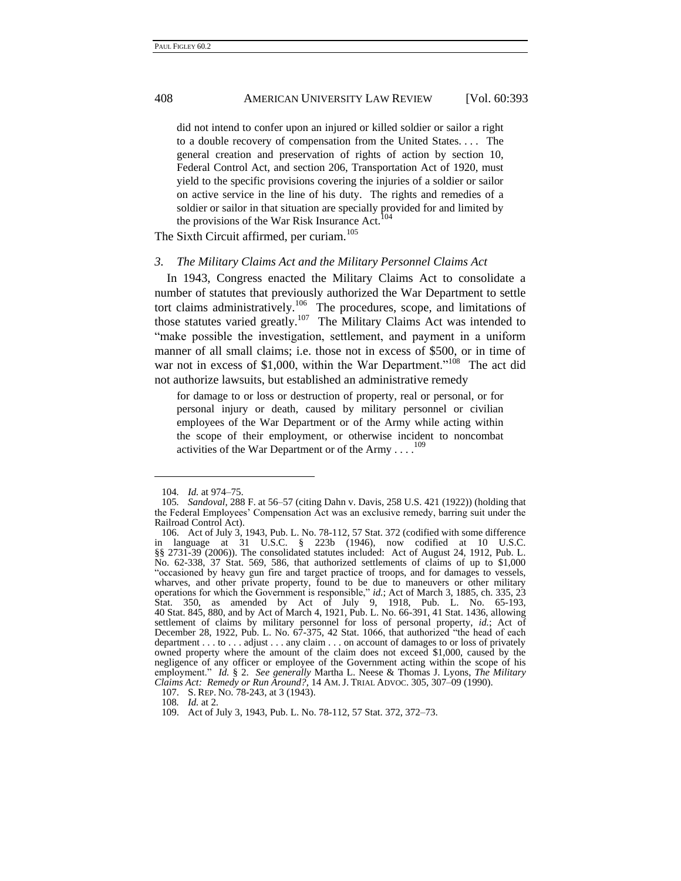did not intend to confer upon an injured or killed soldier or sailor a right to a double recovery of compensation from the United States. . . . The general creation and preservation of rights of action by section 10, Federal Control Act, and section 206, Transportation Act of 1920, must yield to the specific provisions covering the injuries of a soldier or sailor on active service in the line of his duty. The rights and remedies of a soldier or sailor in that situation are specially provided for and limited by the provisions of the War Risk Insurance Act.<sup>104</sup>

The Sixth Circuit affirmed, per curiam.<sup>105</sup>

#### *3. The Military Claims Act and the Military Personnel Claims Act*

In 1943, Congress enacted the Military Claims Act to consolidate a number of statutes that previously authorized the War Department to settle tort claims administratively.<sup>106</sup> The procedures, scope, and limitations of those statutes varied greatly.<sup>107</sup> The Military Claims Act was intended to "make possible the investigation, settlement, and payment in a uniform manner of all small claims; i.e. those not in excess of \$500, or in time of war not in excess of \$1,000, within the War Department."<sup>108</sup> The act did not authorize lawsuits, but established an administrative remedy

for damage to or loss or destruction of property, real or personal, or for personal injury or death, caused by military personnel or civilian employees of the War Department or of the Army while acting within the scope of their employment, or otherwise incident to noncombat activities of the War Department or of the Army  $\dots$ <sup>109</sup>

<sup>104</sup>*. Id.* at 974–75.

<sup>105</sup>*. Sandoval*, 288 F. at 56–57 (citing Dahn v. Davis, 258 U.S. 421 (1922)) (holding that the Federal Employees' Compensation Act was an exclusive remedy, barring suit under the Railroad Control Act).

<sup>106.</sup> Act of July 3, 1943, Pub. L. No. 78-112, 57 Stat. 372 (codified with some difference in language at 31 U.S.C. § 223b (1946), now codified at 10 U.S.C. §§ 2731-39 (2006)). The consolidated statutes included: Act of August 24, 1912, Pub. L. No. 62-338, 37 Stat. 569, 586, that authorized settlements of claims of up to \$1,000 "occasioned by heavy gun fire and target practice of troops, and for damages to vessels, wharves, and other private property, found to be due to maneuvers or other military operations for which the Government is responsible," *id.*; Act of March 3, 1885, ch. 335, 23 Stat. 350, as amended by Act of July 9, 1918, Pub. L. No. 65-193, 40 Stat. 845, 880, and by Act of March 4, 1921, Pub. L. No. 66-391, 41 Stat. 1436, allowing settlement of claims by military personnel for loss of personal property, *id.*; Act of December 28, 1922, Pub. L. No. 67-375, 42 Stat. 1066, that authorized "the head of each department . . . to . . . adjust . . . any claim . . . on account of damages to or loss of privately owned property where the amount of the claim does not exceed \$1,000, caused by the negligence of any officer or employee of the Government acting within the scope of his employment.‖ *Id.* § 2. *See generally* Martha L. Neese & Thomas J. Lyons, *The Military Claims Act: Remedy or Run Around?*, 14 AM. J. TRIAL ADVOC. 305, 307–09 (1990).

<sup>107.</sup> S. REP. NO. 78-243, at 3 (1943).

<sup>108</sup>*. Id.* at 2.

<sup>109.</sup> Act of July 3, 1943, Pub. L. No. 78-112, 57 Stat. 372, 372–73.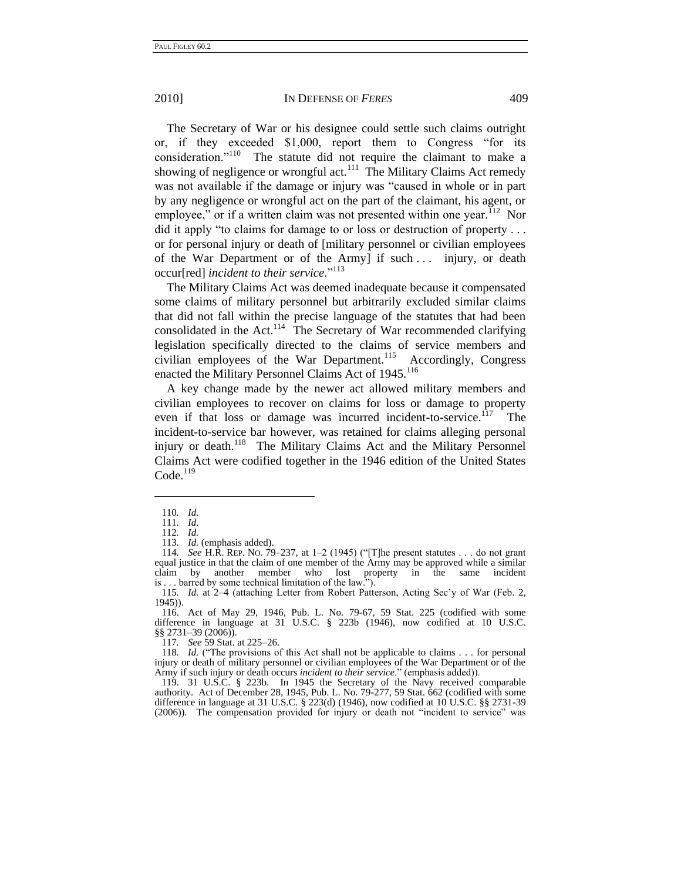The Secretary of War or his designee could settle such claims outright or, if they exceeded  $$1,000$ , report them to Congress "for its consideration."<sup>110</sup> The statute did not require the claimant to make a showing of negligence or wrongful act.<sup>111</sup> The Military Claims Act remedy was not available if the damage or injury was "caused in whole or in part by any negligence or wrongful act on the part of the claimant, his agent, or employee," or if a written claim was not presented within one year.  $12$  Nor  $\delta$  did it apply "to claims for damage to or loss or destruction of property ... or for personal injury or death of [military personnel or civilian employees of the War Department or of the Army] if such . . . injury, or death occur[red] *incident to their service*."<sup>113</sup>

The Military Claims Act was deemed inadequate because it compensated some claims of military personnel but arbitrarily excluded similar claims that did not fall within the precise language of the statutes that had been consolidated in the Act.<sup>114</sup> The Secretary of War recommended clarifying legislation specifically directed to the claims of service members and civilian employees of the War Department.<sup>115</sup> Accordingly, Congress enacted the Military Personnel Claims Act of 1945.<sup>116</sup>

A key change made by the newer act allowed military members and civilian employees to recover on claims for loss or damage to property even if that loss or damage was incurred incident-to-service.<sup>117</sup> The incident-to-service bar however, was retained for claims alleging personal injury or death.<sup>118</sup> The Military Claims Act and the Military Personnel Claims Act were codified together in the 1946 edition of the United States  $Code.<sup>119</sup>$ 

-

117*. See* 59 Stat. at 225–26.

<sup>110</sup>*. Id.*

<sup>111</sup>*. Id.*

<sup>112</sup>*. Id.*

<sup>113</sup>*. Id.* (emphasis added).

<sup>114</sup>*. See* H.R. REP. No. 79–237, at 1–2 (1945) ("The present statutes . . . do not grant equal justice in that the claim of one member of the Army may be approved while a similar claim by another member who lost property in the same incident is . . . barred by some technical limitation of the law.").

<sup>115</sup>*. Id.* at 2–4 (attaching Letter from Robert Patterson, Acting Sec'y of War (Feb. 2, 1945)).

<sup>116.</sup> Act of May 29, 1946, Pub. L. No. 79-67, 59 Stat. 225 (codified with some difference in language at 31 U.S.C. § 223b (1946), now codified at 10 U.S.C. §§ 2731–39 (2006)).

<sup>118</sup>*. Id.* ("The provisions of this Act shall not be applicable to claims . . . for personal injury or death of military personnel or civilian employees of the War Department or of the Army if such injury or death occurs *incident to their service*." (emphasis added)).

<sup>119.</sup> 31 U.S.C. § 223b. In 1945 the Secretary of the Navy received comparable authority. Act of December 28, 1945, Pub. L. No. 79-277, 59 Stat. 662 (codified with some difference in language at 31 U.S.C. § 223(d) (1946), now codified at 10 U.S.C. §§ 2731-39 (2006)). The compensation provided for injury or death not "incident to service" was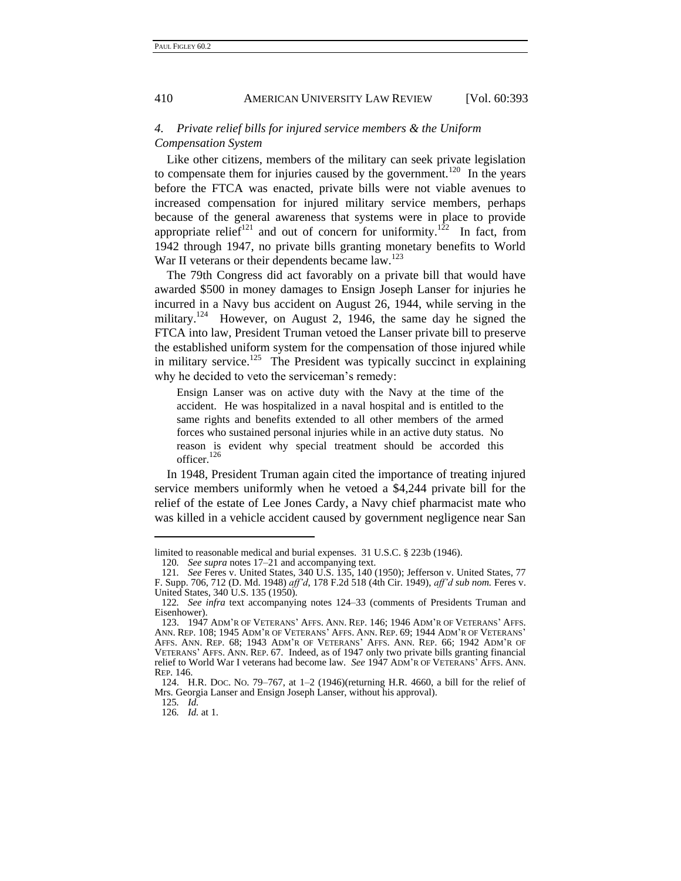#### *4. Private relief bills for injured service members & the Uniform Compensation System*

Like other citizens, members of the military can seek private legislation to compensate them for injuries caused by the government.<sup>120</sup> In the years before the FTCA was enacted, private bills were not viable avenues to increased compensation for injured military service members, perhaps because of the general awareness that systems were in place to provide appropriate relief<sup>121</sup> and out of concern for uniformity.<sup>122</sup> In fact, from 1942 through 1947, no private bills granting monetary benefits to World War II veterans or their dependents became law.<sup>123</sup>

<span id="page-19-0"></span>The 79th Congress did act favorably on a private bill that would have awarded \$500 in money damages to Ensign Joseph Lanser for injuries he incurred in a Navy bus accident on August 26, 1944, while serving in the military.<sup>124</sup> However, on August 2, 1946, the same day he signed the FTCA into law, President Truman vetoed the Lanser private bill to preserve the established uniform system for the compensation of those injured while in military service.<sup>125</sup> The President was typically succinct in explaining why he decided to veto the serviceman's remedy:

Ensign Lanser was on active duty with the Navy at the time of the accident. He was hospitalized in a naval hospital and is entitled to the same rights and benefits extended to all other members of the armed forces who sustained personal injuries while in an active duty status. No reason is evident why special treatment should be accorded this officer. $126$ 

In 1948, President Truman again cited the importance of treating injured service members uniformly when he vetoed a \$4,244 private bill for the relief of the estate of Lee Jones Cardy, a Navy chief pharmacist mate who was killed in a vehicle accident caused by government negligence near San

126*. Id.* at 1.

limited to reasonable medical and burial expenses. 31 U.S.C. § 223b (1946). 120*. See supra* note[s 17](#page-6-0)[–21](#page-7-1) and accompanying text.

<sup>121</sup>*. See* Feres v. United States, 340 U.S. 135, 140 (1950); Jefferson v. United States, 77 F. Supp. 706, 712 (D. Md. 1948) *aff'd*, 178 F.2d 518 (4th Cir. 1949), *aff'd sub nom.* Feres v. United States, 340 U.S. 135 (1950).

<sup>122</sup>*. See infra* text accompanying notes [124–](#page-19-0)33 (comments of Presidents Truman and Eisenhower).

<sup>123.</sup> 1947 ADM'R OF VETERANS' AFFS. ANN. REP. 146; 1946 ADM'R OF VETERANS' AFFS. ANN. REP. 108; 1945 ADM'R OF VETERANS' AFFS. ANN. REP. 69; 1944 ADM'R OF VETERANS' AFFS. ANN. REP. 68; 1943 ADM'R OF VETERANS' AFFS. ANN. REP. 66; 1942 ADM'R OF VETERANS' AFFS. ANN. REP. 67. Indeed, as of 1947 only two private bills granting financial relief to World War I veterans had become law. *See* 1947 ADM'R OF VETERANS' AFFS. ANN. REP. 146.

<sup>124.</sup> H.R. DOC. NO. 79–767, at 1–2 (1946)(returning H.R. 4660, a bill for the relief of Mrs. Georgia Lanser and Ensign Joseph Lanser, without his approval). 125*. Id.*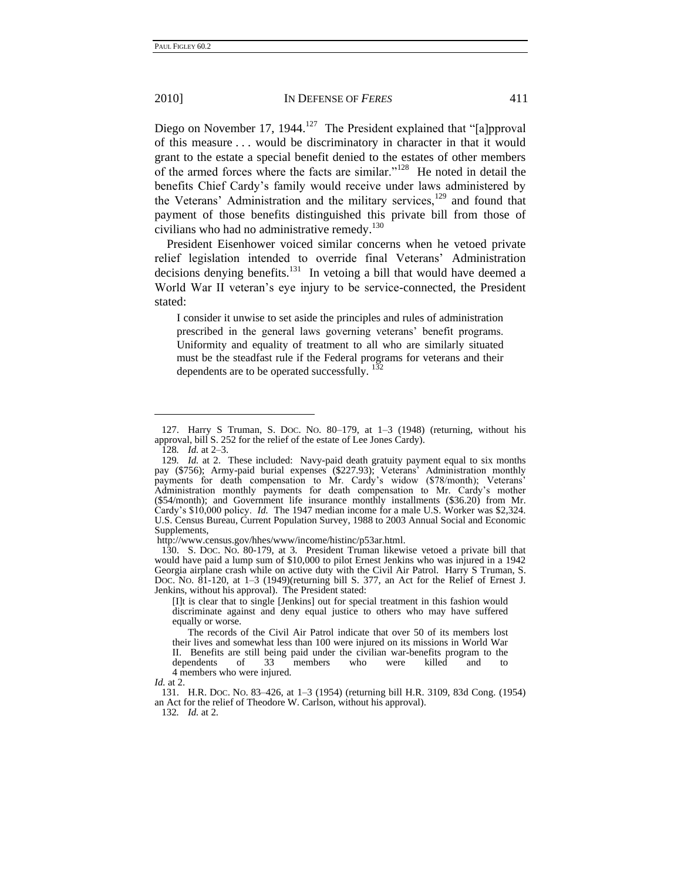Diego on November 17, 1944.<sup>127</sup> The President explained that "[a]pproval of this measure . . . would be discriminatory in character in that it would grant to the estate a special benefit denied to the estates of other members of the armed forces where the facts are similar."<sup>128</sup> He noted in detail the benefits Chief Cardy's family would receive under laws administered by the Veterans' Administration and the military services, $129$  and found that payment of those benefits distinguished this private bill from those of civilians who had no administrative remedy.<sup>130</sup>

President Eisenhower voiced similar concerns when he vetoed private relief legislation intended to override final Veterans' Administration decisions denying benefits. $131$  In vetoing a bill that would have deemed a World War II veteran's eye injury to be service-connected, the President stated:

I consider it unwise to set aside the principles and rules of administration prescribed in the general laws governing veterans' benefit programs. Uniformity and equality of treatment to all who are similarly situated must be the steadfast rule if the Federal programs for veterans and their dependents are to be operated successfully.

-

http://www.census.gov/hhes/www/income/histinc/p53ar.html.

130. S. DOC. NO. 80-179, at 3. President Truman likewise vetoed a private bill that would have paid a lump sum of \$10,000 to pilot Ernest Jenkins who was injured in a 1942 Georgia airplane crash while on active duty with the Civil Air Patrol. Harry S Truman, S. DOC. NO. 81-120, at 1–3 (1949)(returning bill S. 377, an Act for the Relief of Ernest J. Jenkins, without his approval). The President stated:

[I]t is clear that to single [Jenkins] out for special treatment in this fashion would discriminate against and deny equal justice to others who may have suffered equally or worse.

131. H.R. DOC. NO. 83–426, at 1–3 (1954) (returning bill H.R. 3109, 83d Cong. (1954) an Act for the relief of Theodore W. Carlson, without his approval).

132*. Id.* at 2.

<sup>127.</sup> Harry S Truman, S. DOC. NO. 80–179, at 1–3 (1948) (returning, without his approval, bill S. 252 for the relief of the estate of Lee Jones Cardy).

<sup>128</sup>*. Id.* at 2–3.

<sup>129</sup>*. Id.* at 2. These included: Navy-paid death gratuity payment equal to six months pay (\$756); Army-paid burial expenses (\$227.93); Veterans' Administration monthly payments for death compensation to Mr. Cardy's widow (\$78/month); Veterans' Administration monthly payments for death compensation to Mr. Cardy's mother (\$54/month); and Government life insurance monthly installments (\$36.20) from Mr. Cardy's \$10,000 policy. *Id.* The 1947 median income for a male U.S. Worker was \$2,324. U.S. Census Bureau, Current Population Survey, 1988 to 2003 Annual Social and Economic Supplements,

The records of the Civil Air Patrol indicate that over 50 of its members lost their lives and somewhat less than 100 were injured on its missions in World War II. Benefits are still being paid under the civilian war-benefits program to the dependents of 33 members who were killed and to 4 members who were injured.

*Id.* at 2.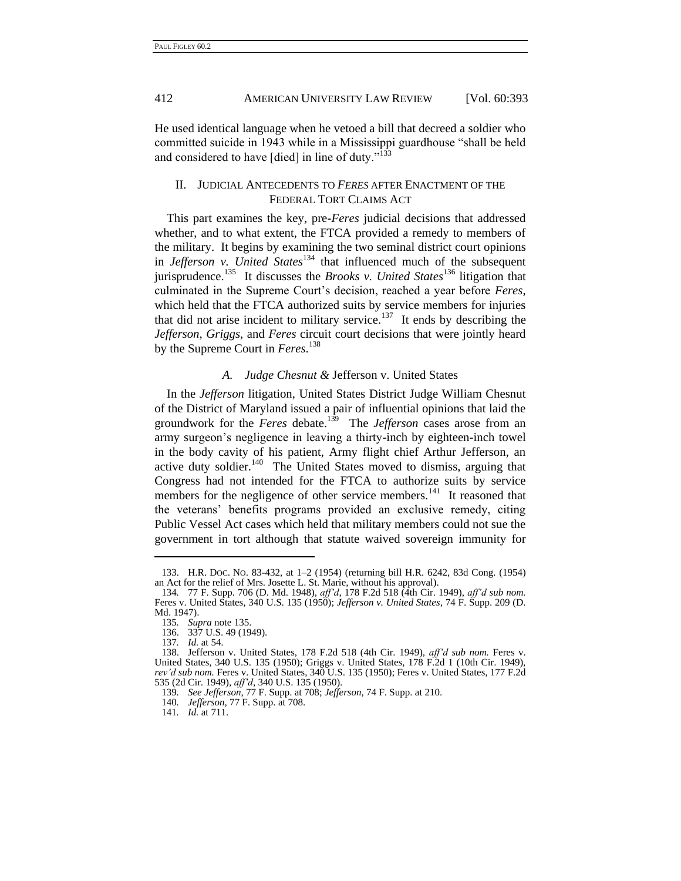He used identical language when he vetoed a bill that decreed a soldier who committed suicide in 1943 while in a Mississippi guardhouse "shall be held and considered to have [died] in line of duty. $n^{133}$ 

#### II. JUDICIAL ANTECEDENTS TO *FERES* AFTER ENACTMENT OF THE FEDERAL TORT CLAIMS ACT

This part examines the key, pre-*Feres* judicial decisions that addressed whether, and to what extent, the FTCA provided a remedy to members of the military. It begins by examining the two seminal district court opinions in *Jefferson v. United States*<sup>134</sup> that influenced much of the subsequent jurisprudence.<sup>135</sup> It discusses the *Brooks v. United States*<sup>136</sup> litigation that culminated in the Supreme Court's decision, reached a year before *Feres*, which held that the FTCA authorized suits by service members for injuries that did not arise incident to military service.<sup>137</sup> It ends by describing the *Jefferson*, *Griggs*, and *Feres* circuit court decisions that were jointly heard by the Supreme Court in *Feres*. 138

#### *A. Judge Chesnut &* Jefferson v. United States

In the *Jefferson* litigation, United States District Judge William Chesnut of the District of Maryland issued a pair of influential opinions that laid the groundwork for the *Feres* debate.<sup>139</sup> The *Jefferson* cases arose from an army surgeon's negligence in leaving a thirty-inch by eighteen-inch towel in the body cavity of his patient, Army flight chief Arthur Jefferson, an active duty soldier.<sup>140</sup> The United States moved to dismiss, arguing that Congress had not intended for the FTCA to authorize suits by service members for the negligence of other service members.<sup>141</sup> It reasoned that the veterans' benefits programs provided an exclusive remedy, citing Public Vessel Act cases which held that military members could not sue the government in tort although that statute waived sovereign immunity for

<sup>133.</sup> H.R. DOC. NO. 83-432, at 1–2 (1954) (returning bill H.R. 6242, 83d Cong. (1954) an Act for the relief of Mrs. Josette L. St. Marie, without his approval).

<sup>134</sup>*.* 77 F. Supp. 706 (D. Md. 1948), *aff'd*, 178 F.2d 518 (4th Cir. 1949), *aff'd sub nom.* Feres v. United States, 340 U.S. 135 (1950); *Jefferson v. United States*, 74 F. Supp. 209 (D. Md. 1947).

<sup>135</sup>*. Supra* note 135.

<sup>136.</sup> 337 U.S. 49 (1949).

<sup>137</sup>*. Id.* at 54.

<sup>138.</sup> Jefferson v. United States, 178 F.2d 518 (4th Cir. 1949), *aff'd sub nom.* Feres v. United States, 340 U.S. 135 (1950); Griggs v. United States, 178 F.2d 1 (10th Cir. 1949), *rev'd sub nom.* Feres v. United States, 340 U.S. 135 (1950); Feres v. United States, 177 F.2d 535 (2d Cir. 1949), *aff'd*, 340 U.S. 135 (1950).

<sup>139</sup>*. See Jefferson*, 77 F. Supp. at 708; *Jefferson*, 74 F. Supp. at 210.

<sup>140</sup>*. Jefferson*, 77 F. Supp. at 708.

<sup>141</sup>*. Id.* at 711.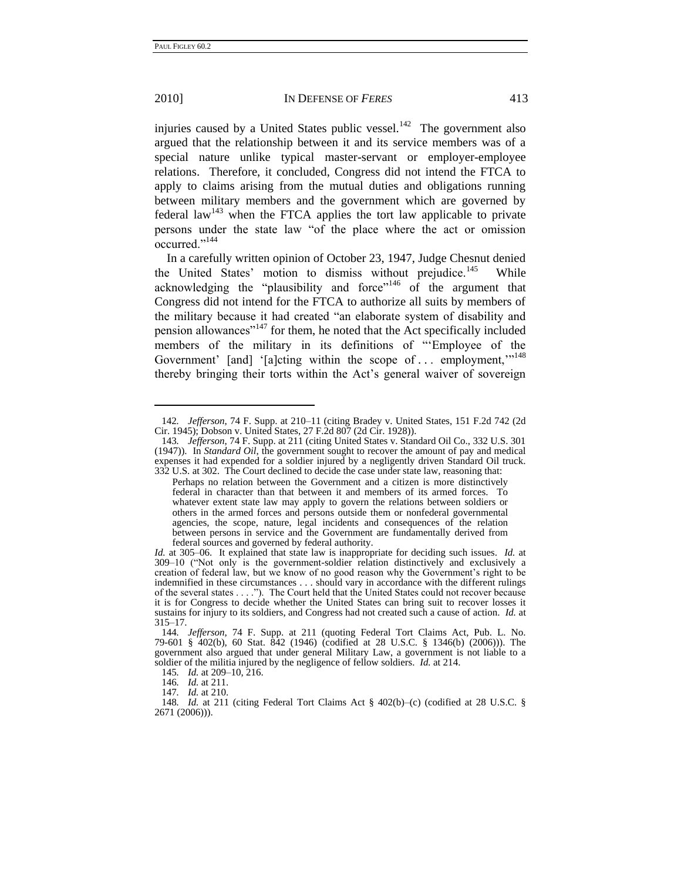-

#### 2010] IN DEFENSE OF *FERES* 413

injuries caused by a United States public vessel.<sup>142</sup> The government also argued that the relationship between it and its service members was of a special nature unlike typical master-servant or employer-employee relations. Therefore, it concluded, Congress did not intend the FTCA to apply to claims arising from the mutual duties and obligations running between military members and the government which are governed by federal law<sup>143</sup> when the FTCA applies the tort law applicable to private persons under the state law "of the place where the act or omission occurred."<sup>144</sup>

In a carefully written opinion of October 23, 1947, Judge Chesnut denied the United States' motion to dismiss without prejudice.<sup>145</sup> While acknowledging the "plausibility and force"<sup>146</sup> of the argument that Congress did not intend for the FTCA to authorize all suits by members of the military because it had created "an elaborate system of disability and pension allowances"<sup>147</sup> for them, he noted that the Act specifically included members of the military in its definitions of "Employee of the Government' [and] '[a]cting within the scope of ... employment,"<sup>148</sup> thereby bringing their torts within the Act's general waiver of sovereign

<sup>142</sup>*. Jefferson*, 74 F. Supp. at 210–11 (citing Bradey v. United States, 151 F.2d 742 (2d Cir. 1945); Dobson v. United States, 27 F.2d 807 (2d Cir. 1928)).

<sup>143</sup>*. Jefferson*, 74 F. Supp. at 211 (citing United States v. Standard Oil Co., 332 U.S. 301 (1947)). In *Standard Oil*, the government sought to recover the amount of pay and medical expenses it had expended for a soldier injured by a negligently driven Standard Oil truck. 332 U.S. at 302. The Court declined to decide the case under state law, reasoning that:

Perhaps no relation between the Government and a citizen is more distinctively federal in character than that between it and members of its armed forces. To whatever extent state law may apply to govern the relations between soldiers or others in the armed forces and persons outside them or nonfederal governmental agencies, the scope, nature, legal incidents and consequences of the relation between persons in service and the Government are fundamentally derived from federal sources and governed by federal authority.

*Id.* at 305–06. It explained that state law is inappropriate for deciding such issues. *Id.* at  $309-10$  ("Not only is the government-soldier relation distinctively and exclusively a creation of federal law, but we know of no good reason why the Government's right to be indemnified in these circumstances . . . should vary in accordance with the different rulings of the several states . . . ."). The Court held that the United States could not recover because it is for Congress to decide whether the United States can bring suit to recover losses it sustains for injury to its soldiers, and Congress had not created such a cause of action. *Id.* at 315–17.

<sup>144</sup>*. Jefferson*, 74 F. Supp. at 211 (quoting Federal Tort Claims Act, Pub. L. No. 79-601 § 402(b), 60 Stat. 842 (1946) (codified at 28 U.S.C. § 1346(b) (2006))). The government also argued that under general Military Law, a government is not liable to a soldier of the militia injured by the negligence of fellow soldiers. *Id.* at 214.

<sup>145</sup>*. Id.* at 209–10, 216.

<sup>146</sup>*. Id.* at 211.

<sup>147</sup>*. Id.* at 210.

<sup>148</sup>*. Id.* at 211 (citing Federal Tort Claims Act § 402(b)–(c) (codified at 28 U.S.C. § 2671 (2006))).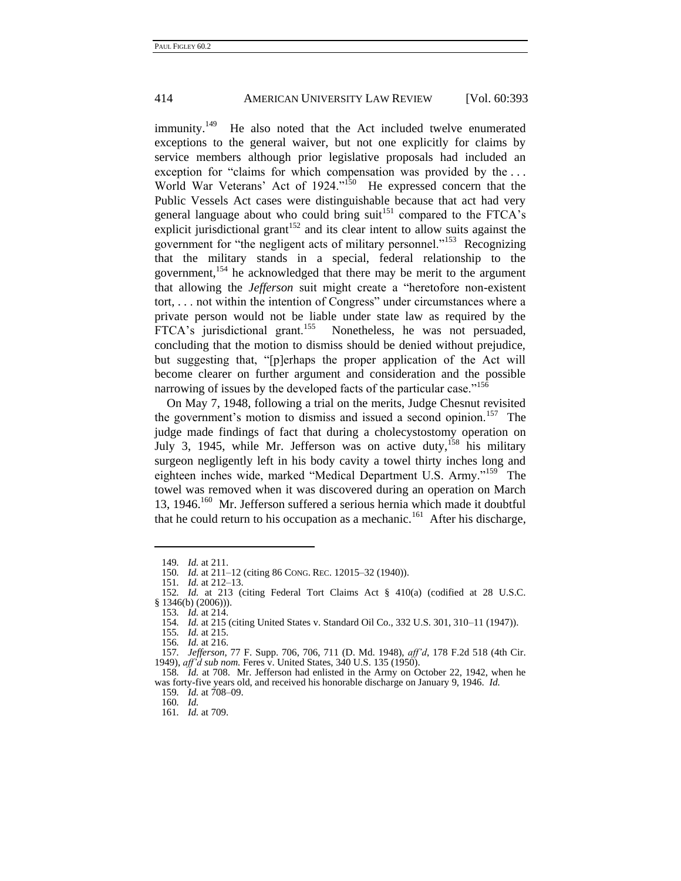immunity.<sup>149</sup> He also noted that the Act included twelve enumerated exceptions to the general waiver, but not one explicitly for claims by service members although prior legislative proposals had included an exception for "claims for which compensation was provided by the ... World War Veterans' Act of 1924."<sup>150</sup> He expressed concern that the Public Vessels Act cases were distinguishable because that act had very general language about who could bring suit<sup>151</sup> compared to the FTCA's explicit jurisdictional grant<sup>152</sup> and its clear intent to allow suits against the government for "the negligent acts of military personnel."<sup>153</sup> Recognizing that the military stands in a special, federal relationship to the government,<sup>154</sup> he acknowledged that there may be merit to the argument that allowing the *Jefferson* suit might create a "heretofore non-existent  $tort, \ldots$  not within the intention of Congress" under circumstances where a private person would not be liable under state law as required by the FTCA's jurisdictional grant.<sup>155</sup> Nonetheless, he was not persuaded, concluding that the motion to dismiss should be denied without prejudice, but suggesting that, "[p]erhaps the proper application of the Act will become clearer on further argument and consideration and the possible narrowing of issues by the developed facts of the particular case."<sup>156</sup>

On May 7, 1948, following a trial on the merits, Judge Chesnut revisited the government's motion to dismiss and issued a second opinion.<sup>157</sup> The judge made findings of fact that during a cholecystostomy operation on July 3, 1945, while Mr. Jefferson was on active duty,  $158$  his military surgeon negligently left in his body cavity a towel thirty inches long and eighteen inches wide, marked "Medical Department U.S. Army."<sup>159</sup> The towel was removed when it was discovered during an operation on March 13, 1946.<sup>160</sup> Mr. Jefferson suffered a serious hernia which made it doubtful that he could return to his occupation as a mechanic.<sup>161</sup> After his discharge,

<sup>149</sup>*. Id.* at 211.

<sup>150</sup>*. Id.* at 211–12 (citing 86 CONG. REC. 12015–32 (1940)).

<sup>151</sup>*. Id.* at 212–13.

<sup>152</sup>*. Id.* at 213 (citing Federal Tort Claims Act § 410(a) (codified at 28 U.S.C. § 1346(b) (2006))).

<sup>153</sup>*. Id.* at 214.

<sup>154</sup>*. Id.* at 215 (citing United States v. Standard Oil Co., 332 U.S. 301, 310–11 (1947)).

<sup>155</sup>*. Id.* at 215.

<sup>156</sup>*. Id.* at 216.

<sup>157</sup>*. Jefferson*, 77 F. Supp. 706, 706, 711 (D. Md. 1948), *aff'd*, 178 F.2d 518 (4th Cir. 1949), *aff'd sub nom.* Feres v. United States, 340 U.S. 135 (1950).

<sup>158</sup>*. Id.* at 708. Mr. Jefferson had enlisted in the Army on October 22, 1942, when he was forty-five years old, and received his honorable discharge on January 9, 1946. *Id.*

<sup>159</sup>*. Id.* at 708–09. 160*. Id.*

<sup>161</sup>*. Id.* at 709.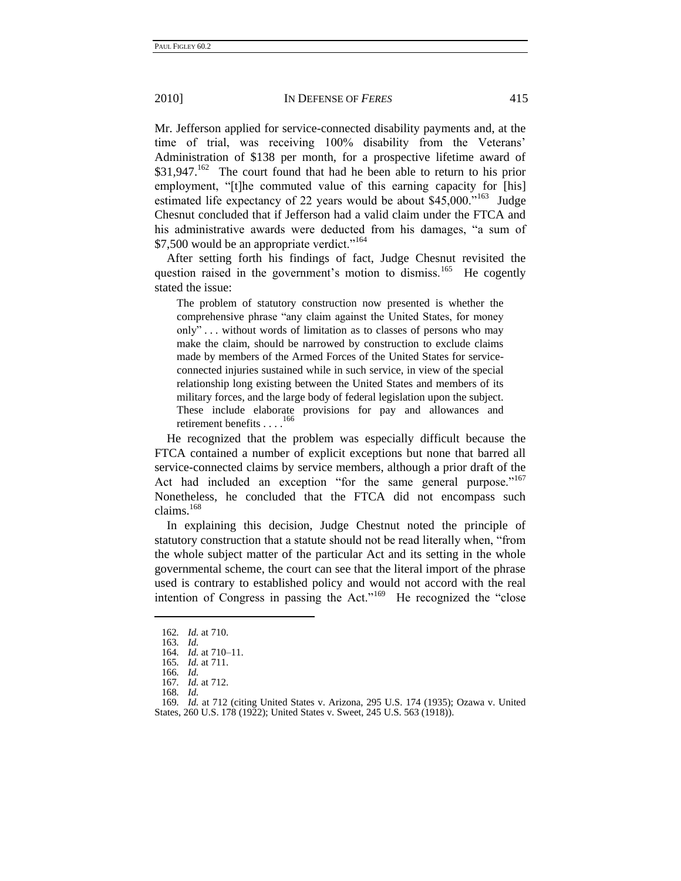Mr. Jefferson applied for service-connected disability payments and, at the time of trial, was receiving 100% disability from the Veterans' Administration of \$138 per month, for a prospective lifetime award of \$31,947.<sup>162</sup> The court found that had he been able to return to his prior employment, "[t]he commuted value of this earning capacity for [his] estimated life expectancy of 22 years would be about  $$45,000$ .<sup>163</sup> Judge Chesnut concluded that if Jefferson had a valid claim under the FTCA and his administrative awards were deducted from his damages, "a sum of  $$7,500$  would be an appropriate verdict."<sup>164</sup>

After setting forth his findings of fact, Judge Chesnut revisited the question raised in the government's motion to dismiss.<sup>165</sup> He cogently stated the issue:

The problem of statutory construction now presented is whether the comprehensive phrase "any claim against the United States, for money only"... without words of limitation as to classes of persons who may make the claim, should be narrowed by construction to exclude claims made by members of the Armed Forces of the United States for serviceconnected injuries sustained while in such service, in view of the special relationship long existing between the United States and members of its military forces, and the large body of federal legislation upon the subject. These include elaborate provisions for pay and allowances and retirement benefits . . . .<sup>166</sup>

He recognized that the problem was especially difficult because the FTCA contained a number of explicit exceptions but none that barred all service-connected claims by service members, although a prior draft of the Act had included an exception "for the same general purpose."<sup>167</sup> Nonetheless, he concluded that the FTCA did not encompass such claims.<sup>168</sup>

In explaining this decision, Judge Chestnut noted the principle of statutory construction that a statute should not be read literally when, ―from the whole subject matter of the particular Act and its setting in the whole governmental scheme, the court can see that the literal import of the phrase used is contrary to established policy and would not accord with the real intention of Congress in passing the Act." $169$  He recognized the "close"

<sup>162</sup>*. Id.* at 710.

<sup>163</sup>*. Id.*

<sup>164</sup>*. Id.* at 710–11.

<sup>165</sup>*. Id.* at 711. 166*. Id.*

<sup>167</sup>*. Id.* at 712.

<sup>168</sup>*. Id.*

<sup>169</sup>*. Id.* at 712 (citing United States v. Arizona, 295 U.S. 174 (1935); Ozawa v. United States, 260 U.S. 178 (1922); United States v. Sweet, 245 U.S. 563 (1918)).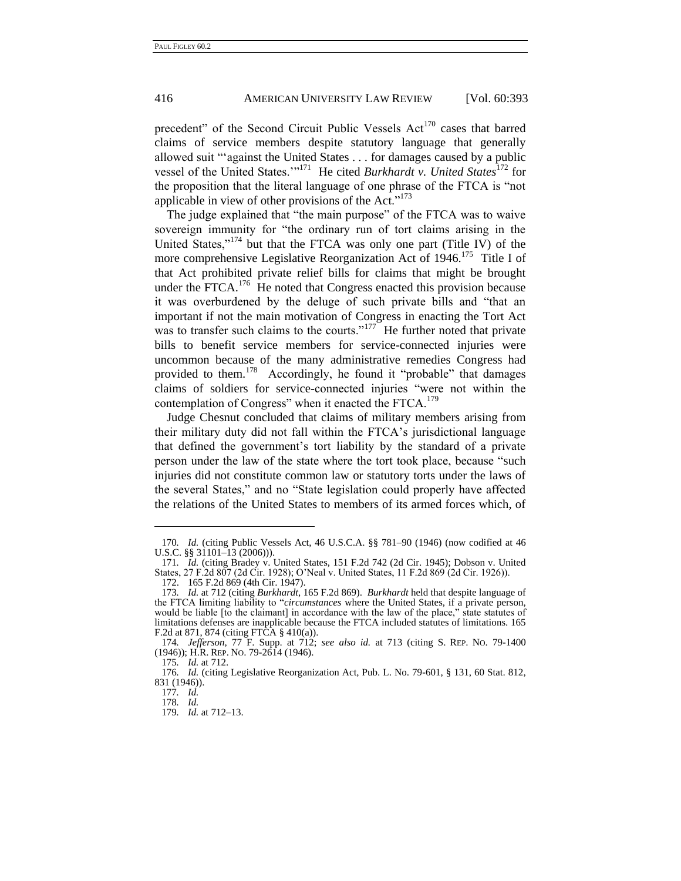precedent" of the Second Circuit Public Vessels  $Act^{170}$  cases that barred claims of service members despite statutory language that generally allowed suit "against the United States . . . for damages caused by a public vessel of the United States.'<sup>171</sup> He cited *Burkhardt v. United States*<sup>172</sup> for the proposition that the literal language of one phrase of the FTCA is "not" applicable in view of other provisions of the Act." $173$ 

The judge explained that "the main purpose" of the FTCA was to waive sovereign immunity for "the ordinary run of tort claims arising in the United States,"<sup>174</sup> but that the FTCA was only one part (Title IV) of the more comprehensive Legislative Reorganization Act of 1946.<sup>175</sup> Title I of that Act prohibited private relief bills for claims that might be brought under the FTCA.<sup>176</sup> He noted that Congress enacted this provision because it was overburdened by the deluge of such private bills and "that an important if not the main motivation of Congress in enacting the Tort Act was to transfer such claims to the courts."<sup>177</sup> He further noted that private bills to benefit service members for service-connected injuries were uncommon because of the many administrative remedies Congress had provided to them.<sup>178</sup> Accordingly, he found it "probable" that damages claims of soldiers for service-connected injuries "were not within the contemplation of Congress" when it enacted the  $FTCA$ .<sup>179</sup>

Judge Chesnut concluded that claims of military members arising from their military duty did not fall within the FTCA's jurisdictional language that defined the government's tort liability by the standard of a private person under the law of the state where the tort took place, because "such injuries did not constitute common law or statutory torts under the laws of the several States," and no "State legislation could properly have affected the relations of the United States to members of its armed forces which, of

<sup>170</sup>*. Id.* (citing Public Vessels Act, 46 U.S.C.A. §§ 781–90 (1946) (now codified at 46 U.S.C. §§ 31101–13 (2006))).

<sup>171</sup>*. Id.* (citing Bradey v. United States, 151 F.2d 742 (2d Cir. 1945); Dobson v. United States, 27 F.2d 807 (2d Cir. 1928); O'Neal v. United States, 11 F.2d 869 (2d Cir. 1926)).

<sup>172. 165</sup> F.2d 869 (4th Cir. 1947).

<sup>173</sup>*. Id.* at 712 (citing *Burkhardt*, 165 F.2d 869). *Burkhardt* held that despite language of the FTCA limiting liability to "*circumstances* where the United States, if a private person, would be liable [to the claimant] in accordance with the law of the place," state statutes of limitations defenses are inapplicable because the FTCA included statutes of limitations. 165 F.2d at 871, 874 (citing FTCA § 410(a)).

<sup>174</sup>*. Jefferson*, 77 F. Supp. at 712; *see also id.* at 713 (citing S. REP. NO. 79-1400 (1946)); H.R. REP. NO. 79-2614 (1946).

<sup>175</sup>*. Id.* at 712.

<sup>176</sup>*. Id.* (citing Legislative Reorganization Act, Pub. L. No. 79-601, § 131, 60 Stat. 812, 831 (1946)).

<sup>177</sup>*. Id.*

<sup>178</sup>*. Id.*

<sup>179</sup>*. Id.* at 712–13.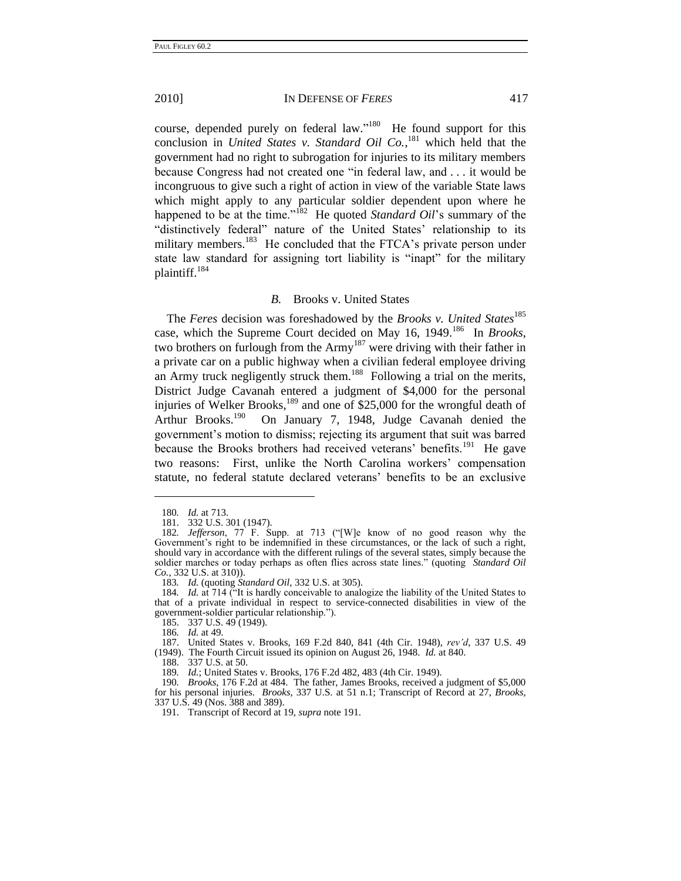course, depended purely on federal law."<sup>180</sup> He found support for this conclusion in *United States v. Standard Oil Co.*, <sup>181</sup> which held that the government had no right to subrogation for injuries to its military members because Congress had not created one "in federal law, and . . . it would be incongruous to give such a right of action in view of the variable State laws which might apply to any particular soldier dependent upon where he happened to be at the time."<sup>182</sup> He quoted *Standard Oil*'s summary of the "distinctively federal" nature of the United States' relationship to its military members.<sup>183</sup> He concluded that the FTCA's private person under state law standard for assigning tort liability is "inapt" for the military plaintiff.<sup>184</sup>

#### *B.* Brooks v. United States

The *Feres* decision was foreshadowed by the *Brooks v. United States*<sup>185</sup> case, which the Supreme Court decided on May 16, 1949.<sup>186</sup> In *Brooks*, two brothers on furlough from the Army<sup>187</sup> were driving with their father in a private car on a public highway when a civilian federal employee driving an Army truck negligently struck them.<sup>188</sup> Following a trial on the merits, District Judge Cavanah entered a judgment of \$4,000 for the personal injuries of Welker Brooks,<sup>189</sup> and one of \$25,000 for the wrongful death of Arthur Brooks.<sup>190</sup> On January 7, 1948, Judge Cavanah denied the government's motion to dismiss; rejecting its argument that suit was barred because the Brooks brothers had received veterans' benefits.<sup>191</sup> He gave two reasons: First, unlike the North Carolina workers' compensation statute, no federal statute declared veterans' benefits to be an exclusive

<sup>180</sup>*. Id.* at 713.

<sup>181.</sup> 332 U.S. 301 (1947).

<sup>182.</sup> *Jefferson*, 77 F. Supp. at 713 ("[W]e know of no good reason why the Government's right to be indemnified in these circumstances, or the lack of such a right, should vary in accordance with the different rulings of the several states, simply because the soldier marches or today perhaps as often flies across state lines." (quoting *Standard Oil Co.*, 332 U.S. at 310)).

<sup>183</sup>*. Id.* (quoting *Standard Oil*, 332 U.S. at 305).

<sup>184.</sup> *Id.* at 714 ("It is hardly conceivable to analogize the liability of the United States to that of a private individual in respect to service-connected disabilities in view of the government-soldier particular relationship.").

<sup>185.</sup> 337 U.S. 49 (1949).

<sup>186</sup>*. Id.* at 49.

<sup>187.</sup> United States v. Brooks, 169 F.2d 840, 841 (4th Cir. 1948), *rev'd*, 337 U.S. 49 (1949). The Fourth Circuit issued its opinion on August 26, 1948. *Id.* at 840.

<sup>188.</sup> 337 U.S. at 50.

<sup>189</sup>*. Id.*; United States v. Brooks, 176 F.2d 482, 483 (4th Cir. 1949).

<sup>190</sup>*. Brooks*, 176 F.2d at 484. The father, James Brooks, received a judgment of \$5,000 for his personal injuries. *Brooks*, 337 U.S. at 51 n.1; Transcript of Record at 27, *Brooks*, 337 U.S. 49 (Nos. 388 and 389).

<sup>191.</sup> Transcript of Record at 19, *supra* note 191.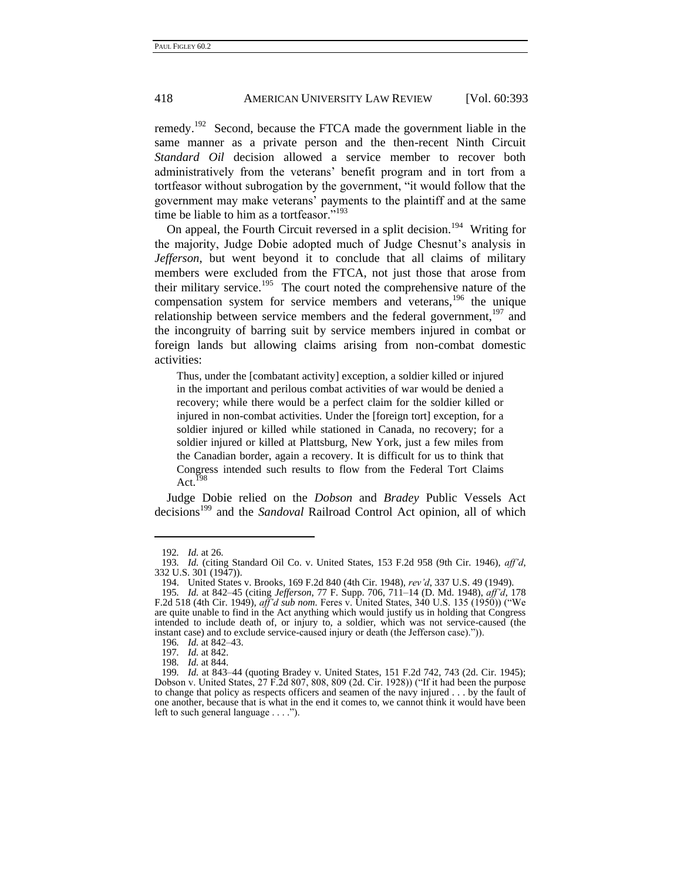remedy.<sup>192</sup> Second, because the FTCA made the government liable in the same manner as a private person and the then-recent Ninth Circuit *Standard Oil* decision allowed a service member to recover both administratively from the veterans' benefit program and in tort from a tortfeasor without subrogation by the government, "it would follow that the government may make veterans' payments to the plaintiff and at the same time be liable to him as a tortfeasor." $193$ 

On appeal, the Fourth Circuit reversed in a split decision.<sup>194</sup> Writing for the majority, Judge Dobie adopted much of Judge Chesnut's analysis in *Jefferson*, but went beyond it to conclude that all claims of military members were excluded from the FTCA, not just those that arose from their military service.<sup>195</sup> The court noted the comprehensive nature of the compensation system for service members and veterans,<sup>196</sup> the unique relationship between service members and the federal government,  $197$  and the incongruity of barring suit by service members injured in combat or foreign lands but allowing claims arising from non-combat domestic activities:

Thus, under the [combatant activity] exception, a soldier killed or injured in the important and perilous combat activities of war would be denied a recovery; while there would be a perfect claim for the soldier killed or injured in non-combat activities. Under the [foreign tort] exception, for a soldier injured or killed while stationed in Canada, no recovery; for a soldier injured or killed at Plattsburg, New York, just a few miles from the Canadian border, again a recovery. It is difficult for us to think that Congress intended such results to flow from the Federal Tort Claims Act. $^{198}$ 

Judge Dobie relied on the *Dobson* and *Bradey* Public Vessels Act decisions<sup>199</sup> and the *Sandoval* Railroad Control Act opinion, all of which

<sup>192</sup>*. Id.* at 26.

<sup>193</sup>*. Id.* (citing Standard Oil Co. v. United States, 153 F.2d 958 (9th Cir. 1946), *aff'd*, 332 U.S. 301 (1947)).

<sup>194.</sup> United States v. Brooks, 169 F.2d 840 (4th Cir. 1948), *rev'd*, 337 U.S. 49 (1949).

<sup>195</sup>*. Id.* at 842–45 (citing *Jefferson*, 77 F. Supp. 706, 711–14 (D. Md. 1948), *aff'd*, 178 F.2d 518 (4th Cir. 1949), *aff'd sub nom.* Feres v. United States, 340 U.S. 135 (1950)) ("We are quite unable to find in the Act anything which would justify us in holding that Congress intended to include death of, or injury to, a soldier, which was not service-caused (the instant case) and to exclude service-caused injury or death (the Jefferson case).")).

<sup>196</sup>*. Id.* at 842–43.

<sup>197</sup>*. Id.* at 842.

<sup>198</sup>*. Id.* at 844.

<sup>199</sup>*. Id.* at 843–44 (quoting Bradey v. United States, 151 F.2d 742, 743 (2d. Cir. 1945); Dobson v. United States,  $27$  F.2d  $807$ ,  $808$ ,  $809$  (2d. Cir. 1928)) ("If it had been the purpose to change that policy as respects officers and seamen of the navy injured . . . by the fault of one another, because that is what in the end it comes to, we cannot think it would have been left to such general language  $\dots$ .").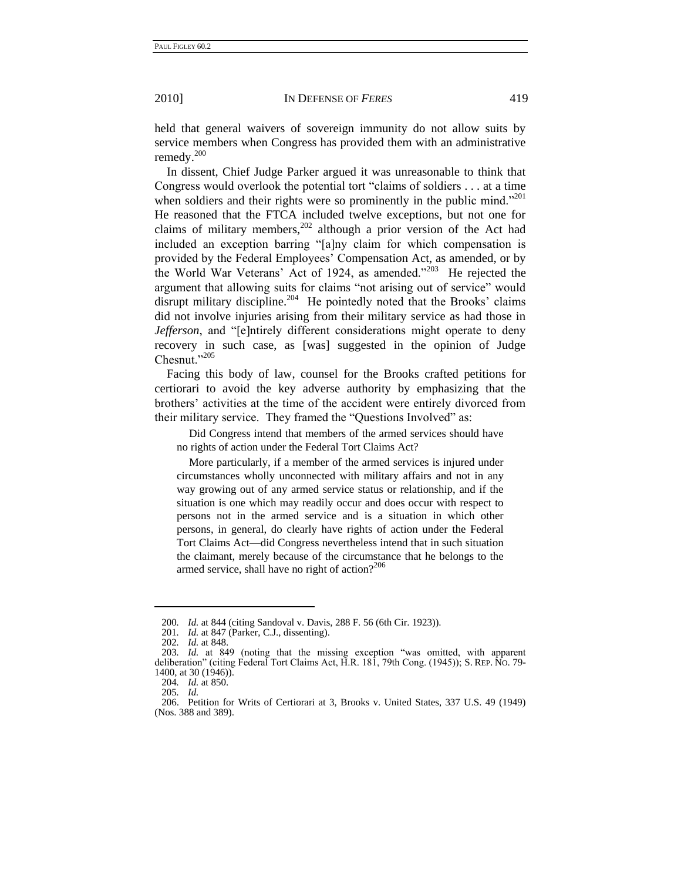held that general waivers of sovereign immunity do not allow suits by service members when Congress has provided them with an administrative remedy. $200$ 

In dissent, Chief Judge Parker argued it was unreasonable to think that Congress would overlook the potential tort "claims of soldiers  $\dots$  at a time when soldiers and their rights were so prominently in the public mind. $201$ He reasoned that the FTCA included twelve exceptions, but not one for claims of military members,<sup>202</sup> although a prior version of the Act had included an exception barring "[a]ny claim for which compensation is provided by the Federal Employees' Compensation Act, as amended, or by the World War Veterans' Act of 1924, as amended."<sup>203</sup> He rejected the argument that allowing suits for claims "not arising out of service" would disrupt military discipline. $204$  He pointedly noted that the Brooks' claims did not involve injuries arising from their military service as had those in *Jefferson*, and "[e]ntirely different considerations might operate to deny recovery in such case, as [was] suggested in the opinion of Judge Chesnut."205

Facing this body of law, counsel for the Brooks crafted petitions for certiorari to avoid the key adverse authority by emphasizing that the brothers' activities at the time of the accident were entirely divorced from their military service. They framed the "Questions Involved" as:

Did Congress intend that members of the armed services should have no rights of action under the Federal Tort Claims Act?

More particularly, if a member of the armed services is injured under circumstances wholly unconnected with military affairs and not in any way growing out of any armed service status or relationship, and if the situation is one which may readily occur and does occur with respect to persons not in the armed service and is a situation in which other persons, in general, do clearly have rights of action under the Federal Tort Claims Act—did Congress nevertheless intend that in such situation the claimant, merely because of the circumstance that he belongs to the armed service, shall have no right of action? $2^{206}$ 

<sup>200</sup>*. Id.* at 844 (citing Sandoval v. Davis, 288 F. 56 (6th Cir. 1923)).

<sup>201</sup>*. Id.* at 847 (Parker, C.J., dissenting).

<sup>202</sup>*. Id.* at 848.

<sup>203</sup>*. Id.* at 849 (noting that the missing exception "was omitted, with apparent deliberation" (citing Federal Tort Claims Act, H.R. 181, 79th Cong. (1945)); S. REP. No. 79-1400, at 30 (1946)).

<sup>204</sup>*. Id.* at 850.

<sup>205</sup>*. Id.*

<sup>206.</sup> Petition for Writs of Certiorari at 3, Brooks v. United States, 337 U.S. 49 (1949) (Nos. 388 and 389).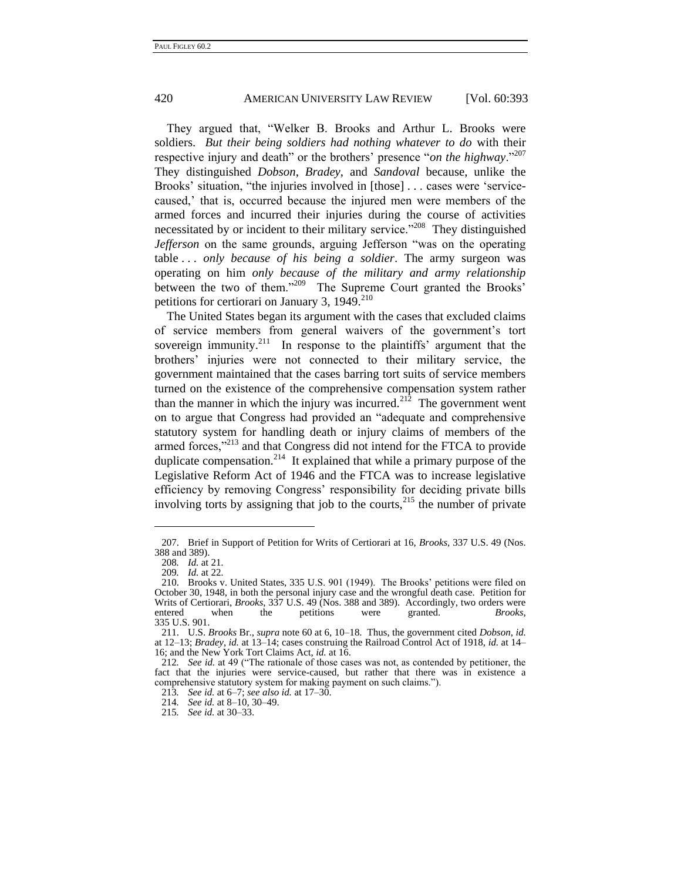They argued that, "Welker B. Brooks and Arthur L. Brooks were soldiers. *But their being soldiers had nothing whatever to do* with their respective injury and death" or the brothers' presence "*on the highway*."<sup>207</sup> They distinguished *Dobson*, *Bradey*, and *Sandoval* because, unlike the Brooks' situation, "the injuries involved in [those] . . . cases were 'servicecaused,' that is, occurred because the injured men were members of the armed forces and incurred their injuries during the course of activities necessitated by or incident to their military service.<sup> $208$ </sup> They distinguished *Jefferson* on the same grounds, arguing Jefferson "was on the operating table . . . *only because of his being a soldier*. The army surgeon was operating on him *only because of the military and army relationship* between the two of them."<sup>209</sup> The Supreme Court granted the Brooks' petitions for certiorari on January 3, 1949.<sup>210</sup>

The United States began its argument with the cases that excluded claims of service members from general waivers of the government's tort sovereign immunity.<sup>211</sup> In response to the plaintiffs' argument that the brothers' injuries were not connected to their military service, the government maintained that the cases barring tort suits of service members turned on the existence of the comprehensive compensation system rather than the manner in which the injury was incurred.<sup>212</sup> The government went on to argue that Congress had provided an "adequate and comprehensive statutory system for handling death or injury claims of members of the armed forces,"<sup>213</sup> and that Congress did not intend for the FTCA to provide duplicate compensation.<sup>214</sup> It explained that while a primary purpose of the Legislative Reform Act of 1946 and the FTCA was to increase legislative efficiency by removing Congress' responsibility for deciding private bills involving torts by assigning that job to the courts,  $^{215}$  the number of private

<sup>207.</sup> Brief in Support of Petition for Writs of Certiorari at 16, *Brooks*, 337 U.S. 49 (Nos. 388 and 389).

<sup>208</sup>*. Id.* at 21.

<sup>209</sup>*. Id.* at 22.

<sup>210.</sup> Brooks v. United States, 335 U.S. 901 (1949). The Brooks' petitions were filed on October 30, 1948, in both the personal injury case and the wrongful death case. Petition for Writs of Certiorari, *Brooks*, 337 U.S. 49 (Nos. 388 and 389). Accordingly, two orders were entered when the petitions were granted. *Brooks*, 335 U.S. 901.

<sup>211.</sup> U.S. *Brooks* Br., *supra* not[e 60](#page-12-0) at 6, 10–18. Thus, the government cited *Dobson*, *id.* at 12–13; *Bradey*, *id.* at 13–14; cases construing the Railroad Control Act of 1918, *id.* at 14– 16; and the New York Tort Claims Act, *id.* at 16.

<sup>212.</sup> *See id.* at 49 ("The rationale of those cases was not, as contended by petitioner, the fact that the injuries were service-caused, but rather that there was in existence a comprehensive statutory system for making payment on such claims.").

<sup>213</sup>*. See id.* at 6–7; *see also id.* at 17–30.

<sup>214</sup>*. See id.* at 8–10, 30–49.

<sup>215</sup>*. See id.* at 30–33.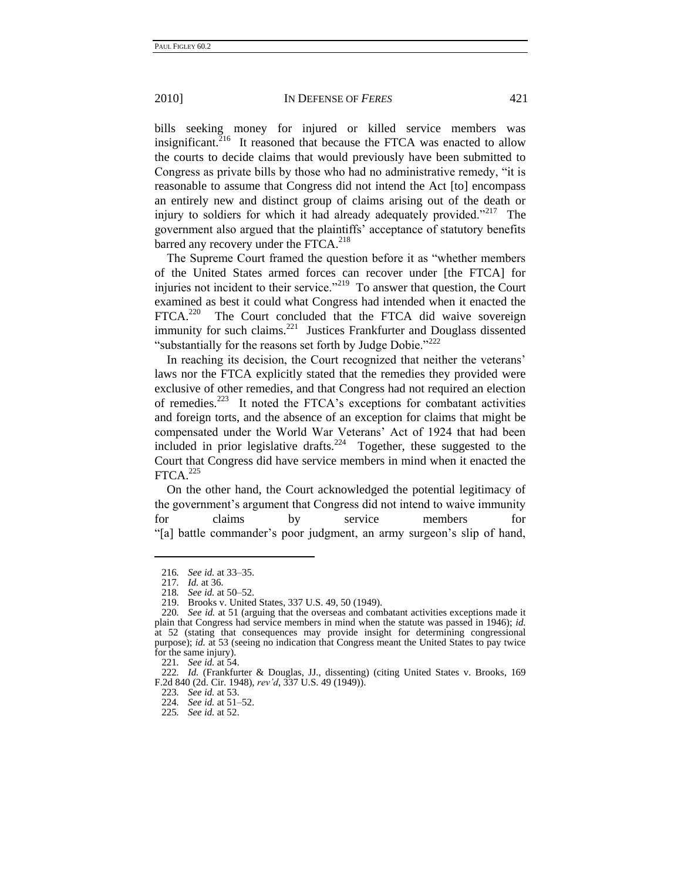bills seeking money for injured or killed service members was insignificant.<sup>216</sup> It reasoned that because the FTCA was enacted to allow the courts to decide claims that would previously have been submitted to Congress as private bills by those who had no administrative remedy, "it is reasonable to assume that Congress did not intend the Act [to] encompass an entirely new and distinct group of claims arising out of the death or injury to soldiers for which it had already adequately provided."<sup>217</sup> The government also argued that the plaintiffs' acceptance of statutory benefits barred any recovery under the FTCA.<sup>218</sup>

The Supreme Court framed the question before it as "whether members" of the United States armed forces can recover under [the FTCA] for injuries not incident to their service."<sup>219</sup> To answer that question, the Court examined as best it could what Congress had intended when it enacted the FTCA.<sup>220</sup> The Court concluded that the FTCA did waive sovereign immunity for such claims.<sup>221</sup> Justices Frankfurter and Douglass dissented "substantially for the reasons set forth by Judge Dobie." $^{222}$ 

In reaching its decision, the Court recognized that neither the veterans' laws nor the FTCA explicitly stated that the remedies they provided were exclusive of other remedies, and that Congress had not required an election of remedies.<sup>223</sup> It noted the FTCA's exceptions for combatant activities and foreign torts, and the absence of an exception for claims that might be compensated under the World War Veterans' Act of 1924 that had been included in prior legislative drafts.<sup>224</sup> Together, these suggested to the Court that Congress did have service members in mind when it enacted the  $FTCA.<sup>225</sup>$ 

On the other hand, the Court acknowledged the potential legitimacy of the government's argument that Congress did not intend to waive immunity for claims by service members for ―[a] battle commander's poor judgment, an army surgeon's slip of hand,

<sup>216</sup>*. See id.* at 33–35.

<sup>217</sup>*. Id.* at 36.

<sup>218</sup>*. See id.* at 50–52.

<sup>219.</sup> Brooks v. United States, 337 U.S. 49, 50 (1949).

<sup>220</sup>*. See id.* at 51 (arguing that the overseas and combatant activities exceptions made it plain that Congress had service members in mind when the statute was passed in 1946); *id.* at 52 (stating that consequences may provide insight for determining congressional purpose); *id.* at 53 (seeing no indication that Congress meant the United States to pay twice for the same injury).

<sup>221</sup>*. See id.* at 54.

<sup>222</sup>*. Id.* (Frankfurter & Douglas, JJ., dissenting) (citing United States v. Brooks, 169 F.2d 840 (2d. Cir. 1948), *rev'd*, 337 U.S. 49 (1949)).

<sup>223</sup>*. See id.* at 53.

<sup>224</sup>*. See id.* at 51–52.

<sup>225</sup>*. See id.* at 52.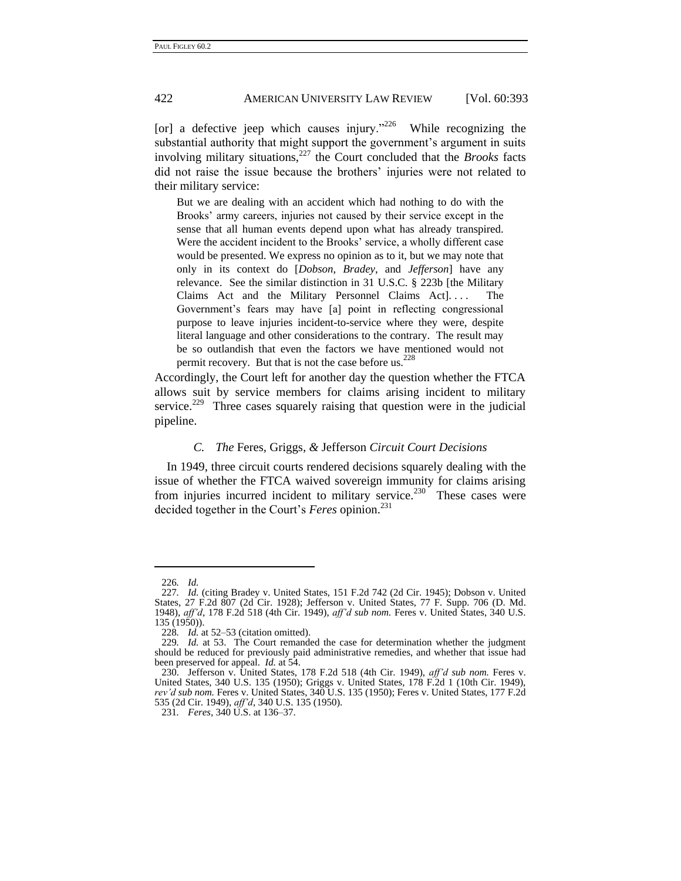[or] a defective jeep which causes injury."<sup>226</sup> While recognizing the substantial authority that might support the government's argument in suits involving military situations, $227$  the Court concluded that the *Brooks* facts did not raise the issue because the brothers' injuries were not related to their military service:

But we are dealing with an accident which had nothing to do with the Brooks' army careers, injuries not caused by their service except in the sense that all human events depend upon what has already transpired. Were the accident incident to the Brooks' service, a wholly different case would be presented. We express no opinion as to it, but we may note that only in its context do [*Dobson*, *Bradey*, and *Jefferson*] have any relevance. See the similar distinction in 31 U.S.C. § 223b [the Military Claims Act and the Military Personnel Claims Act]. . . . The Government's fears may have [a] point in reflecting congressional purpose to leave injuries incident-to-service where they were, despite literal language and other considerations to the contrary. The result may be so outlandish that even the factors we have mentioned would not permit recovery. But that is not the case before us.  $228$ 

Accordingly, the Court left for another day the question whether the FTCA allows suit by service members for claims arising incident to military service.<sup>229</sup> Three cases squarely raising that question were in the judicial pipeline.

#### *C. The* Feres*,* Griggs*, &* Jefferson *Circuit Court Decisions*

In 1949, three circuit courts rendered decisions squarely dealing with the issue of whether the FTCA waived sovereign immunity for claims arising from injuries incurred incident to military service.<sup>230</sup> These cases were decided together in the Court's *Feres* opinion.<sup>231</sup>

<sup>226</sup>*. Id.*

<sup>227</sup>*. Id.* (citing Bradey v. United States, 151 F.2d 742 (2d Cir. 1945); Dobson v. United States, 27 F.2d 807 (2d Cir. 1928); Jefferson v. United States, 77 F. Supp. 706 (D. Md. 1948), *aff'd*, 178 F.2d 518 (4th Cir. 1949), *aff'd sub nom.* Feres v. United States, 340 U.S. 135 (1950)).

<sup>228</sup>*. Id.* at 52–53 (citation omitted).

<sup>229</sup>*. Id.* at 53. The Court remanded the case for determination whether the judgment should be reduced for previously paid administrative remedies, and whether that issue had been preserved for appeal. *Id.* at 54.

<sup>230.</sup> Jefferson v. United States, 178 F.2d 518 (4th Cir. 1949), *aff'd sub nom.* Feres v. United States, 340 U.S. 135 (1950); Griggs v. United States, 178 F.2d 1 (10th Cir. 1949), *rev'd sub nom.* Feres v. United States, 340 U.S. 135 (1950); Feres v. United States, 177 F.2d 535 (2d Cir. 1949), *aff'd*, 340 U.S. 135 (1950).

<sup>231</sup>*. Feres*, 340 U.S. at 136–37.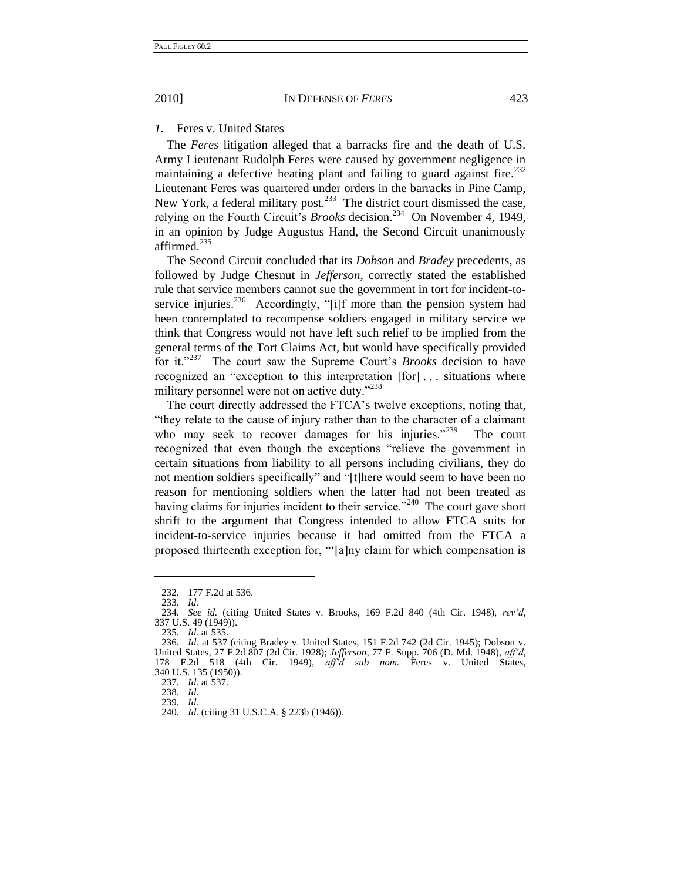#### *1.* Feres v. United States

The *Feres* litigation alleged that a barracks fire and the death of U.S. Army Lieutenant Rudolph Feres were caused by government negligence in maintaining a defective heating plant and failing to guard against fire.<sup>232</sup> Lieutenant Feres was quartered under orders in the barracks in Pine Camp, New York, a federal military post.<sup>233</sup> The district court dismissed the case, relying on the Fourth Circuit's *Brooks* decision.<sup>234</sup> On November 4, 1949, in an opinion by Judge Augustus Hand, the Second Circuit unanimously affirmed.<sup>235</sup>

The Second Circuit concluded that its *Dobson* and *Bradey* precedents, as followed by Judge Chesnut in *Jefferson*, correctly stated the established rule that service members cannot sue the government in tort for incident-toservice injuries.<sup>236</sup> Accordingly, "[i]f more than the pension system had been contemplated to recompense soldiers engaged in military service we think that Congress would not have left such relief to be implied from the general terms of the Tort Claims Act, but would have specifically provided for it."<sup>237</sup> The court saw the Supreme Court's *Brooks* decision to have recognized an "exception to this interpretation [for] ... situations where military personnel were not on active duty."<sup>238</sup>

The court directly addressed the FTCA's twelve exceptions, noting that, "they relate to the cause of injury rather than to the character of a claimant who may seek to recover damages for his injuries." $239$  The court recognized that even though the exceptions "relieve the government in certain situations from liability to all persons including civilians, they do not mention soldiers specifically" and "[t]here would seem to have been no reason for mentioning soldiers when the latter had not been treated as having claims for injuries incident to their service. $240$  The court gave short shrift to the argument that Congress intended to allow FTCA suits for incident-to-service injuries because it had omitted from the FTCA a proposed thirteenth exception for, "[a]ny claim for which compensation is

<sup>232.</sup> 177 F.2d at 536.

<sup>233</sup>*. Id.*

<sup>234</sup>*. See id.* (citing United States v. Brooks, 169 F.2d 840 (4th Cir. 1948), *rev'd*, 337 U.S. 49 (1949)).

<sup>235</sup>*. Id.* at 535.

<sup>236</sup>*. Id.* at 537 (citing Bradey v. United States, 151 F.2d 742 (2d Cir. 1945); Dobson v. United States, 27 F.2d 807 (2d Cir. 1928); *Jefferson*, 77 F. Supp. 706 (D. Md. 1948), *aff'd*, 178 F.2d 518 (4th Cir. 1949), *aff'd sub nom.* Feres v. United States, 340 U.S. 135 (1950)).

<sup>237</sup>*. Id.* at 537.

<sup>238</sup>*. Id.* 239*. Id.* 

<sup>240</sup>*. Id.* (citing 31 U.S.C.A. § 223b (1946)).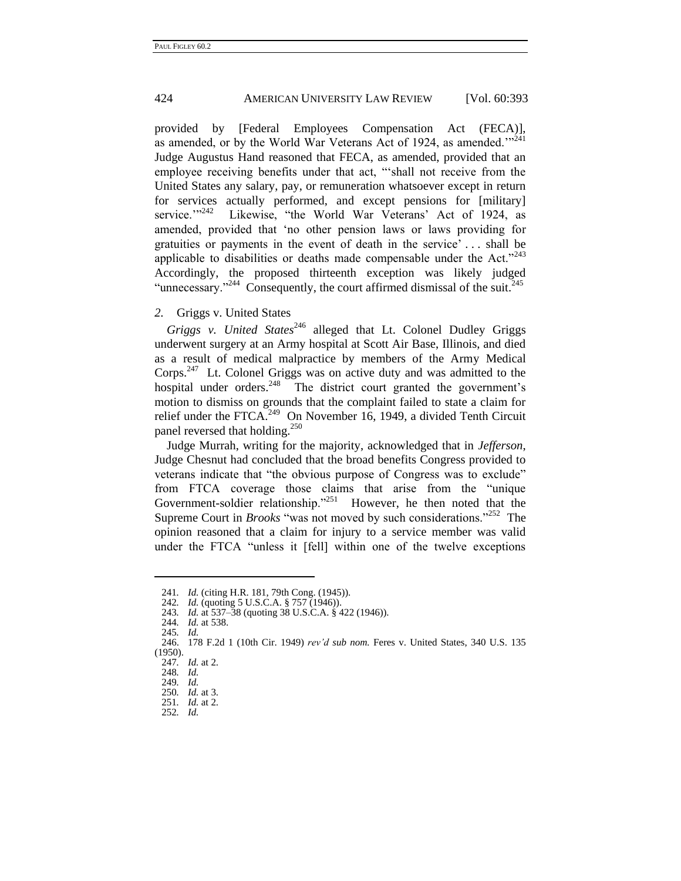provided by [Federal Employees Compensation Act (FECA)], as amended, or by the World War Veterans Act of 1924, as amended. $^{224}$ Judge Augustus Hand reasoned that FECA, as amended, provided that an employee receiving benefits under that act, "shall not receive from the United States any salary, pay, or remuneration whatsoever except in return for services actually performed, and except pensions for [military] service.">>242 Likewise, "the World War Veterans' Act of 1924, as amended, provided that 'no other pension laws or laws providing for gratuities or payments in the event of death in the service' . . . shall be applicable to disabilities or deaths made compensable under the Act."<sup>243</sup> Accordingly, the proposed thirteenth exception was likely judged "unnecessary."<sup>244</sup> Consequently, the court affirmed dismissal of the suit.<sup>245</sup>

#### *2.* Griggs v. United States

Griggs v. United States<sup>246</sup> alleged that Lt. Colonel Dudley Griggs underwent surgery at an Army hospital at Scott Air Base, Illinois, and died as a result of medical malpractice by members of the Army Medical Corps.<sup>247</sup> Lt. Colonel Griggs was on active duty and was admitted to the hospital under orders.<sup>248</sup> The district court granted the government's motion to dismiss on grounds that the complaint failed to state a claim for relief under the FTCA.<sup>249</sup> On November 16, 1949, a divided Tenth Circuit panel reversed that holding.<sup>250</sup>

Judge Murrah, writing for the majority, acknowledged that in *Jefferson*, Judge Chesnut had concluded that the broad benefits Congress provided to veterans indicate that "the obvious purpose of Congress was to exclude" from FTCA coverage those claims that arise from the "unique Government-soldier relationship."<sup>251</sup> However, he then noted that the Supreme Court in *Brooks* "was not moved by such considerations."<sup>252</sup> The opinion reasoned that a claim for injury to a service member was valid under the FTCA "unless it [fell] within one of the twelve exceptions

<sup>241</sup>*. Id.* (citing H.R. 181, 79th Cong. (1945)).

<sup>242</sup>*. Id.* (quoting 5 U.S.C.A. § 757 (1946)).

<sup>243</sup>*. Id.* at 537–38 (quoting 38 U.S.C.A. § 422 (1946)).

<sup>244</sup>*. Id.* at 538.

<sup>245</sup>*. Id.*

<sup>246.</sup> 178 F.2d 1 (10th Cir. 1949) *rev'd sub nom.* Feres v. United States, 340 U.S. 135 (1950).

<sup>247</sup>*. Id.* at 2.

<sup>248</sup>*. Id.*

<sup>249</sup>*. Id.*

<sup>250</sup>*. Id.* at 3. 251*. Id.* at 2.

<sup>252</sup>*. Id.*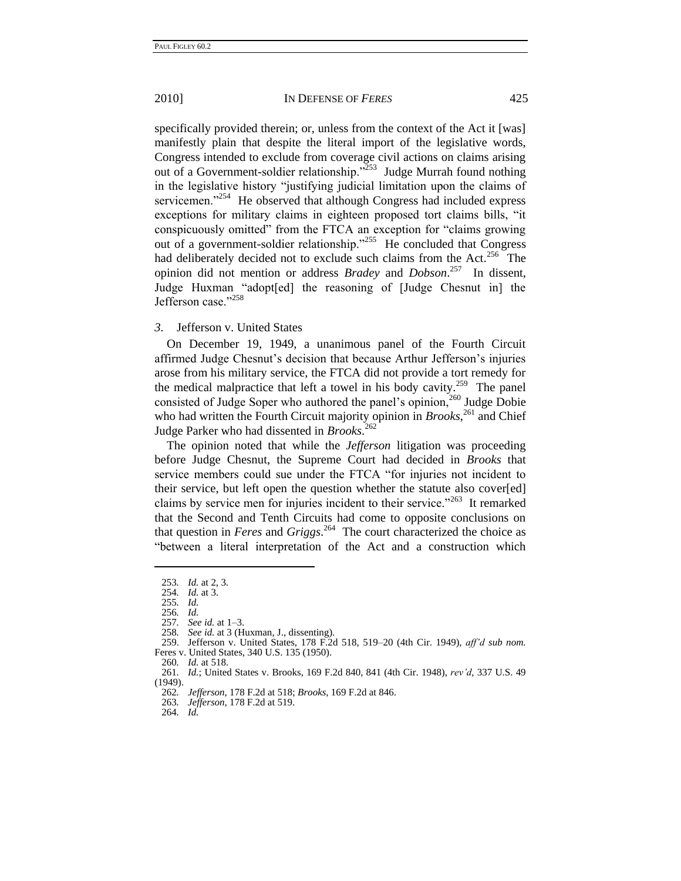specifically provided therein; or, unless from the context of the Act it [was] manifestly plain that despite the literal import of the legislative words, Congress intended to exclude from coverage civil actions on claims arising out of a Government-soldier relationship."<sup>253</sup> Judge Murrah found nothing in the legislative history "justifying judicial limitation upon the claims of servicemen."<sup>254</sup> He observed that although Congress had included express exceptions for military claims in eighteen proposed tort claims bills, "it conspicuously omitted" from the FTCA an exception for "claims growing out of a government-soldier relationship."<sup>255</sup> He concluded that Congress had deliberately decided not to exclude such claims from the Act.<sup>256</sup> The opinion did not mention or address *Bradey* and *Dobson*. 257 In dissent, Judge Huxman "adopt[ed] the reasoning of [Judge Chesnut in] the Jefferson case."258

#### *3.* Jefferson v. United States

On December 19, 1949, a unanimous panel of the Fourth Circuit affirmed Judge Chesnut's decision that because Arthur Jefferson's injuries arose from his military service, the FTCA did not provide a tort remedy for the medical malpractice that left a towel in his body cavity.<sup>259</sup> The panel consisted of Judge Soper who authored the panel's opinion,<sup>260</sup> Judge Dobie who had written the Fourth Circuit majority opinion in *Brooks*<sup>261</sup> and Chief Judge Parker who had dissented in *Brooks*. 262

The opinion noted that while the *Jefferson* litigation was proceeding before Judge Chesnut, the Supreme Court had decided in *Brooks* that service members could sue under the FTCA "for injuries not incident to their service, but left open the question whether the statute also cover[ed] claims by service men for injuries incident to their service."<sup>263</sup> It remarked that the Second and Tenth Circuits had come to opposite conclusions on that question in *Feres* and *Griggs*. 264 The court characterized the choice as "between a literal interpretation of the Act and a construction which

<sup>253</sup>*. Id.* at 2, 3.

*Id.* at 3.

<sup>255</sup>*. Id.*

<sup>256</sup>*. Id.*  257*. See id.* at 1–3.

<sup>258</sup>*. See id.* at 3 (Huxman, J., dissenting).

<sup>259.</sup> Jefferson v. United States, 178 F.2d 518, 519–20 (4th Cir. 1949), *aff'd sub nom.* Feres v. United States, 340 U.S. 135 (1950).

<sup>260</sup>*. Id.* at 518.

<sup>261</sup>*. Id.*; United States v. Brooks, 169 F.2d 840, 841 (4th Cir. 1948), *rev'd*, 337 U.S. 49 (1949).

<sup>262</sup>*. Jefferson*, 178 F.2d at 518; *Brooks*, 169 F.2d at 846.

<sup>263</sup>*. Jefferson*, 178 F.2d at 519.

<sup>264</sup>*. Id.*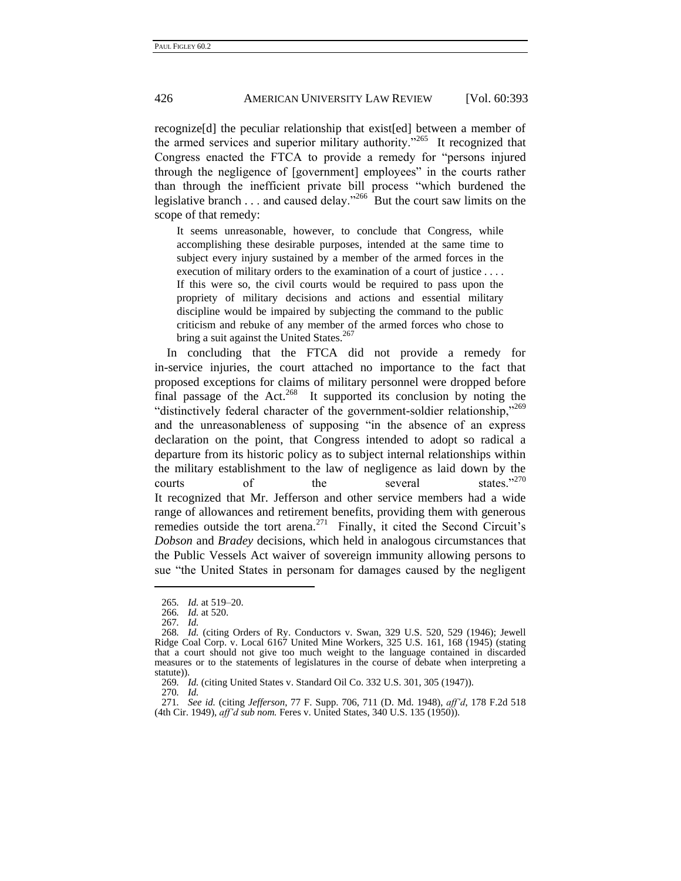recognize[d] the peculiar relationship that exist[ed] between a member of the armed services and superior military authority.<sup> $265$ </sup> It recognized that Congress enacted the FTCA to provide a remedy for "persons injured through the negligence of [government] employees" in the courts rather than through the inefficient private bill process "which burdened the legislative branch  $\dots$  and caused delay.<sup>266</sup> But the court saw limits on the scope of that remedy:

It seems unreasonable, however, to conclude that Congress, while accomplishing these desirable purposes, intended at the same time to subject every injury sustained by a member of the armed forces in the execution of military orders to the examination of a court of justice . . . . If this were so, the civil courts would be required to pass upon the propriety of military decisions and actions and essential military discipline would be impaired by subjecting the command to the public criticism and rebuke of any member of the armed forces who chose to bring a suit against the United States.<sup>267</sup>

In concluding that the FTCA did not provide a remedy for in-service injuries, the court attached no importance to the fact that proposed exceptions for claims of military personnel were dropped before final passage of the Act.<sup>268</sup> It supported its conclusion by noting the "distinctively federal character of the government-soldier relationship,"<sup>269</sup> and the unreasonableness of supposing "in the absence of an express declaration on the point, that Congress intended to adopt so radical a departure from its historic policy as to subject internal relationships within the military establishment to the law of negligence as laid down by the courts of the several states."<sup>270</sup> It recognized that Mr. Jefferson and other service members had a wide range of allowances and retirement benefits, providing them with generous remedies outside the tort arena.<sup>271</sup> Finally, it cited the Second Circuit's *Dobson* and *Bradey* decisions, which held in analogous circumstances that the Public Vessels Act waiver of sovereign immunity allowing persons to sue "the United States in personam for damages caused by the negligent

<sup>265</sup>*. Id.* at 519–20.

<sup>266</sup>*. Id.* at 520.

<sup>267</sup>*. Id.*

<sup>268</sup>*. Id.* (citing Orders of Ry. Conductors v. Swan, 329 U.S. 520, 529 (1946); Jewell Ridge Coal Corp. v. Local 6167 United Mine Workers, 325 U.S. 161, 168 (1945) (stating that a court should not give too much weight to the language contained in discarded measures or to the statements of legislatures in the course of debate when interpreting a statute)).

<sup>269</sup>*. Id.* (citing United States v. Standard Oil Co. 332 U.S. 301, 305 (1947)).

<sup>270</sup>*. Id.*

<sup>271</sup>*. See id.* (citing *Jefferson*, 77 F. Supp. 706, 711 (D. Md. 1948), *aff'd*, 178 F.2d 518 (4th Cir. 1949), *aff'd sub nom.* Feres v. United States, 340 U.S. 135 (1950)).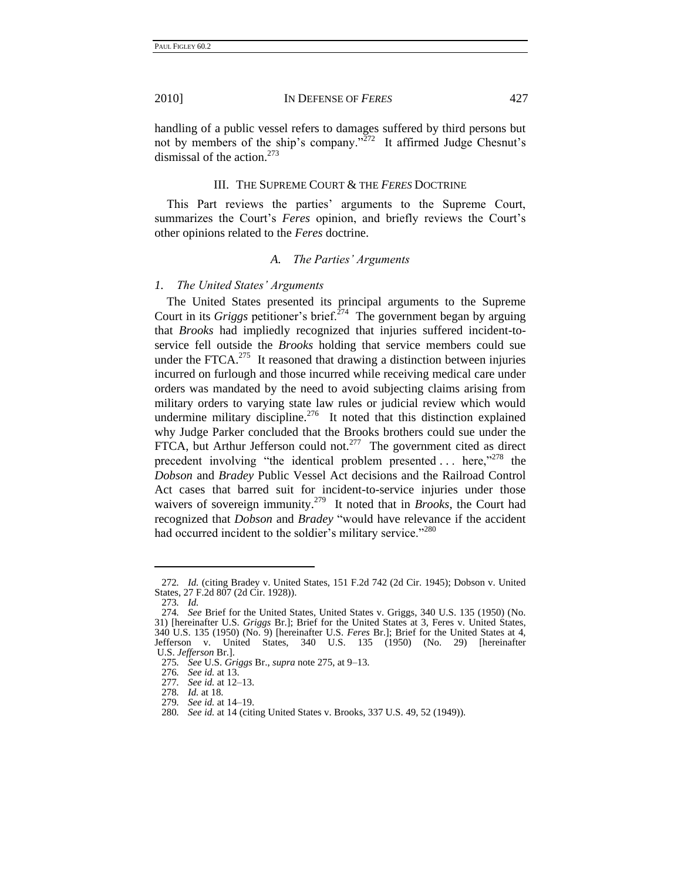handling of a public vessel refers to damages suffered by third persons but not by members of the ship's company." $272$  It affirmed Judge Chesnut's dismissal of the action. $273$ 

## III. THE SUPREME COURT & THE *FERES* DOCTRINE

This Part reviews the parties' arguments to the Supreme Court, summarizes the Court's *Feres* opinion, and briefly reviews the Court's other opinions related to the *Feres* doctrine.

#### <span id="page-36-0"></span>*A. The Parties' Arguments*

#### *1. The United States' Arguments*

The United States presented its principal arguments to the Supreme Court in its *Griggs* petitioner's brief.<sup> $274$ </sup> The government began by arguing that *Brooks* had impliedly recognized that injuries suffered incident-toservice fell outside the *Brooks* holding that service members could sue under the FTCA. $^{275}$  It reasoned that drawing a distinction between injuries incurred on furlough and those incurred while receiving medical care under orders was mandated by the need to avoid subjecting claims arising from military orders to varying state law rules or judicial review which would undermine military discipline.<sup>276</sup> It noted that this distinction explained why Judge Parker concluded that the Brooks brothers could sue under the FTCA, but Arthur Jefferson could not.<sup>277</sup> The government cited as direct precedent involving "the identical problem presented  $\ldots$  here,"<sup>278</sup> the *Dobson* and *Bradey* Public Vessel Act decisions and the Railroad Control Act cases that barred suit for incident-to-service injuries under those waivers of sovereign immunity.<sup>279</sup> It noted that in *Brooks*, the Court had recognized that *Dobson* and *Bradey* "would have relevance if the accident had occurred incident to the soldier's military service."<sup>280</sup>

<sup>272</sup>*. Id.* (citing Bradey v. United States, 151 F.2d 742 (2d Cir. 1945); Dobson v. United States, 27 F.2d 807 (2d Cir. 1928)).

<sup>273</sup>*. Id.*

<sup>274</sup>*. See* Brief for the United States, United States v. Griggs, 340 U.S. 135 (1950) (No. 31) [hereinafter U.S. *Griggs* Br.]; Brief for the United States at 3, Feres v. United States, 340 U.S. 135 (1950) (No. 9) [hereinafter U.S. *Feres* Br.]; Brief for the United States at 4, Jefferson v. United States, 340 U.S. 135 (1950) (No. 29) [hereinafter U.S. *Jefferson* Br.].

<sup>275</sup>*. See* U.S. *Griggs* Br., *supra* note 275, at 9–13.

<sup>276</sup>*. See id.* at 13.

<sup>277</sup>*. See id.* at 12–13.

<sup>278</sup>*. Id.* at 18.

<sup>279</sup>*. See id.* at 14–19.

<sup>280</sup>*. See id.* at 14 (citing United States v. Brooks, 337 U.S. 49, 52 (1949)).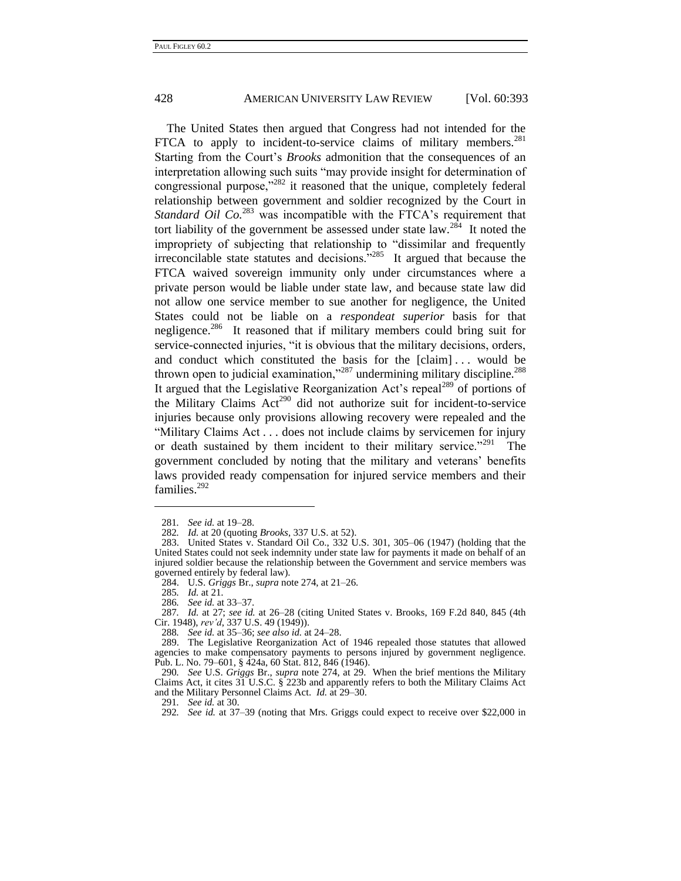The United States then argued that Congress had not intended for the FTCA to apply to incident-to-service claims of military members. $^{281}$ Starting from the Court's *Brooks* admonition that the consequences of an interpretation allowing such suits "may provide insight for determination of congressional purpose,"<sup>282</sup> it reasoned that the unique, completely federal relationship between government and soldier recognized by the Court in *Standard Oil Co.*<sup>283</sup> was incompatible with the FTCA's requirement that tort liability of the government be assessed under state law.<sup>284</sup> It noted the impropriety of subjecting that relationship to "dissimilar and frequently irreconcilable state statutes and decisions.<sup> $285$ </sup> It argued that because the FTCA waived sovereign immunity only under circumstances where a private person would be liable under state law, and because state law did not allow one service member to sue another for negligence, the United States could not be liable on a *respondeat superior* basis for that negligence.<sup>286</sup> It reasoned that if military members could bring suit for service-connected injuries, "it is obvious that the military decisions, orders, and conduct which constituted the basis for the [claim] . . . would be thrown open to judicial examination,"<sup>287</sup> undermining military discipline.<sup>288</sup> It argued that the Legislative Reorganization Act's repeal<sup>289</sup> of portions of the Military Claims  $Act^{290}$  did not authorize suit for incident-to-service injuries because only provisions allowing recovery were repealed and the "Military Claims Act . . . does not include claims by servicemen for injury or death sustained by them incident to their military service.<sup> $291$ </sup> The government concluded by noting that the military and veterans' benefits laws provided ready compensation for injured service members and their families.<sup>292</sup>

<sup>281</sup>*. See id.* at 19–28.

<sup>282</sup>*. Id.* at 20 (quoting *Brooks*, 337 U.S. at 52).

<sup>283.</sup> United States v. Standard Oil Co., 332 U.S. 301, 305–06 (1947) (holding that the United States could not seek indemnity under state law for payments it made on behalf of an injured soldier because the relationship between the Government and service members was governed entirely by federal law).

<sup>284.</sup> U.S. *Griggs* Br., *supra* note [274,](#page-36-0) at 21–26.

<sup>285</sup>*. Id.* at 21.

<sup>286</sup>*. See id.* at 33–37.

<sup>287</sup>*. Id.* at 27; *see id.* at 26–28 (citing United States v. Brooks, 169 F.2d 840, 845 (4th Cir. 1948), *rev'd*, 337 U.S. 49 (1949)).

<sup>288</sup>*. See id.* at 35–36; *see also id.* at 24–28.

<sup>289.</sup> The Legislative Reorganization Act of 1946 repealed those statutes that allowed agencies to make compensatory payments to persons injured by government negligence. Pub. L. No. 79–601, § 424a, 60 Stat. 812, 846 (1946).

<sup>290</sup>*. See* U.S. *Griggs* Br., *supra* note [274,](#page-36-0) at 29. When the brief mentions the Military Claims Act, it cites 31 U.S.C. § 223b and apparently refers to both the Military Claims Act and the Military Personnel Claims Act. *Id.* at 29–30.

<sup>291</sup>*. See id.* at 30.

<sup>292</sup>*. See id.* at 37–39 (noting that Mrs. Griggs could expect to receive over \$22,000 in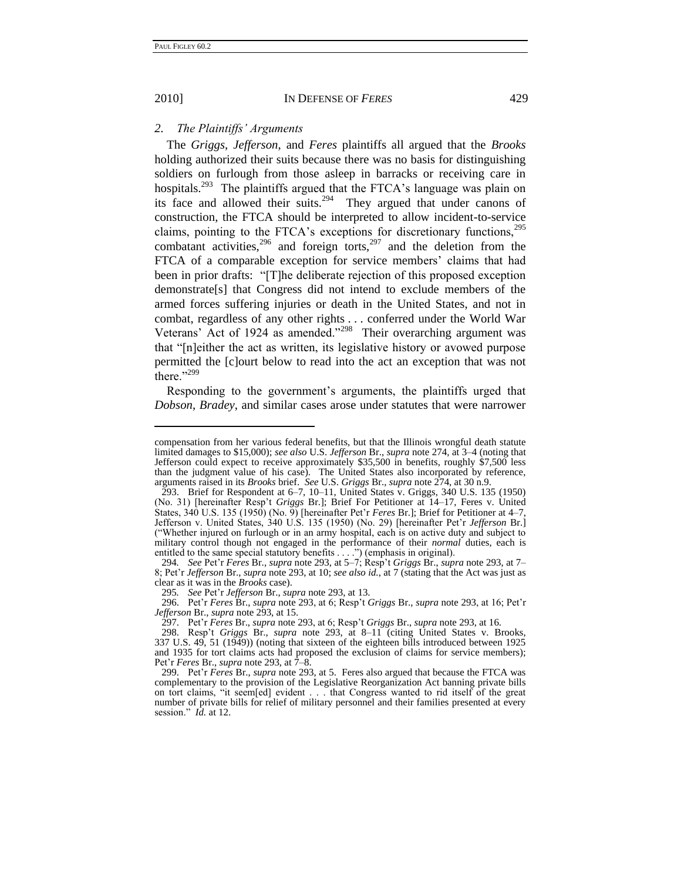2010] IN DEFENSE OF *FERES* 429

#### *2. The Plaintiffs' Arguments*

<span id="page-38-0"></span>The *Griggs*, *Jefferson*, and *Feres* plaintiffs all argued that the *Brooks* holding authorized their suits because there was no basis for distinguishing soldiers on furlough from those asleep in barracks or receiving care in hospitals.<sup>293</sup> The plaintiffs argued that the FTCA's language was plain on its face and allowed their suits.<sup>294</sup> They argued that under canons of construction, the FTCA should be interpreted to allow incident-to-service claims, pointing to the FTCA's exceptions for discretionary functions, $295$ combatant activities,  $296$  and foreign torts,  $297$  and the deletion from the FTCA of a comparable exception for service members' claims that had been in prior drafts: "[T]he deliberate rejection of this proposed exception demonstrate[s] that Congress did not intend to exclude members of the armed forces suffering injuries or death in the United States, and not in combat, regardless of any other rights . . . conferred under the World War Veterans' Act of 1924 as amended. $2^{298}$  Their overarching argument was that "[n]either the act as written, its legislative history or avowed purpose permitted the [c]ourt below to read into the act an exception that was not there. $1299$ 

Responding to the government's arguments, the plaintiffs urged that *Dobson*, *Bradey*, and similar cases arose under statutes that were narrower

295*. See* Pet'r *Jefferson* Br., *supra* note [293,](#page-38-0) at 13.

296. Pet'r *Feres* Br., *supra* not[e 293,](#page-38-0) at 6; Resp't *Griggs* Br., *supra* not[e 293,](#page-38-0) at 16; Pet'r *Jefferson* Br., *supra* not[e 293,](#page-38-0) at 15.

compensation from her various federal benefits, but that the Illinois wrongful death statute limited damages to \$15,000); *see also* U.S. *Jefferson* Br., *supra* not[e 274,](#page-36-0) at 3–4 (noting that Jefferson could expect to receive approximately \$35,500 in benefits, roughly \$7,500 less than the judgment value of his case). The United States also incorporated by reference, arguments raised in its *Brooks* brief. *See* U.S. *Griggs* Br., *supra* not[e 274,](#page-36-0) at 30 n.9.

<sup>293.</sup> Brief for Respondent at 6–7, 10–11, United States v. Griggs, 340 U.S. 135 (1950) (No. 31) [hereinafter Resp't *Griggs* Br.]; Brief For Petitioner at 14–17, Feres v. United States, 340 U.S. 135 (1950) (No. 9) [hereinafter Pet'r *Feres* Br.]; Brief for Petitioner at 4–7, Jefferson v. United States, 340 U.S. 135 (1950) (No. 29) [hereinafter Pet'r *Jefferson* Br.] (―Whether injured on furlough or in an army hospital, each is on active duty and subject to military control though not engaged in the performance of their *normal* duties, each is entitled to the same special statutory benefits  $\ldots$  ") (emphasis in original).

<sup>294</sup>*. See* Pet'r *Feres* Br., *supra* not[e 293,](#page-38-0) at 5–7; Resp't *Griggs* Br., *supra* note [293,](#page-38-0) at 7– 8; Pet'r *Jefferson* Br., *supra* not[e 293,](#page-38-0) at 10; *see also id.*, at 7 (stating that the Act was just as clear as it was in the *Brooks* case).

<sup>297.</sup> Pet'r *Feres* Br., *supra* not[e 293,](#page-38-0) at 6; Resp't *Griggs* Br., *supra* note [293,](#page-38-0) at 16.

<sup>298.</sup> Resp't *Griggs* Br., *supra* note [293,](#page-38-0) at 8–11 (citing United States v. Brooks, 337 U.S. 49, 51 (1949)) (noting that sixteen of the eighteen bills introduced between 1925 and 1935 for tort claims acts had proposed the exclusion of claims for service members); Pet'r *Feres* Br., *supra* not[e 293,](#page-38-0) at 7–8.

<sup>299.</sup> Pet'r *Feres* Br., *supra* not[e 293,](#page-38-0) at 5. Feres also argued that because the FTCA was complementary to the provision of the Legislative Reorganization Act banning private bills on tort claims, "it seem[ed] evident . . . that Congress wanted to rid itself of the great number of private bills for relief of military personnel and their families presented at every session." *Id.* at 12.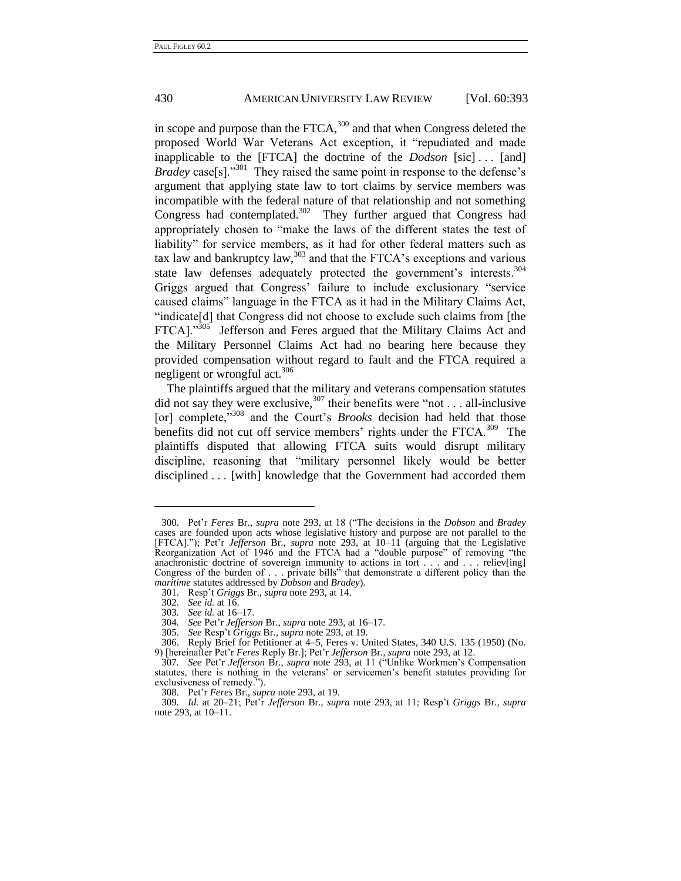in scope and purpose than the FTCA,<sup>300</sup> and that when Congress deleted the proposed World War Veterans Act exception, it "repudiated and made inapplicable to the [FTCA] the doctrine of the *Dodson* [sic] . . . [and] *Bradey* case[s]."<sup>301</sup> They raised the same point in response to the defense's argument that applying state law to tort claims by service members was incompatible with the federal nature of that relationship and not something Congress had contemplated.<sup>302</sup> They further argued that Congress had appropriately chosen to "make the laws of the different states the test of liability" for service members, as it had for other federal matters such as tax law and bankruptcy law, $303$  and that the FTCA's exceptions and various state law defenses adequately protected the government's interests.<sup>304</sup> Griggs argued that Congress' failure to include exclusionary "service caused claims" language in the FTCA as it had in the Military Claims Act, "indicate<sup>[d]</sup> that Congress did not choose to exclude such claims from [the FTCA]."<sup>305</sup> Jefferson and Feres argued that the Military Claims Act and the Military Personnel Claims Act had no bearing here because they provided compensation without regard to fault and the FTCA required a negligent or wrongful act.<sup>306</sup>

<span id="page-39-0"></span>The plaintiffs argued that the military and veterans compensation statutes did not say they were exclusive,  $307$  their benefits were "not . . . all-inclusive [or] complete,<sup>7308</sup> and the Court's *Brooks* decision had held that those benefits did not cut off service members' rights under the FTCA.<sup>309</sup> The plaintiffs disputed that allowing FTCA suits would disrupt military discipline, reasoning that "military personnel likely would be better disciplined . . . [with] knowledge that the Government had accorded them

<sup>300.</sup> Pet'r *Feres* Br., *supra* note [293,](#page-38-0) at 18 (―The decisions in the *Dobson* and *Bradey* cases are founded upon acts whose legislative history and purpose are not parallel to the [FTCA].‖); Pet'r *Jefferson* Br., *supra* note [293,](#page-38-0) at 10–11 (arguing that the Legislative Reorganization Act of 1946 and the FTCA had a "double purpose" of removing "the anachronistic doctrine of sovereign immunity to actions in tort . . . and . . . reliev[ing] Congress of the burden of . . . private bills<sup>35</sup> that demonstrate a different policy than the *maritime* statutes addressed by *Dobson* and *Bradey*).

<sup>301.</sup> Resp't *Griggs* Br., *supra* not[e 293,](#page-38-0) at 14.

<sup>302</sup>*. See id.* at 16.

<sup>303</sup>*. See id.* at 16–17.

<sup>304</sup>*. See* Pet'r *Jefferson* Br., *supra* note [293,](#page-38-0) at 16–17.

<sup>305</sup>*. See* Resp't *Griggs* Br., *supra* note [293,](#page-38-0) at 19.

<sup>306.</sup> Reply Brief for Petitioner at 4–5, Feres v. United States, 340 U.S. 135 (1950) (No. 9) [hereinafter Pet'r *Feres* Reply Br.]; Pet'r *Jefferson* Br., *supra* not[e 293,](#page-38-0) at 12.

<sup>307.</sup> *See* Pet'r *Jefferson* Br., *supra* note [293,](#page-38-0) at 11 ("Unlike Workmen's Compensation statutes, there is nothing in the veterans' or servicemen's benefit statutes providing for exclusiveness of remedy.").

<sup>308.</sup> Pet'r *Feres* Br., *supra* not[e 293,](#page-38-0) at 19.

<sup>309</sup>*. Id.* at 20–21; Pet'r *Jefferson* Br., *supra* note [293,](#page-38-0) at 11; Resp't *Griggs* Br., *supra* not[e 293,](#page-38-0) at 10–11.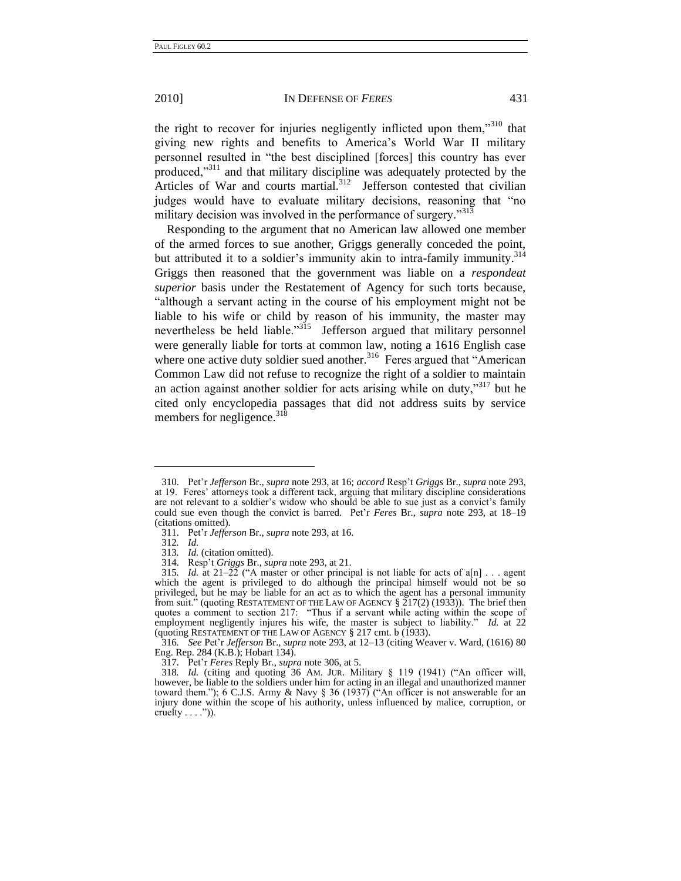the right to recover for injuries negligently inflicted upon them,"<sup>310</sup> that giving new rights and benefits to America's World War II military personnel resulted in "the best disciplined [forces] this country has ever produced,"<sup>311</sup> and that military discipline was adequately protected by the Articles of War and courts martial.<sup>312</sup> Jefferson contested that civilian judges would have to evaluate military decisions, reasoning that "no military decision was involved in the performance of surgery. $1313$ 

Responding to the argument that no American law allowed one member of the armed forces to sue another, Griggs generally conceded the point, but attributed it to a soldier's immunity akin to intra-family immunity.<sup>314</sup> Griggs then reasoned that the government was liable on a *respondeat superior* basis under the Restatement of Agency for such torts because, "although a servant acting in the course of his employment might not be liable to his wife or child by reason of his immunity, the master may nevertheless be held liable."<sup>315</sup> Jefferson argued that military personnel were generally liable for torts at common law, noting a 1616 English case where one active duty soldier sued another.<sup>316</sup> Feres argued that "American Common Law did not refuse to recognize the right of a soldier to maintain an action against another soldier for acts arising while on duty,"<sup>317</sup> but he cited only encyclopedia passages that did not address suits by service members for negligence.  $31\overline{8}$ 

<sup>310.</sup> Pet'r *Jefferson* Br., *supra* not[e 293,](#page-38-0) at 16; *accord* Resp't *Griggs* Br., *supra* not[e 293,](#page-38-0) at 19. Feres' attorneys took a different tack, arguing that military discipline considerations are not relevant to a soldier's widow who should be able to sue just as a convict's family could sue even though the convict is barred. Pet'r *Feres* Br., *supra* note [293,](#page-38-0) at 18–19 (citations omitted).

<sup>311.</sup> Pet'r *Jefferson* Br., *supra* not[e 293,](#page-38-0) at 16.

<sup>312</sup>*. Id.*

<sup>313</sup>*. Id.* (citation omitted).

<sup>314.</sup> Resp't *Griggs* Br., *supra* not[e 293,](#page-38-0) at 21.

<sup>315.</sup> *Id.* at  $21-\overline{22}$  ("A master or other principal is not liable for acts of a[n] . . . agent which the agent is privileged to do although the principal himself would not be so privileged, but he may be liable for an act as to which the agent has a personal immunity from suit." (quoting RESTATEMENT OF THE LAW OF AGENCY  $\S 217(2)$  (1933)). The brief then quotes a comment to section 217: "Thus if a servant while acting within the scope of employment negligently injures his wife, the master is subject to liability." *Id.* at 22 (quoting RESTATEMENT OF THE LAW OF AGENCY § 217 cmt. b (1933).

<sup>316</sup>*. See* Pet'r *Jefferson* Br., *supra* note [293,](#page-38-0) at 12–13 (citing Weaver v. Ward, (1616) 80 Eng. Rep. 284 (K.B.); Hobart 134).

<sup>317.</sup> Pet'r *Feres* Reply Br., *supra* not[e 306,](#page-39-0) at 5.

<sup>318.</sup> *Id.* (citing and quoting 36 AM. JUR. Military § 119 (1941) ("An officer will, however, be liable to the soldiers under him for acting in an illegal and unauthorized manner toward them."); 6 C.J.S. Army & Navy  $\S 36$  (1937) ("An officer is not answerable for an injury done within the scope of his authority, unless influenced by malice, corruption, or cruelty  $\dots$ .")).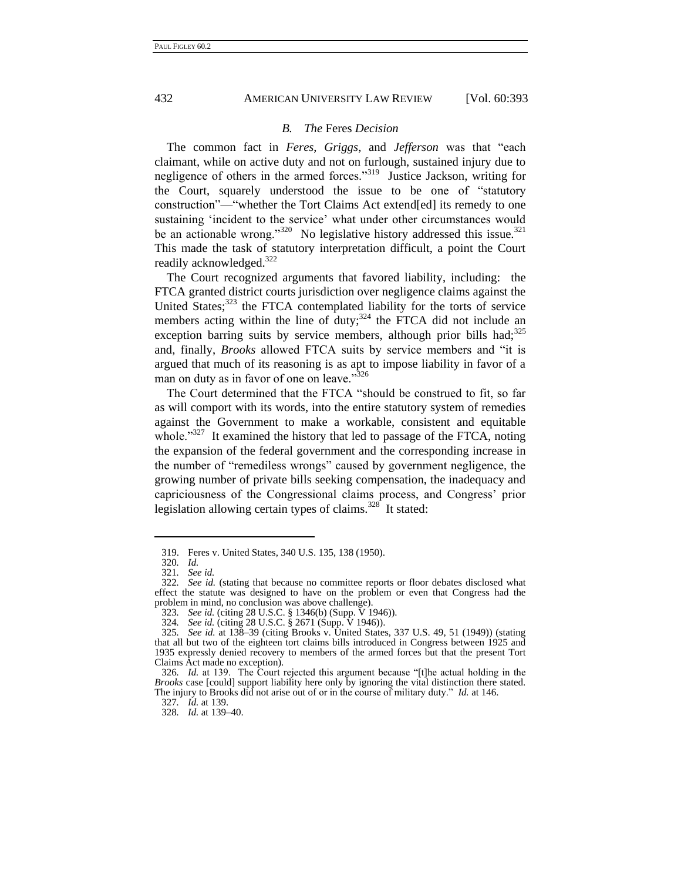## *B. The* Feres *Decision*

The common fact in *Feres*, *Griggs*, and *Jefferson* was that "each claimant, while on active duty and not on furlough, sustained injury due to negligence of others in the armed forces."<sup>319</sup> Justice Jackson, writing for the Court, squarely understood the issue to be one of "statutory" construction"——whether the Tort Claims Act extend[ed] its remedy to one sustaining 'incident to the service' what under other circumstances would be an actionable wrong." $320$  No legislative history addressed this issue. $321$ This made the task of statutory interpretation difficult, a point the Court readily acknowledged.<sup>322</sup>

The Court recognized arguments that favored liability, including: the FTCA granted district courts jurisdiction over negligence claims against the United States; $323$  the FTCA contemplated liability for the torts of service members acting within the line of  $\frac{1}{2}$  duty;<sup>324</sup> the FTCA did not include an exception barring suits by service members, although prior bills had; $325$ and, finally, *Brooks* allowed FTCA suits by service members and "it is argued that much of its reasoning is as apt to impose liability in favor of a man on duty as in favor of one on leave."<sup>326</sup>

The Court determined that the FTCA "should be construed to fit, so far as will comport with its words, into the entire statutory system of remedies against the Government to make a workable, consistent and equitable whole. $1327$  It examined the history that led to passage of the FTCA, noting the expansion of the federal government and the corresponding increase in the number of "remediless wrongs" caused by government negligence, the growing number of private bills seeking compensation, the inadequacy and capriciousness of the Congressional claims process, and Congress' prior legislation allowing certain types of claims. $328$  It stated:

<sup>319.</sup> Feres v. United States, 340 U.S. 135, 138 (1950).

<sup>320</sup>*. Id.*

<sup>321</sup>*. See id.*

<sup>322</sup>*. See id.* (stating that because no committee reports or floor debates disclosed what effect the statute was designed to have on the problem or even that Congress had the problem in mind, no conclusion was above challenge).

<sup>323</sup>*. See id.* (citing 28 U.S.C. § 1346(b) (Supp. V 1946)).

<sup>324</sup>*. See id.* (citing 28 U.S.C. § 2671 (Supp. V 1946)).

<sup>325</sup>*. See id.* at 138–39 (citing Brooks v. United States, 337 U.S. 49, 51 (1949)) (stating that all but two of the eighteen tort claims bills introduced in Congress between 1925 and 1935 expressly denied recovery to members of the armed forces but that the present Tort Claims Act made no exception).

<sup>326</sup>*. Id.* at 139. The Court rejected this argument because "[t]he actual holding in the *Brooks* case [could] support liability here only by ignoring the vital distinction there stated. The injury to Brooks did not arise out of or in the course of military duty." *Id.* at 146.

<sup>327</sup>*. Id.* at 139.

<sup>328</sup>*. Id.* at 139–40.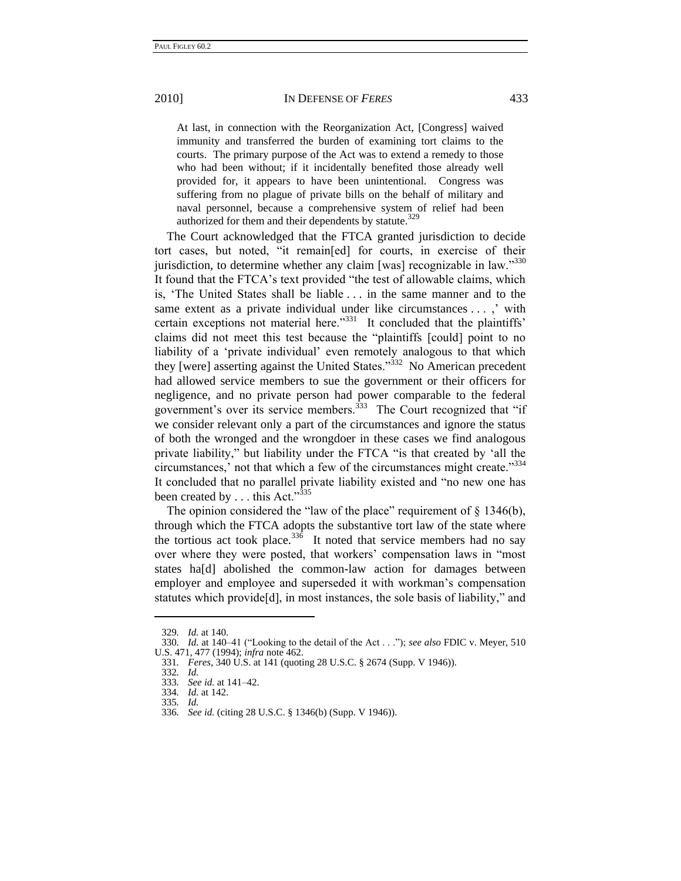At last, in connection with the Reorganization Act, [Congress] waived immunity and transferred the burden of examining tort claims to the courts. The primary purpose of the Act was to extend a remedy to those who had been without; if it incidentally benefited those already well provided for, it appears to have been unintentional. Congress was suffering from no plague of private bills on the behalf of military and naval personnel, because a comprehensive system of relief had been authorized for them and their dependents by statute. $329$ 

The Court acknowledged that the FTCA granted jurisdiction to decide tort cases, but noted, "it remain[ed] for courts, in exercise of their jurisdiction, to determine whether any claim [was] recognizable in law. $^{3330}$ It found that the FTCA's text provided "the test of allowable claims, which is, ‗The United States shall be liable . . . in the same manner and to the same extent as a private individual under like circumstances . . . ,' with certain exceptions not material here. $^{331}$  It concluded that the plaintiffs' claims did not meet this test because the "plaintiffs [could] point to no liability of a 'private individual' even remotely analogous to that which they [were] asserting against the United States.<sup>332</sup> No American precedent had allowed service members to sue the government or their officers for negligence, and no private person had power comparable to the federal government's over its service members. $333$  The Court recognized that "if we consider relevant only a part of the circumstances and ignore the status of both the wronged and the wrongdoer in these cases we find analogous private liability," but liability under the FTCA "is that created by 'all the circumstances,' not that which a few of the circumstances might create."<sup>334</sup> It concluded that no parallel private liability existed and "no new one has been created by . . . this Act." $335$ 

The opinion considered the "law of the place" requirement of  $\S$  1346(b), through which the FTCA adopts the substantive tort law of the state where the tortious act took place.<sup>336</sup> It noted that service members had no say over where they were posted, that workers' compensation laws in "most" states ha[d] abolished the common-law action for damages between employer and employee and superseded it with workman's compensation statutes which provide<sup>[d]</sup>, in most instances, the sole basis of liability," and

<sup>329</sup>*. Id.* at 140.

<sup>330.</sup> *Id.* at 140–41 ("Looking to the detail of the Act . . ."); see also FDIC v. Meyer, 510 U.S. 471, 477 (1994); *infra* note 462.

<sup>331</sup>*. Feres*, 340 U.S. at 141 (quoting 28 U.S.C. § 2674 (Supp. V 1946)).

<sup>332</sup>*. Id.*

<sup>333</sup>*. See id.* at 141–42.

<sup>334</sup>*. Id.* at 142. 335*. Id.*

<sup>336</sup>*. See id.* (citing 28 U.S.C. § 1346(b) (Supp. V 1946)).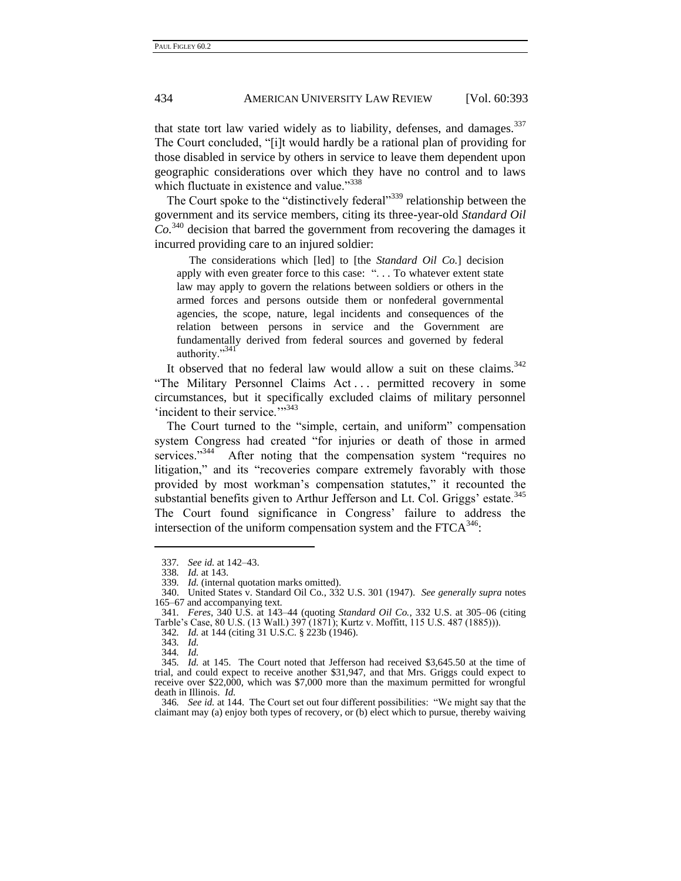that state tort law varied widely as to liability, defenses, and damages.<sup>337</sup> The Court concluded, "[i]t would hardly be a rational plan of providing for those disabled in service by others in service to leave them dependent upon geographic considerations over which they have no control and to laws which fluctuate in existence and value."<sup>338</sup>

The Court spoke to the "distinctively federal"<sup>339</sup> relationship between the government and its service members, citing its three-year-old *Standard Oil Co.*<sup>340</sup> decision that barred the government from recovering the damages it incurred providing care to an injured soldier:

The considerations which [led] to [the *Standard Oil Co.*] decision apply with even greater force to this case: "... To whatever extent state law may apply to govern the relations between soldiers or others in the armed forces and persons outside them or nonfederal governmental agencies, the scope, nature, legal incidents and consequences of the relation between persons in service and the Government are fundamentally derived from federal sources and governed by federal authority."<sup>341</sup>

It observed that no federal law would allow a suit on these claims.  $342$ "The Military Personnel Claims Act ... permitted recovery in some circumstances, but it specifically excluded claims of military personnel  $\lq$ incident to their service. $\lq$ <sup>343</sup>

The Court turned to the "simple, certain, and uniform" compensation system Congress had created "for injuries or death of those in armed services."<sup>344</sup> After noting that the compensation system "requires no litigation," and its "recoveries compare extremely favorably with those provided by most workman's compensation statutes," it recounted the substantial benefits given to Arthur Jefferson and Lt. Col. Griggs' estate.<sup>345</sup> The Court found significance in Congress' failure to address the intersection of the uniform compensation system and the  $FTCA<sup>346</sup>$ :

<sup>337</sup>*. See id.* at 142–43.

<sup>338</sup>*. Id.* at 143.

<sup>339</sup>*. Id.* (internal quotation marks omitted).

<sup>340.</sup> United States v. Standard Oil Co., 332 U.S. 301 (1947). *See generally supra* notes [165–](#page-24-0)67 and accompanying text.

<sup>341</sup>*. Feres*, 340 U.S. at 143–44 (quoting *Standard Oil Co.*, 332 U.S. at 305–06 (citing Tarble's Case, 80 U.S. (13 Wall.) 397 (1871); Kurtz v. Moffitt, 115 U.S. 487 (1885))).

<sup>342</sup>*. Id.* at 144 (citing 31 U.S.C. § 223b (1946).

<sup>343</sup>*. Id.*

<sup>344</sup>*. Id.*

<sup>345</sup>*. Id.* at 145. The Court noted that Jefferson had received \$3,645.50 at the time of trial, and could expect to receive another \$31,947, and that Mrs. Griggs could expect to receive over \$22,000, which was \$7,000 more than the maximum permitted for wrongful death in Illinois. *Id.*

<sup>346</sup>*. See id.* at 144. The Court set out four different possibilities: ―We might say that the claimant may (a) enjoy both types of recovery, or (b) elect which to pursue, thereby waiving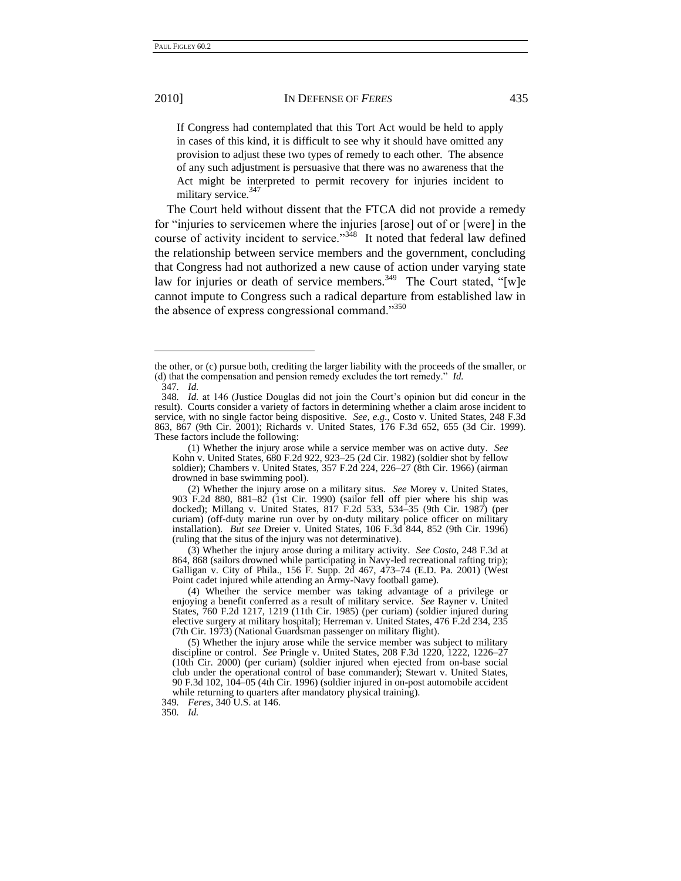#### 2010] IN DEFENSE OF *FERES* 435

If Congress had contemplated that this Tort Act would be held to apply in cases of this kind, it is difficult to see why it should have omitted any provision to adjust these two types of remedy to each other. The absence of any such adjustment is persuasive that there was no awareness that the Act might be interpreted to permit recovery for injuries incident to military service.<sup>347</sup>

The Court held without dissent that the FTCA did not provide a remedy for "injuries to servicemen where the injuries [arose] out of or [were] in the course of activity incident to service.<sup>3348</sup> It noted that federal law defined the relationship between service members and the government, concluding that Congress had not authorized a new cause of action under varying state law for injuries or death of service members.<sup>349</sup> The Court stated, "[w]e cannot impute to Congress such a radical departure from established law in the absence of express congressional command. $^{350}$ 

(3) Whether the injury arose during a military activity. *See Costo*, 248 F.3d at 864, 868 (sailors drowned while participating in Navy-led recreational rafting trip); Galligan v. City of Phila., 156 F. Supp. 2d 467, 473–74 (E.D. Pa. 2001) (West Point cadet injured while attending an Army-Navy football game).

the other, or (c) pursue both, crediting the larger liability with the proceeds of the smaller, or (d) that the compensation and pension remedy excludes the tort remedy.<sup>"</sup> *Id.* 347*. Id.*

<sup>348</sup>*. Id.* at 146 (Justice Douglas did not join the Court's opinion but did concur in the result). Courts consider a variety of factors in determining whether a claim arose incident to service, with no single factor being dispositive. *See, e.g.*, Costo v. United States, 248 F.3d 863, 867 (9th Cir. 2001); Richards v. United States, 176 F.3d 652, 655 (3d Cir. 1999). These factors include the following:

<sup>(1)</sup> Whether the injury arose while a service member was on active duty. *See* Kohn v. United States, 680 F.2d 922, 923–25 (2d Cir. 1982) (soldier shot by fellow soldier); Chambers v. United States, 357 F.2d 224, 226–27 (8th Cir. 1966) (airman drowned in base swimming pool).

<sup>(2)</sup> Whether the injury arose on a military situs. *See* Morey v. United States, 903 F.2d 880, 881–82 (1st Cir. 1990) (sailor fell off pier where his ship was docked); Millang v. United States, 817 F.2d 533, 534–35 (9th Cir. 1987) (per curiam) (off-duty marine run over by on-duty military police officer on military installation). *But see* Dreier v. United States, 106 F.3d 844, 852 (9th Cir. 1996) (ruling that the situs of the injury was not determinative).

<sup>(4)</sup> Whether the service member was taking advantage of a privilege or enjoying a benefit conferred as a result of military service. *See* Rayner v. United States, 760 F.2d 1217, 1219 (11th Cir. 1985) (per curiam) (soldier injured during elective surgery at military hospital); Herreman v. United States, 476 F.2d 234, 235 (7th Cir. 1973) (National Guardsman passenger on military flight).

<sup>(5)</sup> Whether the injury arose while the service member was subject to military discipline or control. *See* Pringle v. United States, 208 F.3d 1220, 1222, 1226–27 (10th Cir. 2000) (per curiam) (soldier injured when ejected from on-base social club under the operational control of base commander); Stewart v. United States, 90 F.3d 102, 104–05 (4th Cir. 1996) (soldier injured in on-post automobile accident while returning to quarters after mandatory physical training).

<sup>349</sup>*. Feres*, 340 U.S. at 146. 350*. Id.*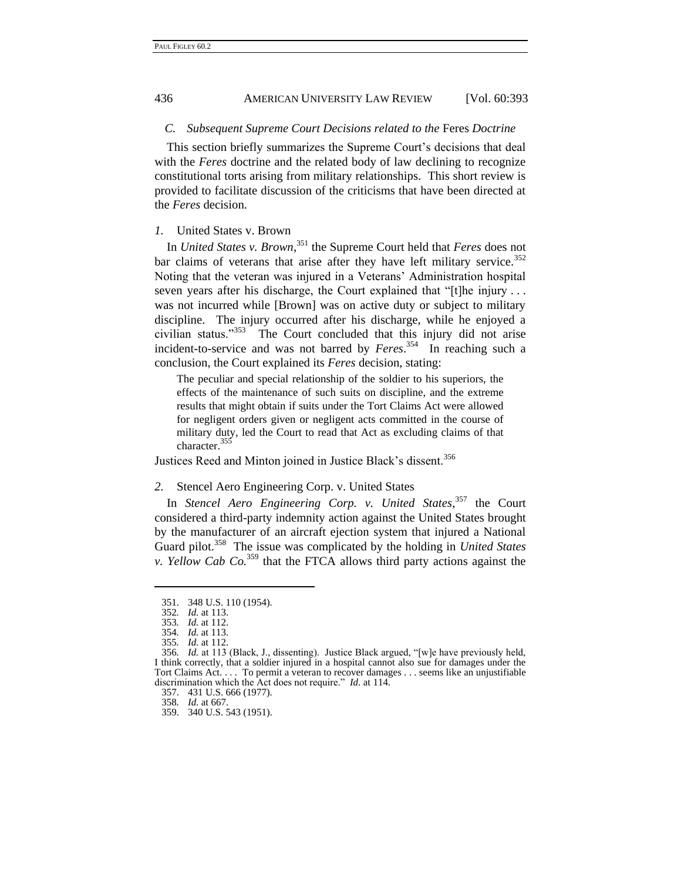## *C. Subsequent Supreme Court Decisions related to the* Feres *Doctrine*

This section briefly summarizes the Supreme Court's decisions that deal with the *Feres* doctrine and the related body of law declining to recognize constitutional torts arising from military relationships. This short review is provided to facilitate discussion of the criticisms that have been directed at the *Feres* decision.

## *1.* United States v. Brown

In *United States v. Brown*, <sup>351</sup> the Supreme Court held that *Feres* does not bar claims of veterans that arise after they have left military service.<sup>352</sup> Noting that the veteran was injured in a Veterans' Administration hospital seven years after his discharge, the Court explained that "[t]he injury  $\dots$ was not incurred while [Brown] was on active duty or subject to military discipline. The injury occurred after his discharge, while he enjoyed a civilian status."<sup>353</sup> The Court concluded that this injury did not arise incident-to-service and was not barred by *Feres*. 354 In reaching such a conclusion, the Court explained its *Feres* decision, stating:

The peculiar and special relationship of the soldier to his superiors, the effects of the maintenance of such suits on discipline, and the extreme results that might obtain if suits under the Tort Claims Act were allowed for negligent orders given or negligent acts committed in the course of military duty, led the Court to read that Act as excluding claims of that character.<sup>35</sup>

Justices Reed and Minton joined in Justice Black's dissent.<sup>356</sup>

#### *2.* Stencel Aero Engineering Corp. v. United States

In *Stencel Aero Engineering Corp. v. United States*, <sup>357</sup> the Court considered a third-party indemnity action against the United States brought by the manufacturer of an aircraft ejection system that injured a National Guard pilot.<sup>358</sup> The issue was complicated by the holding in *United States v. Yellow Cab Co.*<sup>359</sup> that the FTCA allows third party actions against the

<sup>351.</sup> 348 U.S. 110 (1954).

<sup>352</sup>*. Id.* at 113.

<sup>353</sup>*. Id.* at 112. 354*. Id.* at 113.

<sup>355</sup>*. Id.* at 112.

<sup>356.</sup> *Id.* at 113 (Black, J., dissenting). Justice Black argued, "[w]e have previously held, I think correctly, that a soldier injured in a hospital cannot also sue for damages under the Tort Claims Act. . . . To permit a veteran to recover damages . . . seems like an unjustifiable discrimination which the Act does not require." *Id.* at 114.

<sup>357.</sup> 431 U.S. 666 (1977).

<sup>358</sup>*. Id.* at 667.

<sup>359.</sup> 340 U.S. 543 (1951).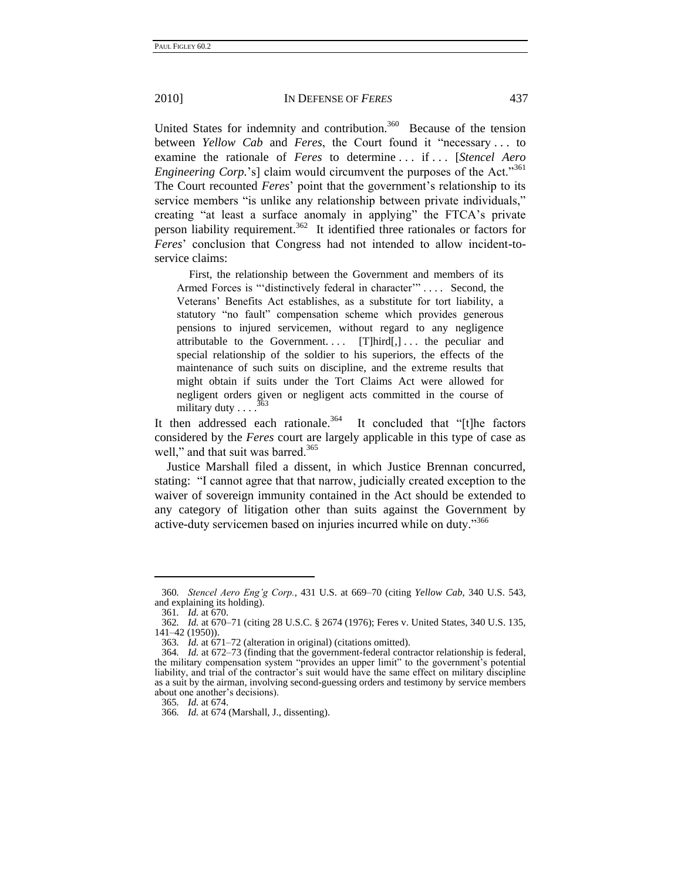United States for indemnity and contribution.<sup>360</sup> Because of the tension between *Yellow Cab* and *Feres*, the Court found it "necessary ... to examine the rationale of *Feres* to determine . . . if . . . [*Stencel Aero Engineering Corp.*'s] claim would circumvent the purposes of the Act."<sup>361</sup> The Court recounted *Feres*' point that the government's relationship to its service members "is unlike any relationship between private individuals," creating "at least a surface anomaly in applying" the FTCA's private person liability requirement.<sup>362</sup> It identified three rationales or factors for *Feres*' conclusion that Congress had not intended to allow incident-toservice claims:

First, the relationship between the Government and members of its Armed Forces is "distinctively federal in character".... Second, the Veterans' Benefits Act establishes, as a substitute for tort liability, a statutory "no fault" compensation scheme which provides generous pensions to injured servicemen, without regard to any negligence attributable to the Government....  $[T]$ hird $[,$ ... the peculiar and special relationship of the soldier to his superiors, the effects of the maintenance of such suits on discipline, and the extreme results that might obtain if suits under the Tort Claims Act were allowed for negligent orders given or negligent acts committed in the course of 363 military duty  $\ldots$ 

It then addressed each rationale.<sup>364</sup> It concluded that "[t]he factors considered by the *Feres* court are largely applicable in this type of case as well," and that suit was barred.<sup>365</sup>

<span id="page-46-0"></span>Justice Marshall filed a dissent, in which Justice Brennan concurred, stating: "I cannot agree that that narrow, judicially created exception to the waiver of sovereign immunity contained in the Act should be extended to any category of litigation other than suits against the Government by active-duty servicemen based on injuries incurred while on duty."<sup>366</sup>

<sup>360</sup>*. Stencel Aero Eng'g Corp.*, 431 U.S. at 669–70 (citing *Yellow Cab*, 340 U.S. 543, and explaining its holding).

<sup>361</sup>*. Id.* at 670.

<sup>362</sup>*. Id.* at 670–71 (citing 28 U.S.C. § 2674 (1976); Feres v. United States, 340 U.S. 135, 141–42 (1950)).

<sup>363</sup>*. Id.* at 671–72 (alteration in original) (citations omitted).

<sup>1</sup>d. at 672–73 (finding that the government-federal contractor relationship is federal, the military compensation system "provides an upper limit" to the government's potential liability, and trial of the contractor's suit would have the same effect on military discipline as a suit by the airman, involving second-guessing orders and testimony by service members about one another's decisions).

<sup>365</sup>*. Id.* at 674.

<sup>366</sup>*. Id.* at 674 (Marshall, J., dissenting).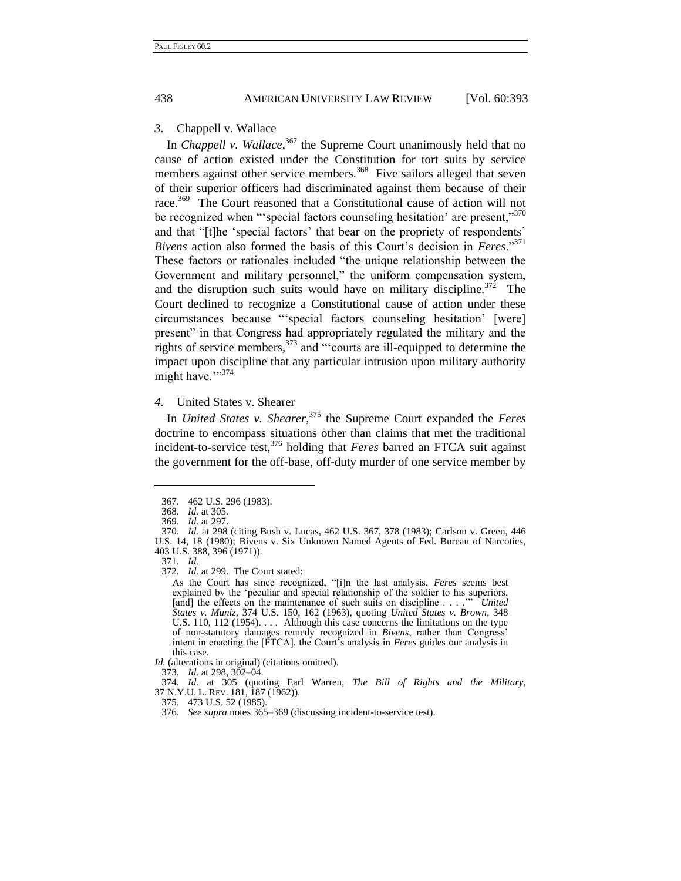#### *3.* Chappell v. Wallace

<span id="page-47-0"></span>In *Chappell v. Wallace*,<sup>367</sup> the Supreme Court unanimously held that no cause of action existed under the Constitution for tort suits by service members against other service members.<sup>368</sup> Five sailors alleged that seven of their superior officers had discriminated against them because of their race.<sup>369</sup> The Court reasoned that a Constitutional cause of action will not be recognized when "'special factors counseling hesitation' are present,"<sup>370</sup> and that "[t]he 'special factors' that bear on the propriety of respondents' *Bivens* action also formed the basis of this Court's decision in *Feres*."<sup>371</sup> These factors or rationales included "the unique relationship between the Government and military personnel," the uniform compensation system, and the disruption such suits would have on military discipline.<sup>372</sup> The Court declined to recognize a Constitutional cause of action under these circumstances because "special factors counseling hesitation' [were] present" in that Congress had appropriately regulated the military and the rights of service members,  $373$  and "'courts are ill-equipped to determine the impact upon discipline that any particular intrusion upon military authority might have.">374

## *4.* United States v. Shearer

In *United States v. Shearer*, <sup>375</sup> the Supreme Court expanded the *Feres* doctrine to encompass situations other than claims that met the traditional incident-to-service test,<sup>376</sup> holding that *Feres* barred an FTCA suit against the government for the off-base, off-duty murder of one service member by

<sup>367.</sup> 462 U.S. 296 (1983).

<sup>368</sup>*. Id.* at 305.

<sup>369</sup>*. Id.* at 297.

<sup>370</sup>*. Id.* at 298 (citing Bush v. Lucas, 462 U.S. 367, 378 (1983); Carlson v. Green, 446 U.S. 14, 18 (1980); Bivens v. Six Unknown Named Agents of Fed. Bureau of Narcotics, 403 U.S. 388, 396 (1971)).

<sup>371</sup>*. Id.* 

<sup>372</sup>*. Id.* at 299. The Court stated:

As the Court has since recognized, "[i]n the last analysis, *Feres* seems best explained by the 'peculiar and special relationship of the soldier to his superiors, [and] the effects on the maintenance of such suits on discipline . . . .<sup>'"</sup> *United States v. Muniz*, 374 U.S. 150, 162 (1963), quoting *United States v. Brown*, 348 U.S. 110, 112 (1954). . . . Although this case concerns the limitations on the type of non-statutory damages remedy recognized in *Bivens*, rather than Congress' intent in enacting the [FTCA], the Court's analysis in *Feres* guides our analysis in this case.

*Id.* (alterations in original) (citations omitted).

<sup>373</sup>*. Id.* at 298, 302–04.

<sup>374</sup>*. Id.* at 305 (quoting Earl Warren, *The Bill of Rights and the Military*, 37 N.Y.U. L. REV. 181, 187 (1962)).

<sup>375.</sup> 473 U.S. 52 (1985).

<sup>376</sup>*. See supra* note[s 365](#page-46-0)[–369](#page-47-0) (discussing incident-to-service test).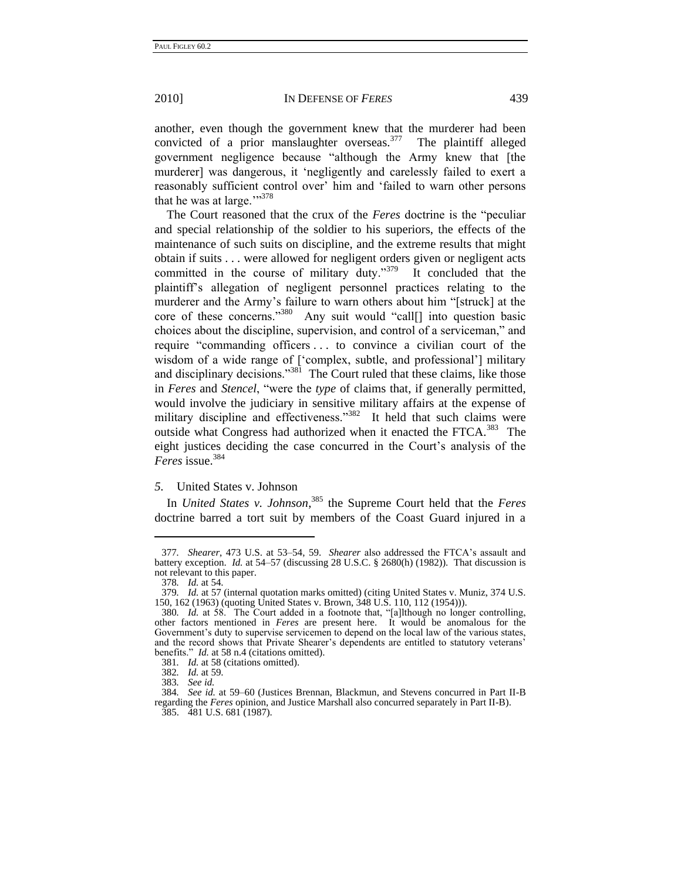another, even though the government knew that the murderer had been convicted of a prior manslaughter overseas. $377$  The plaintiff alleged government negligence because "although the Army knew that [the murderer] was dangerous, it 'negligently and carelessly failed to exert a reasonably sufficient control over' him and 'failed to warn other persons that he was at large.""378

The Court reasoned that the crux of the *Feres* doctrine is the "peculiar and special relationship of the soldier to his superiors, the effects of the maintenance of such suits on discipline, and the extreme results that might obtain if suits . . . were allowed for negligent orders given or negligent acts committed in the course of military duty."<sup>379</sup> It concluded that the plaintiff's allegation of negligent personnel practices relating to the murderer and the Army's failure to warn others about him "[struck] at the core of these concerns."<sup>380</sup> Any suit would "call[] into question basic choices about the discipline, supervision, and control of a serviceman," and require "commanding officers ... to convince a civilian court of the wisdom of a wide range of ['complex, subtle, and professional'] military and disciplinary decisions."<sup>381</sup> The Court ruled that these claims, like those in *Feres* and *Stencel*, "were the *type* of claims that, if generally permitted, would involve the judiciary in sensitive military affairs at the expense of military discipline and effectiveness."<sup>382</sup> It held that such claims were outside what Congress had authorized when it enacted the FTCA.<sup>383</sup> The eight justices deciding the case concurred in the Court's analysis of the *Feres* issue.<sup>384</sup>

## *5.* United States v. Johnson

In *United States v. Johnson*, <sup>385</sup> the Supreme Court held that the *Feres* doctrine barred a tort suit by members of the Coast Guard injured in a

<sup>377</sup>*. Shearer*, 473 U.S. at 53–54, 59. *Shearer* also addressed the FTCA's assault and battery exception. *Id.* at 54–57 (discussing 28 U.S.C. § 2680(h) (1982)). That discussion is not relevant to this paper.

<sup>378</sup>*. Id.* at 54.

<sup>379</sup>*. Id.* at 57 (internal quotation marks omitted) (citing United States v. Muniz, 374 U.S. 150, 162 (1963) (quoting United States v. Brown, 348 U.S. 110, 112 (1954))).

<sup>380.</sup> *Id.* at 58. The Court added in a footnote that, "[a]lthough no longer controlling, other factors mentioned in *Feres* are present here. It would be anomalous for the Government's duty to supervise servicemen to depend on the local law of the various states, and the record shows that Private Shearer's dependents are entitled to statutory veterans' benefits." *Id.* at 58 n.4 (citations omitted).

<sup>381</sup>*. Id.* at 58 (citations omitted).

<sup>382</sup>*. Id.* at 59.

<sup>383</sup>*. See id.*

<sup>384</sup>*. See id.* at 59–60 (Justices Brennan, Blackmun, and Stevens concurred in Part II-B regarding the *Feres* opinion, and Justice Marshall also concurred separately in Part II-B). 385. 481 U.S. 681 (1987).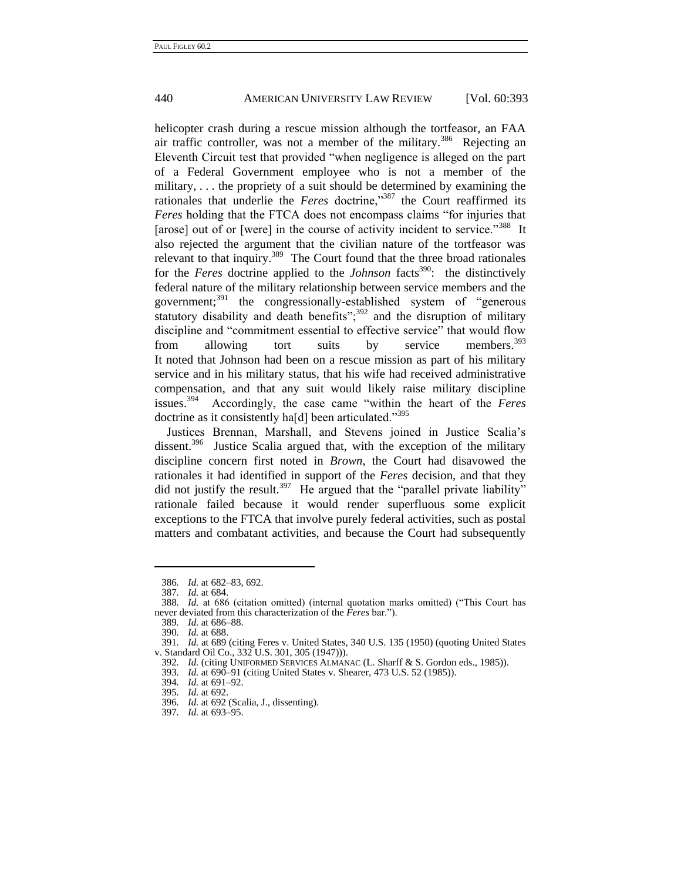helicopter crash during a rescue mission although the tortfeasor, an FAA air traffic controller, was not a member of the military.<sup>386</sup> Rejecting an Eleventh Circuit test that provided "when negligence is alleged on the part of a Federal Government employee who is not a member of the military, . . . the propriety of a suit should be determined by examining the rationales that underlie the *Feres* doctrine,"<sup>387</sup> the Court reaffirmed its *Feres* holding that the FTCA does not encompass claims "for injuries that [arose] out of or [were] in the course of activity incident to service."<sup>388</sup> It also rejected the argument that the civilian nature of the tortfeasor was relevant to that inquiry.<sup>389</sup> The Court found that the three broad rationales for the *Feres* doctrine applied to the *Johnson* facts<sup>390</sup>: the distinctively federal nature of the military relationship between service members and the government;<sup>391</sup> the congressionally-established system of "generous statutory disability and death benefits"; $392$  and the disruption of military discipline and "commitment essential to effective service" that would flow from allowing tort suits by service members.<sup>393</sup> It noted that Johnson had been on a rescue mission as part of his military service and in his military status, that his wife had received administrative compensation, and that any suit would likely raise military discipline issues.<sup>394</sup> Accordingly, the case came "within the heart of the *Feres* doctrine as it consistently ha[d] been articulated."<sup>395</sup>

Justices Brennan, Marshall, and Stevens joined in Justice Scalia's dissent.<sup>396</sup> Justice Scalia argued that, with the exception of the military discipline concern first noted in *Brown*, the Court had disavowed the rationales it had identified in support of the *Feres* decision, and that they did not justify the result.<sup>397</sup> He argued that the "parallel private liability" rationale failed because it would render superfluous some explicit exceptions to the FTCA that involve purely federal activities, such as postal matters and combatant activities, and because the Court had subsequently

<u>.</u>

393*. Id.* at 690–91 (citing United States v. Shearer, 473 U.S. 52 (1985)).

<sup>386</sup>*. Id.* at 682–83, 692.

<sup>387</sup>*. Id.* at 684.

<sup>388.</sup> *Id.* at 686 (citation omitted) (internal quotation marks omitted) ("This Court has never deviated from this characterization of the *Feres* bar.").

<sup>389</sup>*. Id.* at 686–88.

<sup>390</sup>*. Id.* at 688.

<sup>391</sup>*. Id.* at 689 (citing Feres v. United States, 340 U.S. 135 (1950) (quoting United States v. Standard Oil Co., 332 U.S. 301, 305 (1947))).

<sup>392</sup>*. Id.* (citing UNIFORMED SERVICES ALMANAC (L. Sharff & S. Gordon eds., 1985)).

<sup>394</sup>*. Id.* at 691–92.

<sup>395</sup>*. Id.* at 692.

<sup>396</sup>*. Id.* at 692 (Scalia, J., dissenting).

<sup>397</sup>*. Id.* at 693–95.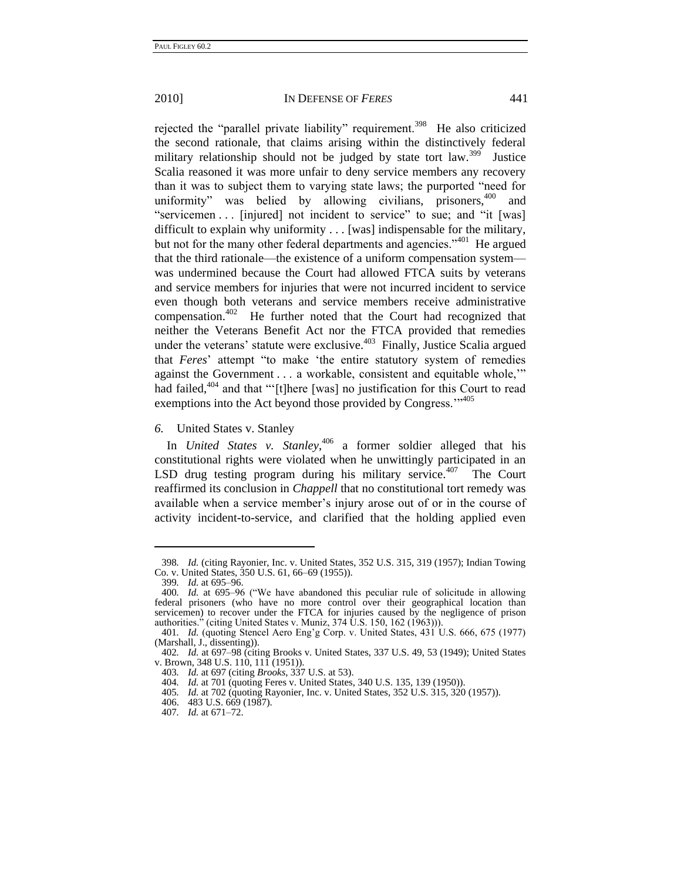rejected the "parallel private liability" requirement.<sup>398</sup> He also criticized the second rationale, that claims arising within the distinctively federal military relationship should not be judged by state tort law.<sup>399</sup> Justice Scalia reasoned it was more unfair to deny service members any recovery than it was to subject them to varying state laws; the purported "need for uniformity" was belied by allowing civilians, prisoners,  $400$  and "servicemen . . . [injured] not incident to service" to sue; and "it [was] difficult to explain why uniformity . . . [was] indispensable for the military, but not for the many other federal departments and agencies."<sup>401</sup> He argued that the third rationale—the existence of a uniform compensation system was undermined because the Court had allowed FTCA suits by veterans and service members for injuries that were not incurred incident to service even though both veterans and service members receive administrative compensation.<sup>402</sup> He further noted that the Court had recognized that neither the Veterans Benefit Act nor the FTCA provided that remedies under the veterans' statute were exclusive. $403$  Finally, Justice Scalia argued that *Feres*' attempt "to make 'the entire statutory system of remedies against the Government . . . a workable, consistent and equitable whole," had failed, $404$  and that "'[t]here [was] no justification for this Court to read exemptions into the Act beyond those provided by Congress."<sup>405</sup>

*6.* United States v. Stanley

In *United States v. Stanley*, <sup>406</sup> a former soldier alleged that his constitutional rights were violated when he unwittingly participated in an LSD drug testing program during his military service. $407$  The Court reaffirmed its conclusion in *Chappell* that no constitutional tort remedy was available when a service member's injury arose out of or in the course of activity incident-to-service, and clarified that the holding applied even

<sup>398</sup>*. Id.* (citing Rayonier, Inc. v. United States, 352 U.S. 315, 319 (1957); Indian Towing Co. v. United States, 350 U.S. 61, 66–69 (1955)).

<sup>399</sup>*. Id.* at 695–96.

<sup>400.</sup> *Id.* at 695-96 ("We have abandoned this peculiar rule of solicitude in allowing federal prisoners (who have no more control over their geographical location than servicemen) to recover under the FTCA for injuries caused by the negligence of prison authorities." (citing United States v. Muniz, 374 U.S. 150, 162 (1963))).

<sup>401</sup>*. Id.* (quoting Stencel Aero Eng'g Corp. v. United States, 431 U.S. 666, 675 (1977) (Marshall, J., dissenting)).

<sup>402</sup>*. Id.* at 697–98 (citing Brooks v. United States, 337 U.S. 49, 53 (1949); United States v. Brown, 348 U.S. 110, 111 (1951)).

<sup>403</sup>*. Id.* at 697 (citing *Brooks*, 337 U.S. at 53).

<sup>404</sup>*. Id.* at 701 (quoting Feres v. United States, 340 U.S. 135, 139 (1950)).

<sup>405</sup>*. Id.* at 702 (quoting Rayonier, Inc. v. United States, 352 U.S. 315, 320 (1957)).

<sup>406.</sup> 483 U.S. 669 (1987).

<sup>407</sup>*. Id.* at 671–72.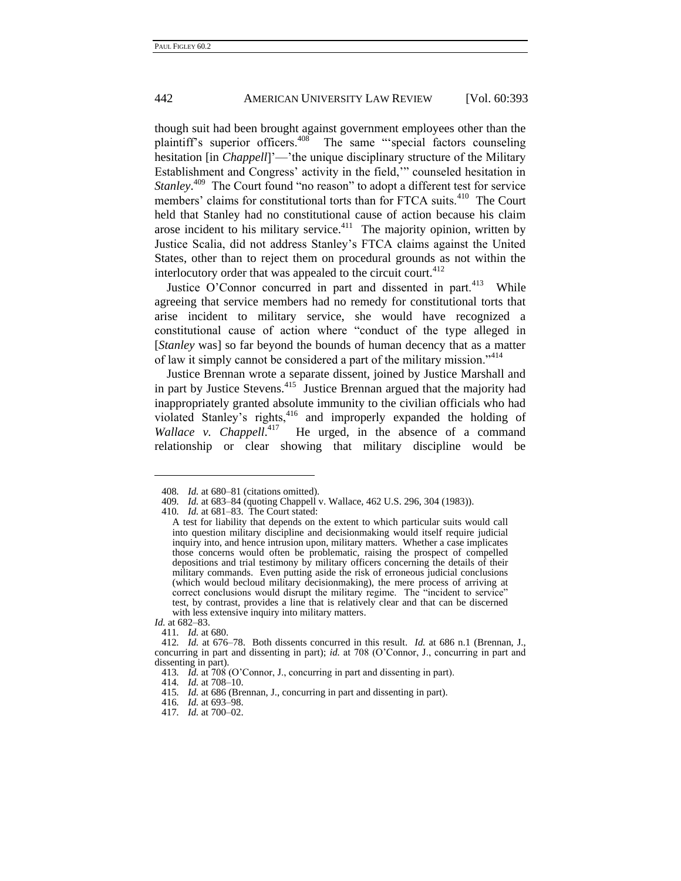though suit had been brought against government employees other than the plaintiff's superior officers.<sup>408</sup> The same "special factors counseling hesitation [in *Chappell*]'—'the unique disciplinary structure of the Military Establishment and Congress' activity in the field," counseled hesitation in *Stanley*.<sup>409</sup> The Court found "no reason" to adopt a different test for service members' claims for constitutional torts than for FTCA suits.<sup>410</sup> The Court held that Stanley had no constitutional cause of action because his claim arose incident to his military service. $411$  The majority opinion, written by Justice Scalia, did not address Stanley's FTCA claims against the United States, other than to reject them on procedural grounds as not within the interlocutory order that was appealed to the circuit court. $412$ 

Justice O'Connor concurred in part and dissented in part.<sup>413</sup> While agreeing that service members had no remedy for constitutional torts that arise incident to military service, she would have recognized a constitutional cause of action where "conduct of the type alleged in [*Stanley* was] so far beyond the bounds of human decency that as a matter of law it simply cannot be considered a part of the military mission."<sup>414</sup>

Justice Brennan wrote a separate dissent, joined by Justice Marshall and in part by Justice Stevens.<sup>415</sup> Justice Brennan argued that the majority had inappropriately granted absolute immunity to the civilian officials who had violated Stanley's rights,<sup>416</sup> and improperly expanded the holding of Wallace v. Chappell.<sup>417</sup> He urged, in the absence of a command relationship or clear showing that military discipline would be

<sup>408</sup>*. Id.* at 680–81 (citations omitted).

<sup>409</sup>*. Id.* at 683–84 (quoting Chappell v. Wallace, 462 U.S. 296, 304 (1983)).

<sup>410</sup>*. Id.* at 681–83. The Court stated:

A test for liability that depends on the extent to which particular suits would call into question military discipline and decisionmaking would itself require judicial inquiry into, and hence intrusion upon, military matters. Whether a case implicates those concerns would often be problematic, raising the prospect of compelled depositions and trial testimony by military officers concerning the details of their military commands. Even putting aside the risk of erroneous judicial conclusions (which would becloud military decisionmaking), the mere process of arriving at correct conclusions would disrupt the military regime. The "incident to service" test, by contrast, provides a line that is relatively clear and that can be discerned with less extensive inquiry into military matters.

*Id.* at 682–83.

<sup>411</sup>*. Id.* at 680.

<sup>412</sup>*. Id.* at 676–78. Both dissents concurred in this result. *Id.* at 686 n.1 (Brennan, J., concurring in part and dissenting in part); *id.* at 708 (O'Connor, J., concurring in part and dissenting in part).

<sup>413</sup>*. Id.* at 708 (O'Connor, J., concurring in part and dissenting in part).

<sup>414</sup>*. Id.* at 708–10.

<sup>415</sup>*. Id.* at 686 (Brennan, J., concurring in part and dissenting in part).

<sup>416</sup>*. Id.* at 693–98.

<sup>417</sup>*. Id.* at 700–02.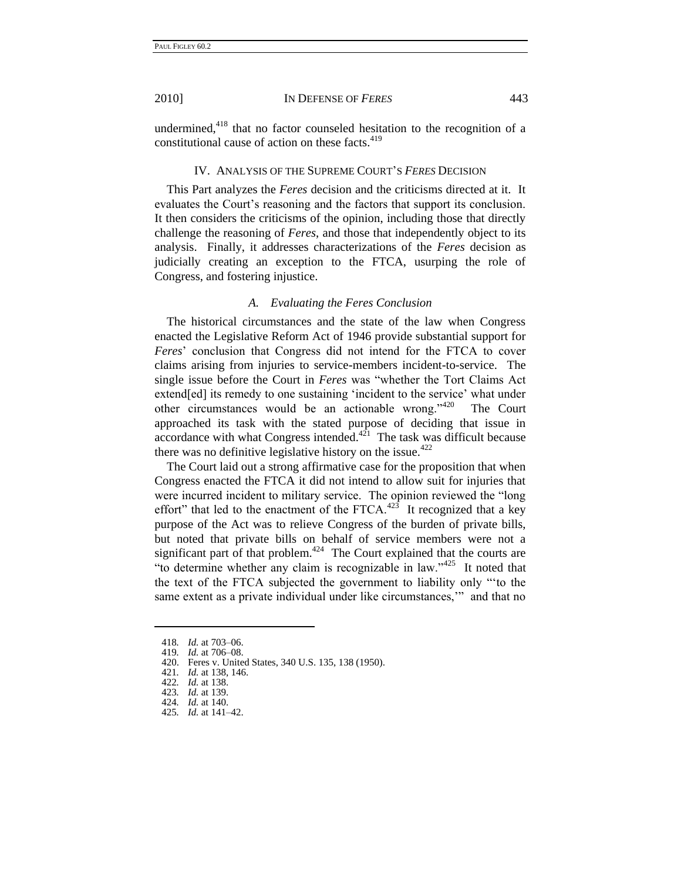undermined, $418$  that no factor counseled hesitation to the recognition of a

constitutional cause of action on these facts.<sup>419</sup>

## IV. ANALYSIS OF THE SUPREME COURT'S *FERES* DECISION

This Part analyzes the *Feres* decision and the criticisms directed at it. It evaluates the Court's reasoning and the factors that support its conclusion. It then considers the criticisms of the opinion, including those that directly challenge the reasoning of *Feres*, and those that independently object to its analysis. Finally, it addresses characterizations of the *Feres* decision as judicially creating an exception to the FTCA, usurping the role of Congress, and fostering injustice.

## *A. Evaluating the Feres Conclusion*

The historical circumstances and the state of the law when Congress enacted the Legislative Reform Act of 1946 provide substantial support for *Feres*' conclusion that Congress did not intend for the FTCA to cover claims arising from injuries to service-members incident-to-service. The single issue before the Court in *Feres* was "whether the Tort Claims Act extend[ed] its remedy to one sustaining 'incident to the service' what under other circumstances would be an actionable wrong." $420$  The Court approached its task with the stated purpose of deciding that issue in  $accordance$  with what Congress intended.<sup> $421$ </sup> The task was difficult because there was no definitive legislative history on the issue.<sup>422</sup>

The Court laid out a strong affirmative case for the proposition that when Congress enacted the FTCA it did not intend to allow suit for injuries that were incurred incident to military service. The opinion reviewed the "long" effort" that led to the enactment of the FTCA. $423$  It recognized that a key purpose of the Act was to relieve Congress of the burden of private bills, but noted that private bills on behalf of service members were not a significant part of that problem. $424$  The Court explained that the courts are "to determine whether any claim is recognizable in law." $425$  It noted that the text of the FTCA subjected the government to liability only "to the same extent as a private individual under like circumstances," and that no

<sup>418</sup>*. Id.* at 703–06.

*Id.* at 706–08.

<sup>420.</sup> Feres v. United States, 340 U.S. 135, 138 (1950).

<sup>421</sup>*. Id.* at 138, 146.

<sup>422</sup>*. Id.* at 138.

<sup>423</sup>*. Id.* at 139. 424*. Id.* at 140.

<sup>425</sup>*. Id.* at 141–42.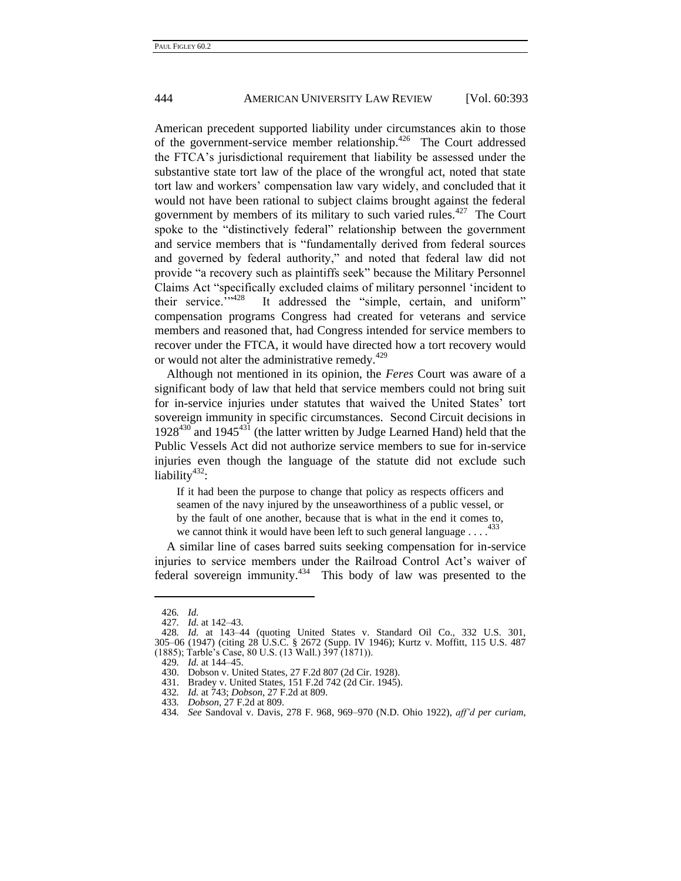American precedent supported liability under circumstances akin to those of the government-service member relationship.<sup>426</sup> The Court addressed the FTCA's jurisdictional requirement that liability be assessed under the substantive state tort law of the place of the wrongful act, noted that state tort law and workers' compensation law vary widely, and concluded that it would not have been rational to subject claims brought against the federal government by members of its military to such varied rules.<sup>427</sup> The Court spoke to the "distinctively federal" relationship between the government and service members that is "fundamentally derived from federal sources and governed by federal authority," and noted that federal law did not provide "a recovery such as plaintiffs seek" because the Military Personnel Claims Act "specifically excluded claims of military personnel 'incident to their service."<sup>128</sup> It addressed the "simple, certain, and uniform" compensation programs Congress had created for veterans and service members and reasoned that, had Congress intended for service members to recover under the FTCA, it would have directed how a tort recovery would or would not alter the administrative remedy.<sup>429</sup>

Although not mentioned in its opinion, the *Feres* Court was aware of a significant body of law that held that service members could not bring suit for in-service injuries under statutes that waived the United States' tort sovereign immunity in specific circumstances. Second Circuit decisions in  $1928^{430}$  and  $1945^{431}$  (the latter written by Judge Learned Hand) held that the Public Vessels Act did not authorize service members to sue for in-service injuries even though the language of the statute did not exclude such liability<sup>432</sup>:

If it had been the purpose to change that policy as respects officers and seamen of the navy injured by the unseaworthiness of a public vessel, or by the fault of one another, because that is what in the end it comes to, we cannot think it would have been left to such general language  $\dots$ .

A similar line of cases barred suits seeking compensation for in-service injuries to service members under the Railroad Control Act's waiver of federal sovereign immunity.<sup>434</sup> This body of law was presented to the

<sup>426</sup>*. Id.*

<sup>427</sup>*. Id.* at 142–43.

<sup>428</sup>*. Id.* at 143–44 (quoting United States v. Standard Oil Co., 332 U.S. 301, 305–06 (1947) (citing 28 U.S.C. § 2672 (Supp. IV 1946); Kurtz v. Moffitt, 115 U.S. 487 (1885); Tarble's Case, 80 U.S. (13 Wall.) 397 (1871)).

<sup>429</sup>*. Id.* at 144–45.

<sup>430.</sup> Dobson v. United States, 27 F.2d 807 (2d Cir. 1928).

<sup>431.</sup> Bradey v. United States, 151 F.2d 742 (2d Cir. 1945).

<sup>432</sup>*. Id.* at 743; *Dobson*, 27 F.2d at 809.

<sup>433</sup>*. Dobson*, 27 F.2d at 809.

<sup>434</sup>*. See* Sandoval v. Davis, 278 F. 968, 969–970 (N.D. Ohio 1922), *aff'd per curiam*,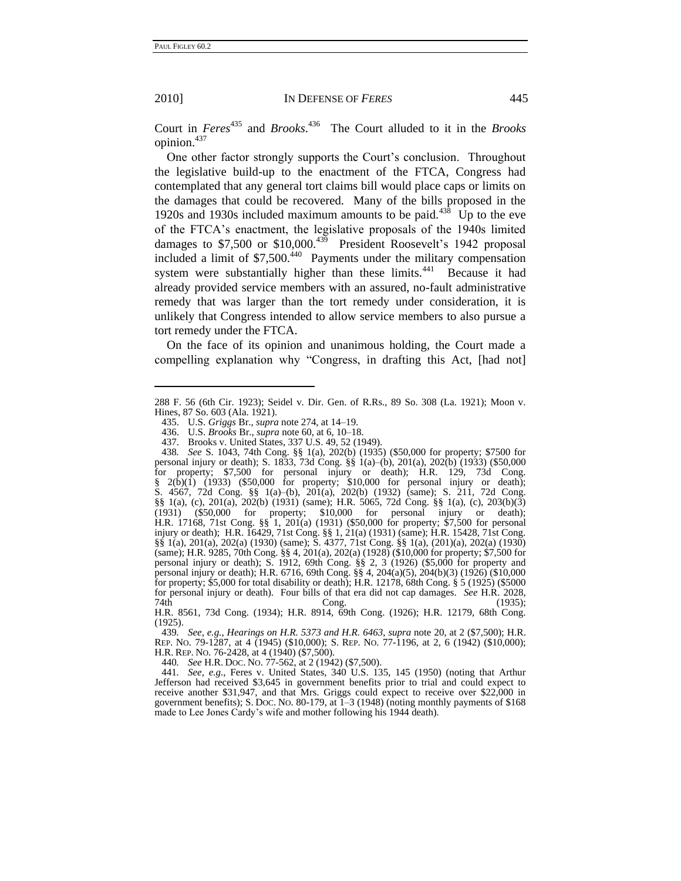2010] IN DEFENSE OF *FERES* 445

Court in *Feres*<sup>435</sup> and *Brooks*.<sup>436</sup> The Court alluded to it in the *Brooks* opinion.<sup>437</sup>

One other factor strongly supports the Court's conclusion. Throughout the legislative build-up to the enactment of the FTCA, Congress had contemplated that any general tort claims bill would place caps or limits on the damages that could be recovered. Many of the bills proposed in the 1920s and 1930s included maximum amounts to be paid. $438 \text{ Up}$  to the eve of the FTCA's enactment, the legislative proposals of the 1940s limited damages to  $$7,500$  or  $$10,000.<sup>439</sup>$  President Roosevelt's 1942 proposal included a limit of \$7,500.<sup>440</sup> Payments under the military compensation system were substantially higher than these limits.<sup>441</sup> Because it had already provided service members with an assured, no-fault administrative remedy that was larger than the tort remedy under consideration, it is unlikely that Congress intended to allow service members to also pursue a tort remedy under the FTCA.

On the face of its opinion and unanimous holding, the Court made a compelling explanation why "Congress, in drafting this Act, [had not]

440*. See* H.R. DOC. NO. 77-562, at 2 (1942) (\$7,500).

441*. See, e.g.*, Feres v. United States, 340 U.S. 135, 145 (1950) (noting that Arthur Jefferson had received \$3,645 in government benefits prior to trial and could expect to receive another \$31,947, and that Mrs. Griggs could expect to receive over \$22,000 in government benefits); S. Doc. No. 80-179, at  $\overline{1-3}$  (1948) (noting monthly payments of \$168 made to Lee Jones Cardy's wife and mother following his 1944 death).

<span id="page-54-0"></span>

<sup>288</sup> F. 56 (6th Cir. 1923); Seidel v. Dir. Gen. of R.Rs., 89 So. 308 (La. 1921); Moon v. Hines, 87 So. 603 (Ala. 1921).

<sup>435.</sup> U.S. *Griggs* Br., *supra* note [274,](#page-36-0) at 14–19.

<sup>436.</sup> U.S. *Brooks* Br., *supra* not[e 60,](#page-12-0) at 6, 10–18.

<sup>437.</sup> Brooks v. United States, 337 U.S. 49, 52 (1949).

<sup>438</sup>*. See* S. 1043, 74th Cong. §§ 1(a), 202(b) (1935) (\$50,000 for property; \$7500 for personal injury or death); S. 1833, 73d Cong. §§ 1(a)–(b), 201(a), 202(b) (1933) (\$50,000 for property; \$7,500 for personal injury or death); H.R. 129, 73d Cong.  $\frac{8}{9}$  2(b)(1) (1933) (\$50,000 for property; \$10,000 for personal injury or death); S. 4567, 72d Cong. §§ 1(a)–(b), 201(a), 202(b) (1932) (same); S. 211, 72d Cong. §§ 1(a), (c), 201(a), 202(b) (1931) (same); H.R. 5065, 72d Cong. §§ 1(a), (c), 203(b)(3) (1931) (\$50,000 for property; \$10,000 for personal injury or death); H.R. 17168, 71st Cong. §§ 1, 201(a) (1931) (\$50,000 for property; \$7,500 for personal injury or death); H.R. 16429, 71st Cong. §§ 1, 21(a) (1931) (same); H.R. 15428, 71st Cong. §§ 1(a), 201(a), 202(a) (1930) (same); S. 4377, 71st Cong. §§ 1(a), (201)(a), 202(a) (1930) (same); H.R. 9285, 70th Cong. §§ 4, 201(a), 202(a) (1928) (\$10,000 for property; \$7,500 for personal injury or death); S. 1912, 69th Cong. §§ 2, 3 (1926) (\$5,000 for property and personal injury or death); H.R. 6716, 69th Cong. §§ 4, 204(a)(5), 204(b)(3) (1926) (\$10,000 for property; \$5,000 for total disability or death); H.R. 12178, 68th Cong. § 5 (1925) (\$5000 for personal injury or death). Four bills of that era did not cap damages. *See* H.R. 2028, 74th Cong. (1935);

H.R. 8561, 73d Cong. (1934); H.R. 8914, 69th Cong. (1926); H.R. 12179, 68th Cong. (1925).

<sup>439</sup>*. See, e.g.*, *Hearings on H.R. 5373 and H.R. 6463*, *supra* note [20,](#page-7-0) at 2 (\$7,500); H.R. REP. NO. 79-1287, at 4 (1945) (\$10,000); S. REP. NO. 77-1196, at 2, 6 (1942) (\$10,000); H.R. REP. NO. 76-2428, at 4 (1940) (\$7,500).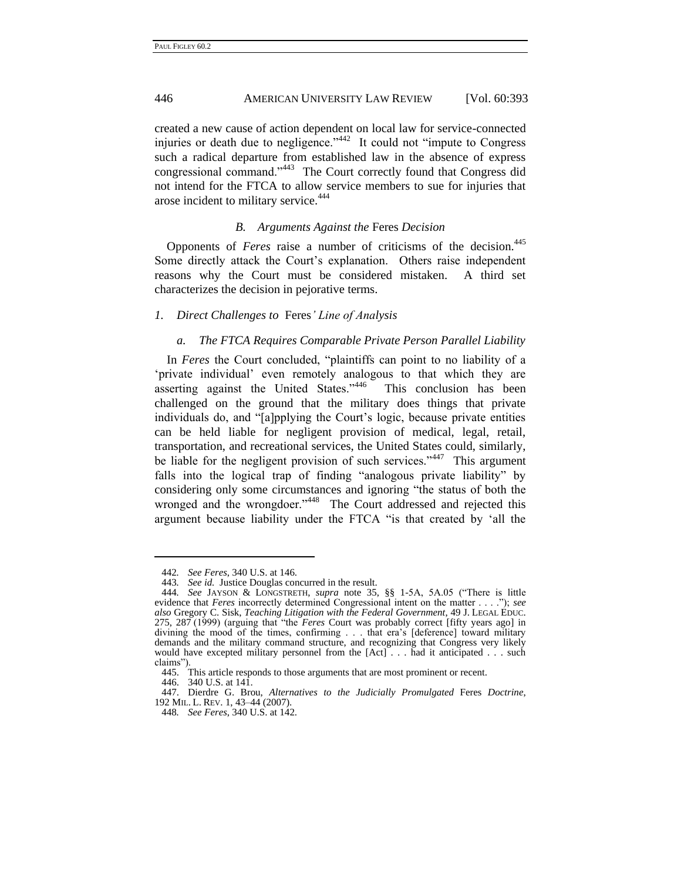created a new cause of action dependent on local law for service-connected injuries or death due to negligence." $442$  It could not "impute to Congress" such a radical departure from established law in the absence of express congressional command."<sup>443</sup> The Court correctly found that Congress did not intend for the FTCA to allow service members to sue for injuries that arose incident to military service.<sup>444</sup>

## *B. Arguments Against the* Feres *Decision*

Opponents of *Feres* raise a number of criticisms of the decision.<sup>445</sup> Some directly attack the Court's explanation. Others raise independent reasons why the Court must be considered mistaken. A third set characterizes the decision in pejorative terms.

#### *1. Direct Challenges to* Feres*' Line of Analysis*

## <span id="page-55-0"></span>*a. The FTCA Requires Comparable Private Person Parallel Liability*

In *Feres* the Court concluded, "plaintiffs can point to no liability of a 'private individual' even remotely analogous to that which they are asserting against the United States."446 This conclusion has been challenged on the ground that the military does things that private individuals do, and "[a]pplying the Court's logic, because private entities can be held liable for negligent provision of medical, legal, retail, transportation, and recreational services, the United States could, similarly, be liable for the negligent provision of such services."<sup>447</sup> This argument falls into the logical trap of finding "analogous private liability" by considering only some circumstances and ignoring "the status of both the wronged and the wrongdoer."<sup>448</sup> The Court addressed and rejected this argument because liability under the FTCA "is that created by 'all the

<sup>442</sup>*. See Feres*, 340 U.S. at 146.

<sup>443</sup>*. See id.* Justice Douglas concurred in the result.

<sup>444.</sup> See JAYSON & LONGSTRETH, *supra* note [35,](#page-9-0) §§ 1-5A, 5A.05 ("There is little evidence that *Feres* incorrectly determined Congressional intent on the matter . . . .‖); *see also* Gregory C. Sisk, *Teaching Litigation with the Federal Government*, 49 J. LEGAL EDUC. 275, 287 (1999) (arguing that "the *Feres* Court was probably correct [fifty years ago] in divining the mood of the times, confirming . . . that era's [deference] toward military demands and the military command structure, and recognizing that Congress very likely would have excepted military personnel from the [Act] . . . had it anticipated . . . such claims").

<sup>445.</sup> This article responds to those arguments that are most prominent or recent.

<sup>446.</sup> 340 U.S. at 141.

<sup>447.</sup> Dierdre G. Brou, *Alternatives to the Judicially Promulgated* Feres *Doctrine*, 192 MIL. L. REV. 1, 43–44 (2007).

<sup>448</sup>*. See Feres*, 340 U.S. at 142.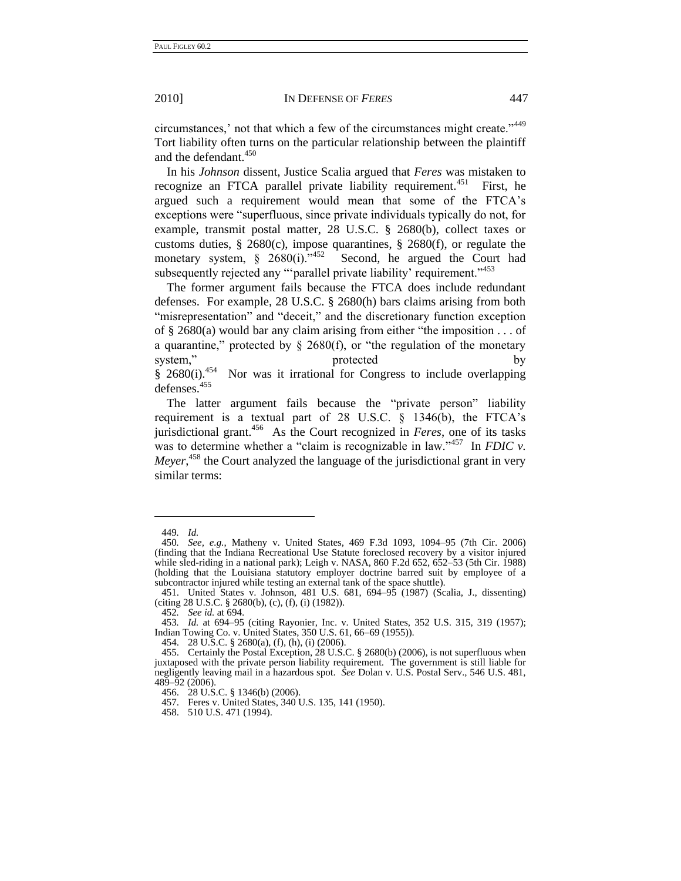<span id="page-56-0"></span>

circumstances,' not that which a few of the circumstances might create."<sup>449</sup> Tort liability often turns on the particular relationship between the plaintiff and the defendant.<sup>450</sup>

In his *Johnson* dissent, Justice Scalia argued that *Feres* was mistaken to recognize an FTCA parallel private liability requirement.<sup>451</sup> First, he argued such a requirement would mean that some of the FTCA's exceptions were "superfluous, since private individuals typically do not, for example, transmit postal matter, 28 U.S.C. § 2680(b), collect taxes or customs duties,  $\S 2680(c)$ , impose quarantines,  $\S 2680(f)$ , or regulate the monetary system,  $\frac{8}{9}$  2680(i).<sup>7452</sup> Second, he argued the Court had subsequently rejected any "parallel private liability' requirement."<sup>453</sup>

The former argument fails because the FTCA does include redundant defenses. For example, 28 U.S.C. § 2680(h) bars claims arising from both "misrepresentation" and "deceit," and the discretionary function exception of  $\S$  2680(a) would bar any claim arising from either "the imposition . . . of a quarantine," protected by  $\S$  2680(f), or "the regulation of the monetary system," protected by  $§ 2680(i).$ <sup>454</sup> Nor was it irrational for Congress to include overlapping defenses.<sup>455</sup>

The latter argument fails because the "private person" liability requirement is a textual part of 28 U.S.C. § 1346(b), the FTCA's jurisdictional grant.<sup>456</sup> As the Court recognized in *Feres*, one of its tasks was to determine whether a "claim is recognizable in law."<sup>457</sup> In *FDIC v*. *Meyer*, <sup>458</sup> the Court analyzed the language of the jurisdictional grant in very similar terms:

<sup>449</sup>*. Id.*

<sup>450</sup>*. See, e.g.*, Matheny v. United States, 469 F.3d 1093, 1094–95 (7th Cir. 2006) (finding that the Indiana Recreational Use Statute foreclosed recovery by a visitor injured while sled-riding in a national park); Leigh v. NASA, 860 F.2d 652, 652–53 (5th Cir. 1988) (holding that the Louisiana statutory employer doctrine barred suit by employee of a subcontractor injured while testing an external tank of the space shuttle).

<sup>451.</sup> United States v. Johnson, 481 U.S. 681, 694–95 (1987) (Scalia, J., dissenting) (citing 28 U.S.C. § 2680(b), (c), (f), (i) (1982)).

<sup>452</sup>*. See id.* at 694.

<sup>453</sup>*. Id.* at 694–95 (citing Rayonier, Inc. v. United States, 352 U.S. 315, 319 (1957); Indian Towing Co. v. United States, 350 U.S. 61, 66–69 (1955)).

<sup>454.</sup> 28 U.S.C. § 2680(a), (f), (h), (i) (2006).

<sup>455.</sup> Certainly the Postal Exception, 28 U.S.C. § 2680(b) (2006), is not superfluous when juxtaposed with the private person liability requirement. The government is still liable for negligently leaving mail in a hazardous spot. *See* Dolan v. U.S. Postal Serv., 546 U.S. 481, 489–92 (2006).

<sup>456.</sup> 28 U.S.C. § 1346(b) (2006).

<sup>457.</sup> Feres v. United States, 340 U.S. 135, 141 (1950).

<sup>458.</sup> 510 U.S. 471 (1994).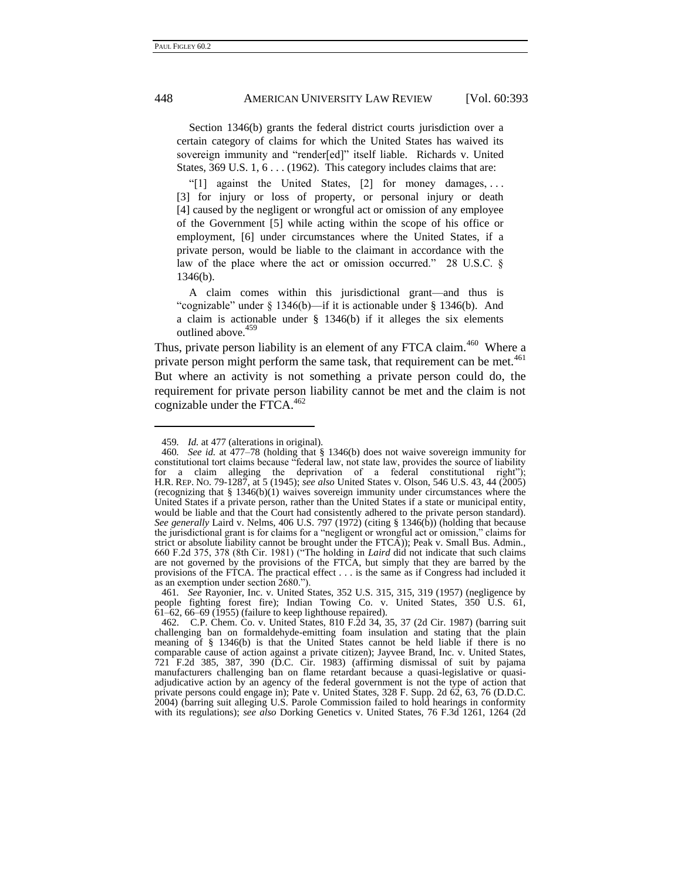Section 1346(b) grants the federal district courts jurisdiction over a certain category of claims for which the United States has waived its sovereign immunity and "render[ed]" itself liable. Richards v. United States, 369 U.S. 1, 6 . . . (1962). This category includes claims that are:

"[1] against the United States,  $[2]$  for money damages, ... [3] for injury or loss of property, or personal injury or death [4] caused by the negligent or wrongful act or omission of any employee of the Government [5] while acting within the scope of his office or employment, [6] under circumstances where the United States, if a private person, would be liable to the claimant in accordance with the law of the place where the act or omission occurred." 28 U.S.C.  $\S$ 1346(b).

A claim comes within this jurisdictional grant—and thus is "cognizable" under  $\S$  1346(b)—if it is actionable under  $\S$  1346(b). And a claim is actionable under § 1346(b) if it alleges the six elements outlined above.<sup>459</sup>

Thus, private person liability is an element of any FTCA claim.<sup>460</sup> Where a private person might perform the same task, that requirement can be met.<sup>461</sup> But where an activity is not something a private person could do, the requirement for private person liability cannot be met and the claim is not cognizable under the FTCA. $462$ 

<sup>459</sup>*. Id.* at 477 (alterations in original).

<sup>460</sup>*. See id.* at 477–78 (holding that § 1346(b) does not waive sovereign immunity for constitutional tort claims because "federal law, not state law, provides the source of liability for a claim alleging the deprivation of a federal constitutional right"); H.R. REP. NO. 79-1287, at 5 (1945); *see also* United States v. Olson, 546 U.S. 43, 44 (2005) (recognizing that  $\S 1346(b)(1)$  waives sovereign immunity under circumstances where the United States if a private person, rather than the United States if a state or municipal entity, would be liable and that the Court had consistently adhered to the private person standard). *See generally* Laird v. Nelms, 406 U.S. 797 (1972) (citing § 1346(b)) (holding that because the jurisdictional grant is for claims for a "negligent or wrongful act or omission," claims for strict or absolute liability cannot be brought under the FTCA)); Peak v. Small Bus. Admin., 660 F.2d 375, 378 (8th Cir. 1981) ("The holding in *Laird* did not indicate that such claims are not governed by the provisions of the FTCA, but simply that they are barred by the provisions of the FTCA. The practical effect . . . is the same as if Congress had included it as an exemption under section 2680.").

<sup>461</sup>*. See* Rayonier, Inc. v. United States, 352 U.S. 315, 315, 319 (1957) (negligence by people fighting forest fire); Indian Towing Co. v. United States, 350 U.S. 61,  $61-62$ , 66-69 (1955) (failure to keep lighthouse repaired).

<sup>462.</sup> C.P. Chem. Co. v. United States, 810 F.2d 34, 35, 37 (2d Cir. 1987) (barring suit challenging ban on formaldehyde-emitting foam insulation and stating that the plain meaning of § 1346(b) is that the United States cannot be held liable if there is no comparable cause of action against a private citizen); Jayvee Brand, Inc. v. United States, 721 F.2d 385, 387, 390 (D.C. Cir. 1983) (affirming dismissal of suit by pajama manufacturers challenging ban on flame retardant because a quasi-legislative or quasiadjudicative action by an agency of the federal government is not the type of action that private persons could engage in); Pate v. United States, 328 F. Supp. 2d 62, 63, 76 (D.D.C. 2004) (barring suit alleging U.S. Parole Commission failed to hold hearings in conformity with its regulations); *see also* Dorking Genetics v. United States, 76 F.3d 1261, 1264 (2d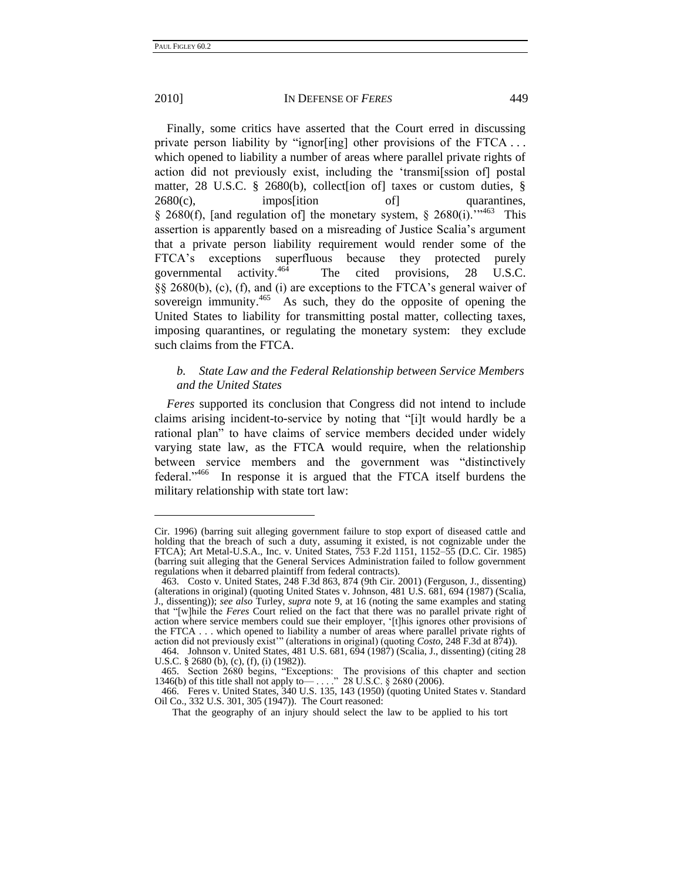## 2010] IN DEFENSE OF *FERES* 449

Finally, some critics have asserted that the Court erred in discussing private person liability by "ignor $\left[$ ing] other provisions of the FTCA ... which opened to liability a number of areas where parallel private rights of action did not previously exist, including the 'transmission of postal matter, 28 U.S.C. § 2680(b), collect [ion of] taxes or custom duties, §  $2680(c)$ , impos[ition of] quarantines, § 2680(f), [and regulation of] the monetary system, § 2680(i).<sup>''463</sup> This assertion is apparently based on a misreading of Justice Scalia's argument that a private person liability requirement would render some of the FTCA's exceptions superfluous because they protected purely governmental activity. $464$  The cited provisions, 28 U.S.C. §§ 2680(b), (c), (f), and (i) are exceptions to the FTCA's general waiver of sovereign immunity.<sup>465</sup> As such, they do the opposite of opening the United States to liability for transmitting postal matter, collecting taxes, imposing quarantines, or regulating the monetary system: they exclude such claims from the FTCA.

# *b. State Law and the Federal Relationship between Service Members and the United States*

*Feres* supported its conclusion that Congress did not intend to include claims arising incident-to-service by noting that "[i]t would hardly be a rational plan" to have claims of service members decided under widely varying state law, as the FTCA would require, when the relationship between service members and the government was "distinctively federal."<sup>466</sup> In response it is argued that the FTCA itself burdens the military relationship with state tort law:

Cir. 1996) (barring suit alleging government failure to stop export of diseased cattle and holding that the breach of such a duty, assuming it existed, is not cognizable under the FTCA); Art Metal-U.S.A., Inc. v. United States, 753 F.2d 1151, 1152–55 (D.C. Cir. 1985) (barring suit alleging that the General Services Administration failed to follow government regulations when it debarred plaintiff from federal contracts).

<sup>463.</sup> Costo v. United States, 248 F.3d 863, 874 (9th Cir. 2001) (Ferguson, J., dissenting) (alterations in original) (quoting United States v. Johnson, 481 U.S. 681, 694 (1987) (Scalia, J., dissenting)); *see also* Turley, *supra* note [9,](#page-4-0) at 16 (noting the same examples and stating that "[w]hile the *Feres* Court relied on the fact that there was no parallel private right of action where service members could sue their employer, ‗[t]his ignores other provisions of the FTCA . . . which opened to liability a number of areas where parallel private rights of action did not previously exist" (alterations in original) (quoting *Costo*, 248 F.3d at 874)).

<sup>464.</sup> Johnson v. United States, 481 U.S. 681, 694 (1987) (Scalia, J., dissenting) (citing 28 U.S.C. § 2680 (b), (c), (f), (i) (1982)).

<sup>465.</sup> Section 2680 begins, "Exceptions: The provisions of this chapter and section 346(b) of this title shall not apply to  $\sim$   $\sim$   $\sim$  28 U.S.C. § 2680 (2006). 1346(b) of this title shall not apply to — . . ... " 28 U.S.C.  $\S$  2680 (2006).

<sup>466.</sup> Feres v. United States, 340 U.S. 135, 143 (1950) (quoting United States v. Standard Oil Co., 332 U.S. 301, 305 (1947)). The Court reasoned:

That the geography of an injury should select the law to be applied to his tort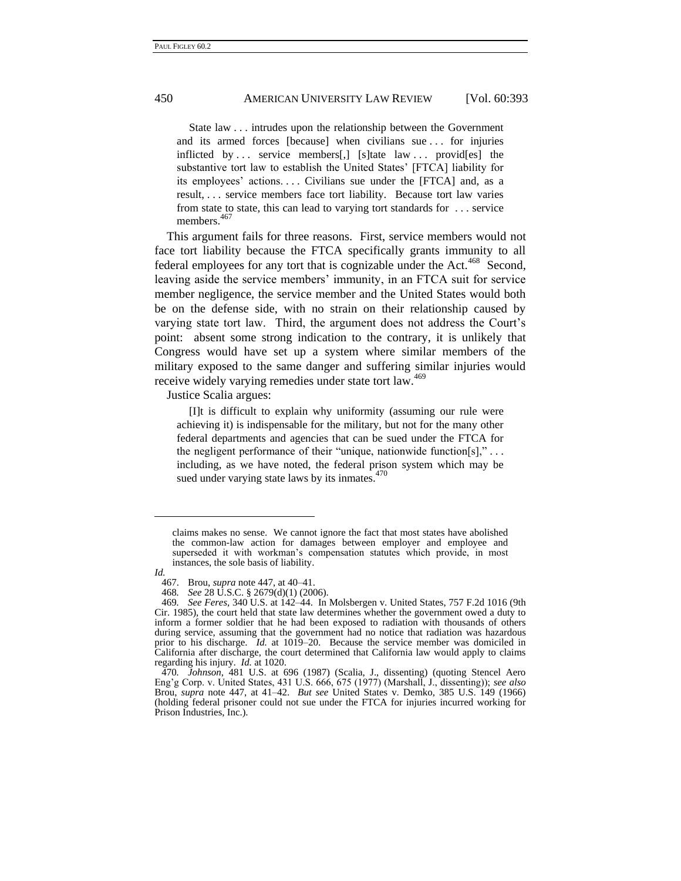State law . . . intrudes upon the relationship between the Government and its armed forces [because] when civilians sue . . . for injuries inflicted by . . . service members[,] [s]tate law . . . provid[es] the substantive tort law to establish the United States' [FTCA] liability for its employees' actions.... Civilians sue under the [FTCA] and, as a result, . . . service members face tort liability. Because tort law varies from state to state, this can lead to varying tort standards for . . . service members.<sup>467</sup>

This argument fails for three reasons. First, service members would not face tort liability because the FTCA specifically grants immunity to all federal employees for any tort that is cognizable under the Act.<sup>468</sup> Second, leaving aside the service members' immunity, in an FTCA suit for service member negligence, the service member and the United States would both be on the defense side, with no strain on their relationship caused by varying state tort law. Third, the argument does not address the Court's point: absent some strong indication to the contrary, it is unlikely that Congress would have set up a system where similar members of the military exposed to the same danger and suffering similar injuries would receive widely varying remedies under state tort law.<sup>469</sup>

Justice Scalia argues:

[I]t is difficult to explain why uniformity (assuming our rule were achieving it) is indispensable for the military, but not for the many other federal departments and agencies that can be sued under the FTCA for the negligent performance of their "unique, nationwide function[s]," ... including, as we have noted, the federal prison system which may be sued under varying state laws by its inmates.<sup>470</sup>

claims makes no sense. We cannot ignore the fact that most states have abolished the common-law action for damages between employer and employee and superseded it with workman's compensation statutes which provide, in most instances, the sole basis of liability.

*Id.*

<sup>467.</sup> Brou, *supra* note [447,](#page-55-0) at 40–41.

<sup>468</sup>*. See* 28 U.S.C. § 2679(d)(1) (2006).

<sup>469</sup>*. See Feres*, 340 U.S. at 142–44. In Molsbergen v. United States, 757 F.2d 1016 (9th Cir. 1985), the court held that state law determines whether the government owed a duty to inform a former soldier that he had been exposed to radiation with thousands of others during service, assuming that the government had no notice that radiation was hazardous prior to his discharge. *Id.* at 1019–20. Because the service member was domiciled in California after discharge, the court determined that California law would apply to claims regarding his injury. *Id.* at 1020.

<sup>470</sup>*. Johnson*, 481 U.S. at 696 (1987) (Scalia, J., dissenting) (quoting Stencel Aero Eng'g Corp. v. United States, 431 U.S. 666, 675 (1977) (Marshall, J., dissenting)); *see also* Brou, *supra* note [447,](#page-55-0) at 41–42. *But see* United States v. Demko, 385 U.S. 149 (1966) (holding federal prisoner could not sue under the FTCA for injuries incurred working for Prison Industries, Inc.).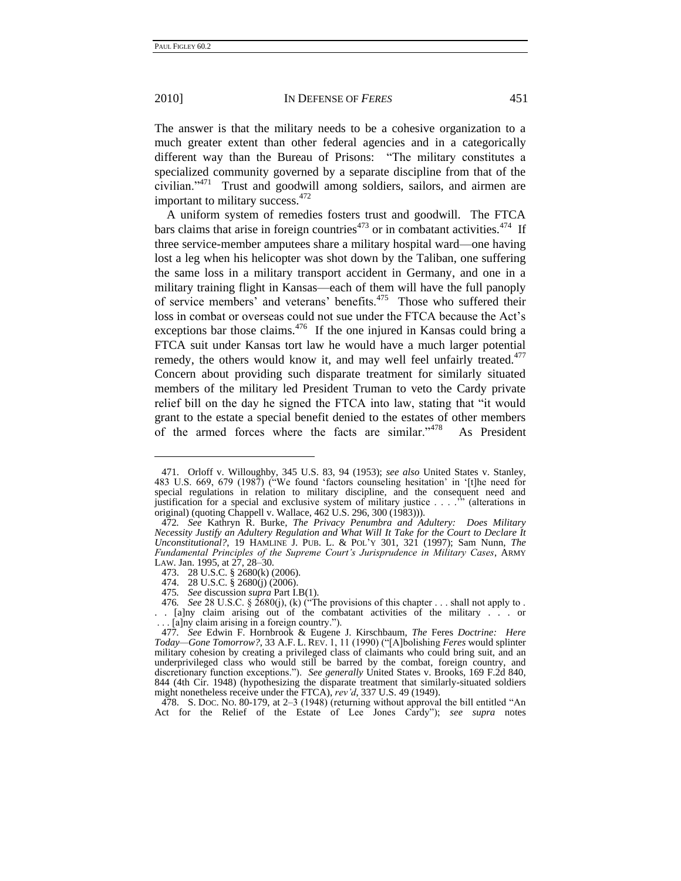## 2010] IN DEFENSE OF *FERES* 451

The answer is that the military needs to be a cohesive organization to a much greater extent than other federal agencies and in a categorically different way than the Bureau of Prisons: "The military constitutes a specialized community governed by a separate discipline from that of the civilian."<sup>471</sup> Trust and goodwill among soldiers, sailors, and airmen are important to military success.<sup>472</sup>

A uniform system of remedies fosters trust and goodwill. The FTCA bars claims that arise in foreign countries<sup> $473$ </sup> or in combatant activities.<sup> $474$ </sup> If three service-member amputees share a military hospital ward—one having lost a leg when his helicopter was shot down by the Taliban, one suffering the same loss in a military transport accident in Germany, and one in a military training flight in Kansas—each of them will have the full panoply of service members' and veterans' benefits.<sup>475</sup> Those who suffered their loss in combat or overseas could not sue under the FTCA because the Act's exceptions bar those claims. $476$  If the one injured in Kansas could bring a FTCA suit under Kansas tort law he would have a much larger potential remedy, the others would know it, and may well feel unfairly treated.<sup>477</sup> Concern about providing such disparate treatment for similarly situated members of the military led President Truman to veto the Cardy private relief bill on the day he signed the FTCA into law, stating that "it would grant to the estate a special benefit denied to the estates of other members of the armed forces where the facts are similar." $478$ As President

476. *See* 28 U.S.C. § 2680(j), (k) ("The provisions of this chapter . . . shall not apply to .

478. S. Doc. No. 80-179, at  $2-3$  (1948) (returning without approval the bill entitled "An Act for the Relief of the Estate of Lee Jones Cardy"); *see supra* notes

<span id="page-60-0"></span><sup>471.</sup> Orloff v. Willoughby, 345 U.S. 83, 94 (1953); *see also* United States v. Stanley, 483 U.S. 669, 679 (1987) ("We found 'factors counseling hesitation' in '[t]he need for special regulations in relation to military discipline, and the consequent need and justification for a special and exclusive system of military justice  $\ldots$ ." (alterations in justification for a special and exclusive system of military justice  $\dots$ . original) (quoting Chappell v. Wallace, 462 U.S. 296, 300 (1983))).

<sup>472</sup>*. See* Kathryn R. Burke, *The Privacy Penumbra and Adultery: Does Military Necessity Justify an Adultery Regulation and What Will It Take for the Court to Declare It Unconstitutional?*, 19 HAMLINE J. PUB. L. & POL'Y 301, 321 (1997); Sam Nunn, *The Fundamental Principles of the Supreme Court's Jurisprudence in Military Cases*, ARMY LAW. Jan. 1995, at 27, 28–30.

<sup>473.</sup> 28 U.S.C. § 2680(k) (2006).

<sup>474.</sup> 28 U.S.C. § 2680(j) (2006).

<sup>475</sup>*. See* discussion *supra* Part I.B(1).

<sup>. . [</sup>a]ny claim arising out of the combatant activities of the military . . . or . [a]ny claim arising in a foreign country.").

<sup>477</sup>*. See* Edwin F. Hornbrook & Eugene J. Kirschbaum, *The* Feres *Doctrine: Here Today—Gone Tomorrow?*, 33 A.F. L. REV. 1, 11 (1990) ("[A]bolishing *Feres* would splinter military cohesion by creating a privileged class of claimants who could bring suit, and an underprivileged class who would still be barred by the combat, foreign country, and discretionary function exceptions."). *See generally* United States v. Brooks, 169 F.2d 840, 844 (4th Cir. 1948) (hypothesizing the disparate treatment that similarly-situated soldiers might nonetheless receive under the FTCA), *rev'd*, 337 U.S. 49 (1949).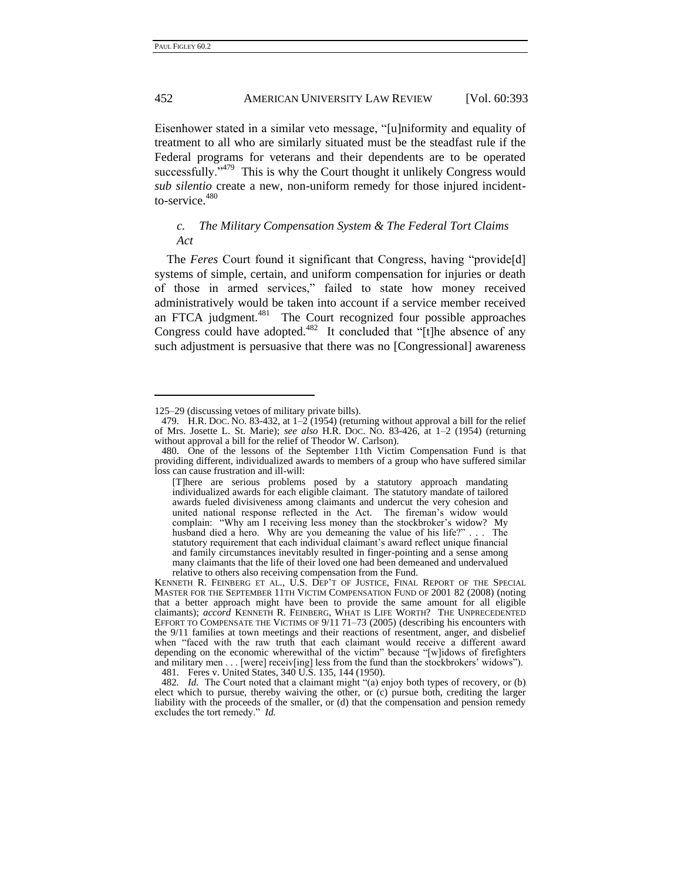## 452 AMERICAN UNIVERSITY LAW REVIEW [Vol. 60:393

Eisenhower stated in a similar veto message, "[u]niformity and equality of treatment to all who are similarly situated must be the steadfast rule if the Federal programs for veterans and their dependents are to be operated successfully." $479$  This is why the Court thought it unlikely Congress would *sub silentio* create a new, non-uniform remedy for those injured incidentto-service. 480

# *c. The Military Compensation System & The Federal Tort Claims Act*

The *Feres* Court found it significant that Congress, having "provide[d] systems of simple, certain, and uniform compensation for injuries or death of those in armed services," failed to state how money received administratively would be taken into account if a service member received an FTCA judgment.<sup>481</sup> The Court recognized four possible approaches Congress could have adopted. $482$  It concluded that "[t]he absence of any such adjustment is persuasive that there was no [Congressional] awareness

[<sup>125–</sup>](#page-19-0)29 (discussing vetoes of military private bills).

<sup>479.</sup> H.R. DOC. NO. 83-432, at 1–2 (1954) (returning without approval a bill for the relief of Mrs. Josette L. St. Marie); *see also* H.R. DOC. NO. 83-426, at 1–2 (1954) (returning without approval a bill for the relief of Theodor W. Carlson).

<sup>480.</sup> One of the lessons of the September 11th Victim Compensation Fund is that providing different, individualized awards to members of a group who have suffered similar loss can cause frustration and ill-will:

<sup>[</sup>T]here are serious problems posed by a statutory approach mandating individualized awards for each eligible claimant. The statutory mandate of tailored awards fueled divisiveness among claimants and undercut the very cohesion and united national response reflected in the Act. The fireman's widow would complain: "Why am I receiving less money than the stockbroker's widow? My husband died a hero. Why are you demeaning the value of his life?" . . . The statutory requirement that each individual claimant's award reflect unique financial and family circumstances inevitably resulted in finger-pointing and a sense among many claimants that the life of their loved one had been demeaned and undervalued relative to others also receiving compensation from the Fund.

KENNETH R. FEINBERG ET AL., U.S. DEP'T OF JUSTICE, FINAL REPORT OF THE SPECIAL MASTER FOR THE SEPTEMBER 11TH VICTIM COMPENSATION FUND OF 2001 82 (2008) (noting that a better approach might have been to provide the same amount for all eligible claimants); *accord* KENNETH R. FEINBERG, WHAT IS LIFE WORTH? THE UNPRECEDENTED EFFORT TO COMPENSATE THE VICTIMS OF 9/11 71–73 (2005) (describing his encounters with the 9/11 families at town meetings and their reactions of resentment, anger, and disbelief when "faced with the raw truth that each claimant would receive a different award depending on the economic wherewithal of the victim" because "[w]idows of firefighters and military men  $\dots$  [were] receiv[ing] less from the fund than the stockbrokers' widows''). 481. Feres v. United States, 340 U.S. 135, 144 (1950).

<sup>482.</sup> *Id.* The Court noted that a claimant might "(a) enjoy both types of recovery, or (b) elect which to pursue, thereby waiving the other, or (c) pursue both, crediting the larger liability with the proceeds of the smaller, or (d) that the compensation and pension remedy excludes the tort remedy." *Id.*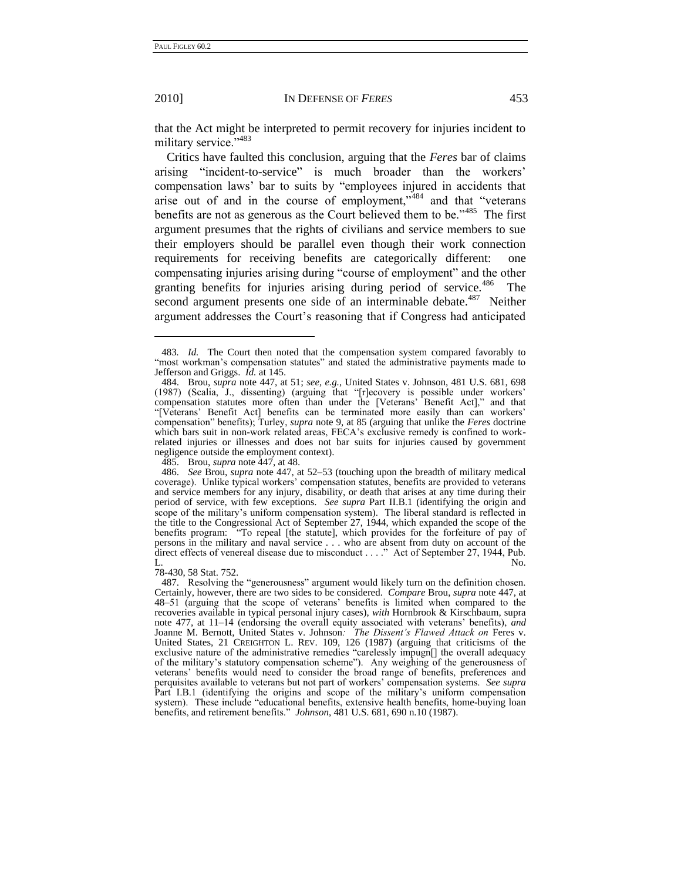## 2010] IN DEFENSE OF *FERES* 453

that the Act might be interpreted to permit recovery for injuries incident to military service."<sup>483</sup>

Critics have faulted this conclusion, arguing that the *Feres* bar of claims arising "incident-to-service" is much broader than the workers' compensation laws' bar to suits by "employees injured in accidents that arise out of and in the course of employment,  $v$ <sup>484</sup> and that "veterans" benefits are not as generous as the Court believed them to be.<sup> $3485$ </sup> The first argument presumes that the rights of civilians and service members to sue their employers should be parallel even though their work connection requirements for receiving benefits are categorically different: one compensating injuries arising during "course of employment" and the other granting benefits for injuries arising during period of service.<sup>486</sup> The second argument presents one side of an interminable debate.<sup>487</sup> Neither argument addresses the Court's reasoning that if Congress had anticipated

485. Brou, *supra* note [447,](#page-55-0) at 48.

78-430, 58 Stat. 752.

<span id="page-62-0"></span>

<sup>483</sup>*. Id.* The Court then noted that the compensation system compared favorably to "most workman's compensation statutes" and stated the administrative payments made to Jefferson and Griggs. *Id.* at 145.

<sup>484.</sup> Brou, *supra* note [447,](#page-55-0) at 51; *see, e.g.*, United States v. Johnson, 481 U.S. 681, 698 (1987) (Scalia, J., dissenting) (arguing that "[r]ecovery is possible under workers' compensation statutes more often than under the [Veterans' Benefit Act]," and that ―[Veterans' Benefit Act] benefits can be terminated more easily than can workers' compensation" benefits); Turley, *supra* note [9,](#page-4-0) at 85 (arguing that unlike the *Feres* doctrine which bars suit in non-work related areas, FECA's exclusive remedy is confined to workrelated injuries or illnesses and does not bar suits for injuries caused by government negligence outside the employment context).

<sup>486.</sup> *See* Brou, *supra* not[e 447,](#page-55-0) at 52–53 (touching upon the breadth of military medical coverage). Unlike typical workers' compensation statutes, benefits are provided to veterans and service members for any injury, disability, or death that arises at any time during their period of service, with few exceptions. *See supra* Part II.B.1 (identifying the origin and scope of the military's uniform compensation system). The liberal standard is reflected in the title to the Congressional Act of September 27, 1944, which expanded the scope of the benefits program: "To repeal [the statute], which provides for the forfeiture of pay of persons in the military and naval service . . . who are absent from duty on account of the direct effects of venereal disease due to misconduct . . . ." Act of September 27, 1944, Pub. L. No.

<sup>487.</sup> Resolving the "generousness" argument would likely turn on the definition chosen. Certainly, however, there are two sides to be considered. *Compare* Brou, *supra* not[e 447,](#page-55-0) at 48–51 (arguing that the scope of veterans' benefits is limited when compared to the recoveries available in typical personal injury cases), *with* Hornbrook & Kirschbaum, supra note [477,](#page-60-0) at 11–14 (endorsing the overall equity associated with veterans' benefits), *and* Joanne M. Bernott, United States v. Johnson*: The Dissent's Flawed Attack on* Feres v. United States, 21 CREIGHTON L. REV. 109, 126 (1987) (arguing that criticisms of the exclusive nature of the administrative remedies "carelessly impugn[] the overall adequacy of the military's statutory compensation scheme"). Any weighing of the generousness of veterans' benefits would need to consider the broad range of benefits, preferences and perquisites available to veterans but not part of workers' compensation systems. *See supra* Part I.B.1 (identifying the origins and scope of the military's uniform compensation system). These include "educational benefits, extensive health benefits, home-buying loan benefits, and retirement benefits.‖ *Johnson*, 481 U.S. 681, 690 n.10 (1987).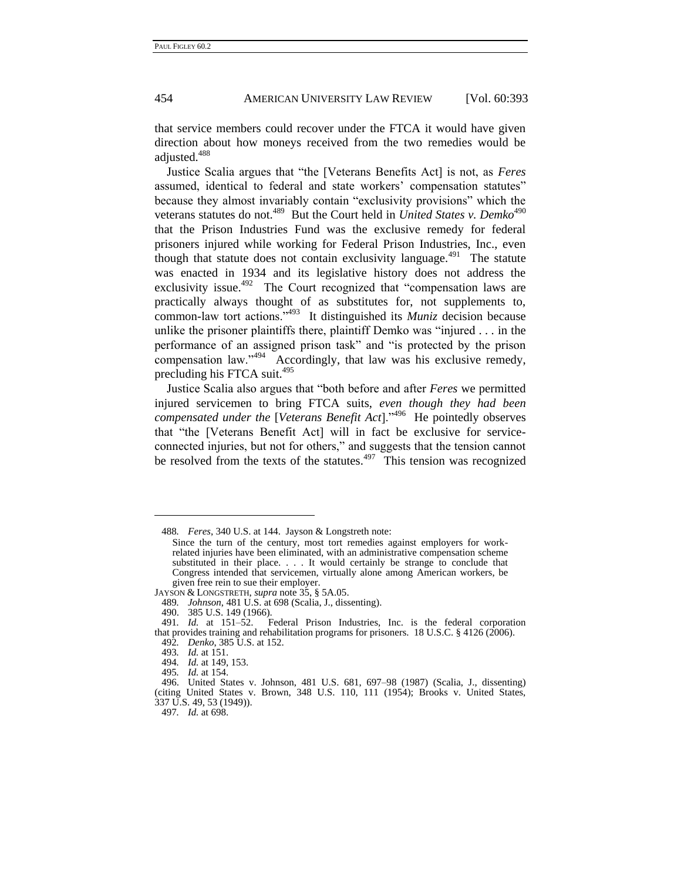that service members could recover under the FTCA it would have given direction about how moneys received from the two remedies would be adjusted.<sup>488</sup>

Justice Scalia argues that "the [Veterans Benefits Act] is not, as *Feres* assumed, identical to federal and state workers' compensation statutes" because they almost invariably contain "exclusivity provisions" which the veterans statutes do not.<sup>489</sup> But the Court held in *United States v. Demko<sup>490</sup>* that the Prison Industries Fund was the exclusive remedy for federal prisoners injured while working for Federal Prison Industries, Inc., even though that statute does not contain exclusivity language. $491$  The statute was enacted in 1934 and its legislative history does not address the exclusivity issue.<sup>492</sup> The Court recognized that "compensation laws are practically always thought of as substitutes for, not supplements to, common-law tort actions."<sup>493</sup> It distinguished its *Muniz* decision because unlike the prisoner plaintiffs there, plaintiff Demko was "injured  $\dots$  in the performance of an assigned prison task" and "is protected by the prison compensation law."<sup>494</sup> Accordingly, that law was his exclusive remedy, precluding his FTCA suit.<sup>495</sup>

Justice Scalia also argues that "both before and after *Feres* we permitted injured servicemen to bring FTCA suits, *even though they had been* compensated under the [Veterans Benefit Act]."<sup>496</sup> He pointedly observes that "the [Veterans Benefit Act] will in fact be exclusive for serviceconnected injuries, but not for others," and suggests that the tension cannot be resolved from the texts of the statutes. $497$  This tension was recognized

<sup>488</sup>*. Feres*, 340 U.S. at 144. Jayson & Longstreth note:

Since the turn of the century, most tort remedies against employers for workrelated injuries have been eliminated, with an administrative compensation scheme substituted in their place. . . . It would certainly be strange to conclude that Congress intended that servicemen, virtually alone among American workers, be given free rein to sue their employer.

JAYSON & LONGSTRETH, *supra* not[e 35,](#page-9-0) § 5A.05.

<sup>489</sup>*. Johnson*, 481 U.S. at 698 (Scalia, J., dissenting).

<sup>490.</sup> 385 U.S. 149 (1966).

<sup>491</sup>*. Id.* at 151–52. Federal Prison Industries, Inc. is the federal corporation that provides training and rehabilitation programs for prisoners. 18 U.S.C. § 4126 (2006). 492*. Denko*, 385 U.S. at 152.

<sup>493</sup>*. Id.* at 151.

<sup>494</sup>*. Id.* at 149, 153.

<sup>495</sup>*. Id.* at 154.

<sup>496.</sup> United States v. Johnson, 481 U.S. 681, 697–98 (1987) (Scalia, J., dissenting) (citing United States v. Brown, 348 U.S. 110, 111 (1954); Brooks v. United States, 337 U.S. 49, 53 (1949)).

<sup>497</sup>*. Id.* at 698.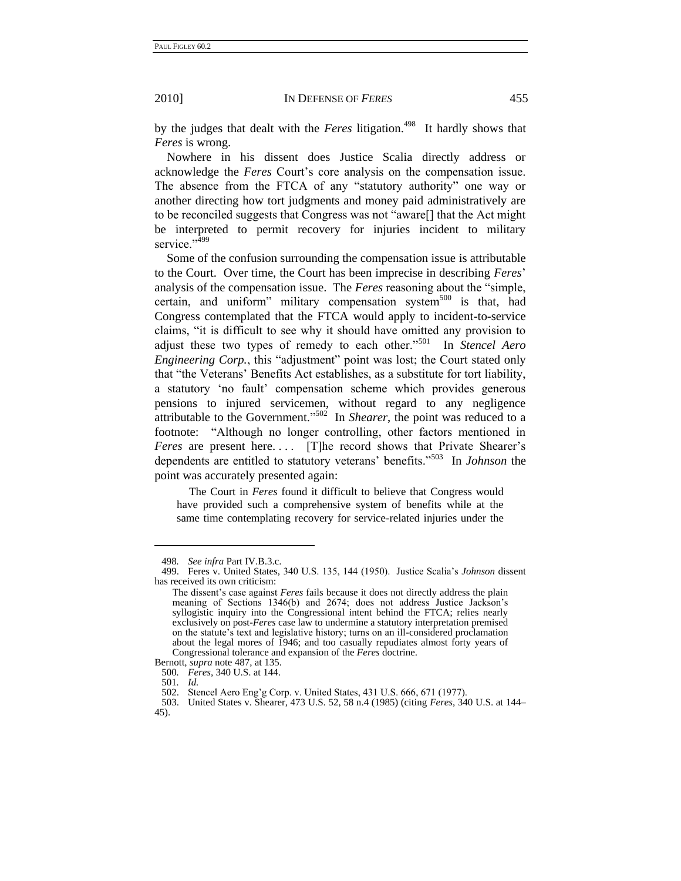by the judges that dealt with the *Feres* litigation.<sup>498</sup> It hardly shows that *Feres* is wrong.

Nowhere in his dissent does Justice Scalia directly address or acknowledge the *Feres* Court's core analysis on the compensation issue. The absence from the FTCA of any "statutory authority" one way or another directing how tort judgments and money paid administratively are to be reconciled suggests that Congress was not "aware<sup>[]</sup> that the Act might be interpreted to permit recovery for injuries incident to military service."<sup>499</sup>

Some of the confusion surrounding the compensation issue is attributable to the Court. Over time, the Court has been imprecise in describing *Feres*' analysis of the compensation issue. The *Feres* reasoning about the "simple, certain, and uniform" military compensation system<sup>500</sup> is that, had Congress contemplated that the FTCA would apply to incident-to-service claims, "it is difficult to see why it should have omitted any provision to adjust these two types of remedy to each other."<sup>501</sup> In *Stencel Aero Engineering Corp.*, this "adjustment" point was lost; the Court stated only that "the Veterans' Benefits Act establishes, as a substitute for tort liability, a statutory ‗no fault' compensation scheme which provides generous pensions to injured servicemen, without regard to any negligence attributable to the Government."<sup>502</sup> In *Shearer*, the point was reduced to a footnote: "Although no longer controlling, other factors mentioned in *Feres* are present here.... [T]he record shows that Private Shearer's dependents are entitled to statutory veterans' benefits."<sup>503</sup> In *Johnson* the point was accurately presented again:

The Court in *Feres* found it difficult to believe that Congress would have provided such a comprehensive system of benefits while at the same time contemplating recovery for service-related injuries under the

<sup>498</sup>*. See infra* Part IV.B.3.c.

<sup>499.</sup> Feres v. United States, 340 U.S. 135, 144 (1950). Justice Scalia's *Johnson* dissent has received its own criticism:

The dissent's case against *Feres* fails because it does not directly address the plain meaning of Sections 1346(b) and 2674; does not address Justice Jackson's syllogistic inquiry into the Congressional intent behind the FTCA; relies nearly exclusively on post-*Feres* case law to undermine a statutory interpretation premised on the statute's text and legislative history; turns on an ill-considered proclamation about the legal mores of 1946; and too casually repudiates almost forty years of Congressional tolerance and expansion of the *Feres* doctrine.

Bernott, *supra* note [487,](#page-62-0) at 135. 500*. Feres*, 340 U.S. at 144.

<sup>501</sup>*. Id.* 

<sup>502.</sup> Stencel Aero Eng'g Corp. v. United States, 431 U.S. 666, 671 (1977).<br>503. United States v. Shearer, 473 U.S. 52, 58 n.4 (1985) (citing Feres, 34

<sup>503.</sup> United States v. Shearer, 473 U.S. 52, 58 n.4 (1985) (citing *Feres*, 340 U.S. at 144– 45).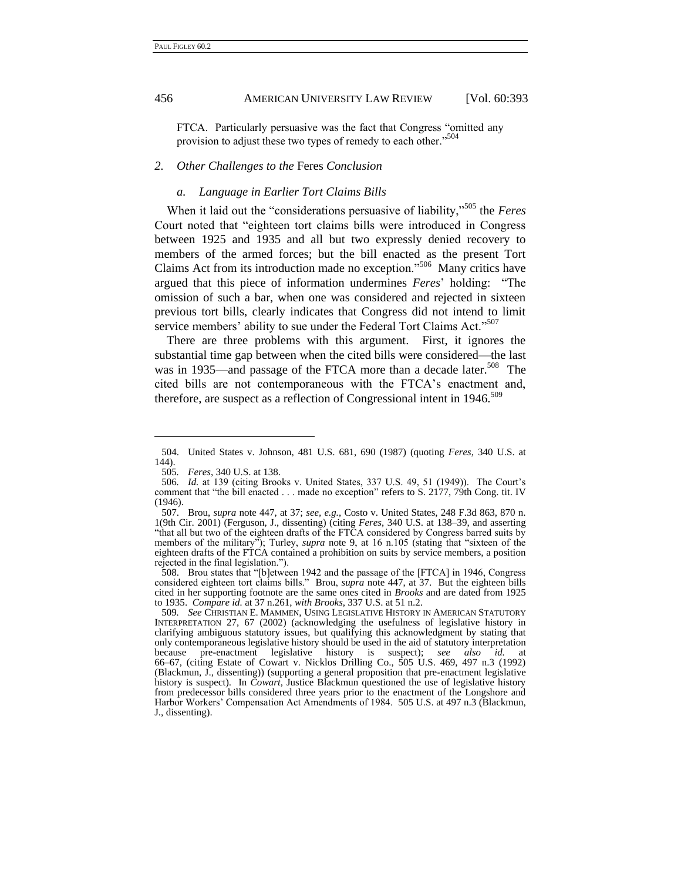FTCA. Particularly persuasive was the fact that Congress "omitted any provision to adjust these two types of remedy to each other."<sup>504</sup>

#### *2. Other Challenges to the* Feres *Conclusion*

## *a. Language in Earlier Tort Claims Bills*

When it laid out the "considerations persuasive of liability,"<sup>505</sup> the *Feres* Court noted that "eighteen tort claims bills were introduced in Congress between 1925 and 1935 and all but two expressly denied recovery to members of the armed forces; but the bill enacted as the present Tort Claims Act from its introduction made no exception."<sup>506</sup> Many critics have argued that this piece of information undermines *Feres*' holding: "The omission of such a bar, when one was considered and rejected in sixteen previous tort bills, clearly indicates that Congress did not intend to limit service members' ability to sue under the Federal Tort Claims Act."<sup>507</sup>

There are three problems with this argument. First, it ignores the substantial time gap between when the cited bills were considered—the last was in 1935—and passage of the FTCA more than a decade later.<sup>508</sup> The cited bills are not contemporaneous with the FTCA's enactment and, therefore, are suspect as a reflection of Congressional intent in  $1946$ .<sup>509</sup>

<sup>504.</sup> United States v. Johnson, 481 U.S. 681, 690 (1987) (quoting *Feres*, 340 U.S. at 144).

<span id="page-65-0"></span><sup>505</sup>*. Feres*, 340 U.S. at 138.

<sup>506</sup>*. Id.* at 139 (citing Brooks v. United States, 337 U.S. 49, 51 (1949)). The Court's comment that "the bill enacted  $\dots$  made no exception" refers to S. 2177, 79th Cong. tit. IV (1946).

<sup>507.</sup> Brou, *supra* note [447,](#page-55-0) at 37; *see, e.g.*, Costo v. United States, 248 F.3d 863, 870 n. 1(9th Cir. 2001) (Ferguson, J., dissenting) (citing *Feres*, 340 U.S. at 138–39, and asserting "that all but two of the eighteen drafts of the FTCA considered by Congress barred suits by members of the military<sup>"</sup>); Turley, *supra* note [9,](#page-4-0) at 16 n.105 (stating that "sixteen of the eighteen drafts of the FTCA contained a prohibition on suits by service members, a position rejected in the final legislation.").

<sup>508.</sup> Brou states that "[b]etween 1942 and the passage of the [FTCA] in 1946, Congress considered eighteen tort claims bills." Brou, *supra* note [447,](#page-55-0) at 37. But the eighteen bills cited in her supporting footnote are the same ones cited in *Brooks* and are dated from 1925 to 1935. *Compare id.* at 37 n.261, *with Brooks*, 337 U.S. at 51 n.2.

<sup>509</sup>*. See* CHRISTIAN E. MAMMEN, USING LEGISLATIVE HISTORY IN AMERICAN STATUTORY INTERPRETATION 27, 67 (2002) (acknowledging the usefulness of legislative history in clarifying ambiguous statutory issues, but qualifying this acknowledgment by stating that only contemporaneous legislative history should be used in the aid of statutory interpretation because pre-enactment legislative history is suspect); *see also id.* at 66–67, (citing Estate of Cowart v. Nicklos Drilling Co., 505 U.S. 469, 497 n.3 (1992) (Blackmun, J., dissenting)) (supporting a general proposition that pre-enactment legislative history is suspect). In *Cowart*, Justice Blackmun questioned the use of legislative history from predecessor bills considered three years prior to the enactment of the Longshore and Harbor Workers' Compensation Act Amendments of 1984. 505 U.S. at 497 n.3 (Blackmun, J., dissenting).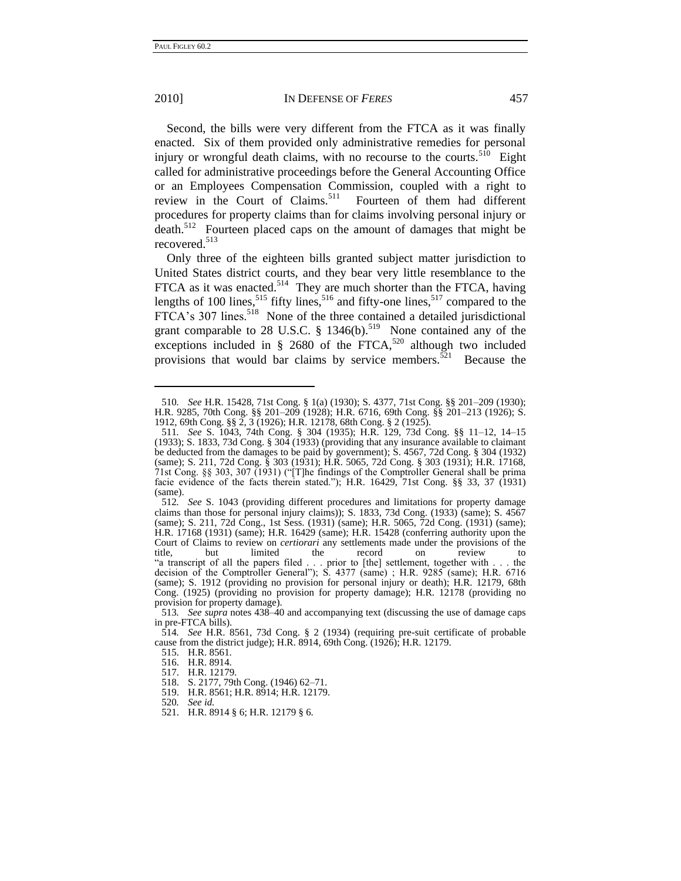#### 2010] IN DEFENSE OF *FERES* 457

Second, the bills were very different from the FTCA as it was finally enacted. Six of them provided only administrative remedies for personal injury or wrongful death claims, with no recourse to the courts.<sup>510</sup> Eight called for administrative proceedings before the General Accounting Office or an Employees Compensation Commission, coupled with a right to review in the Court of Claims.<sup>511</sup> Fourteen of them had different procedures for property claims than for claims involving personal injury or death.<sup>512</sup> Fourteen placed caps on the amount of damages that might be recovered.<sup>513</sup>

Only three of the eighteen bills granted subject matter jurisdiction to United States district courts, and they bear very little resemblance to the FTCA as it was enacted.<sup>514</sup> They are much shorter than the FTCA, having lengths of 100 lines,  $515$  fifty lines,  $516$  and fifty-one lines,  $517$  compared to the FTCA's 307 lines.<sup>518</sup> None of the three contained a detailed jurisdictional grant comparable to 28 U.S.C.  $\S$  1346(b).<sup>519</sup> None contained any of the exceptions included in  $\S$  2680 of the FTCA,<sup>520</sup> although two included provisions that would bar claims by service members.<sup>521</sup> Because the

<sup>510</sup>*. See* H.R. 15428, 71st Cong. § 1(a) (1930); S. 4377, 71st Cong. §§ 201–209 (1930); H.R. 9285, 70th Cong. §§ 201–209 (1928); H.R. 6716, 69th Cong. §§ 201–213 (1926); S. 1912, 69th Cong. §§ 2, 3 (1926); H.R. 12178, 68th Cong. § 2 (1925).

<sup>511</sup>*. See* S. 1043, 74th Cong. § 304 (1935); H.R. 129, 73d Cong. §§ 11–12, 14–15 (1933); S. 1833, 73d Cong. § 304 (1933) (providing that any insurance available to claimant be deducted from the damages to be paid by government); S. 4567, 72d Cong. § 304 (1932) (same); S. 211, 72d Cong. § 303 (1931); H.R. 5065, 72d Cong. § 303 (1931); H.R. 17168, 71st Cong.  $\S$ § 303, 307 (1931) ("[T]he findings of the Comptroller General shall be prima facie evidence of the facts therein stated."); H.R. 16429,  $71st$  Cong. §§ 33, 37 (1931) (same).

<sup>512</sup>*. See* S. 1043 (providing different procedures and limitations for property damage claims than those for personal injury claims)); S. 1833, 73d Cong. (1933) (same); S. 4567 (same); S. 211, 72d Cong., 1st Sess. (1931) (same); H.R. 5065, 72d Cong. (1931) (same); H.R. 17168 (1931) (same); H.R. 16429 (same); H.R. 15428 (conferring authority upon the Court of Claims to review on *certiorari* any settlements made under the provisions of the title, but limited the record on review to ―a transcript of all the papers filed . . . prior to [the] settlement, together with . . . the decision of the Comptroller General"); S. 4377 (same) ; H.R. 9285 (same); H.R. 6716 (same); S. 1912 (providing no provision for personal injury or death); H.R. 12179, 68th Cong. (1925) (providing no provision for property damage); H.R. 12178 (providing no provision for property damage).

<sup>513</sup>*. See supra* notes [438–](#page-54-0)40 and accompanying text (discussing the use of damage caps in pre-FTCA bills).

<sup>514</sup>*. See* H.R. 8561, 73d Cong. § 2 (1934) (requiring pre-suit certificate of probable cause from the district judge); H.R. 8914, 69th Cong. (1926); H.R. 12179.

<sup>515.</sup> H.R. 8561.

<sup>516.</sup> H.R. 8914.

<sup>517.</sup> H.R. 12179.

<sup>518.</sup> S. 2177, 79th Cong. (1946) 62–71.

<sup>519.</sup> H.R. 8561; H.R. 8914; H.R. 12179.

<sup>520</sup>*. See id.*

<sup>521.</sup> H.R. 8914 § 6; H.R. 12179 § 6.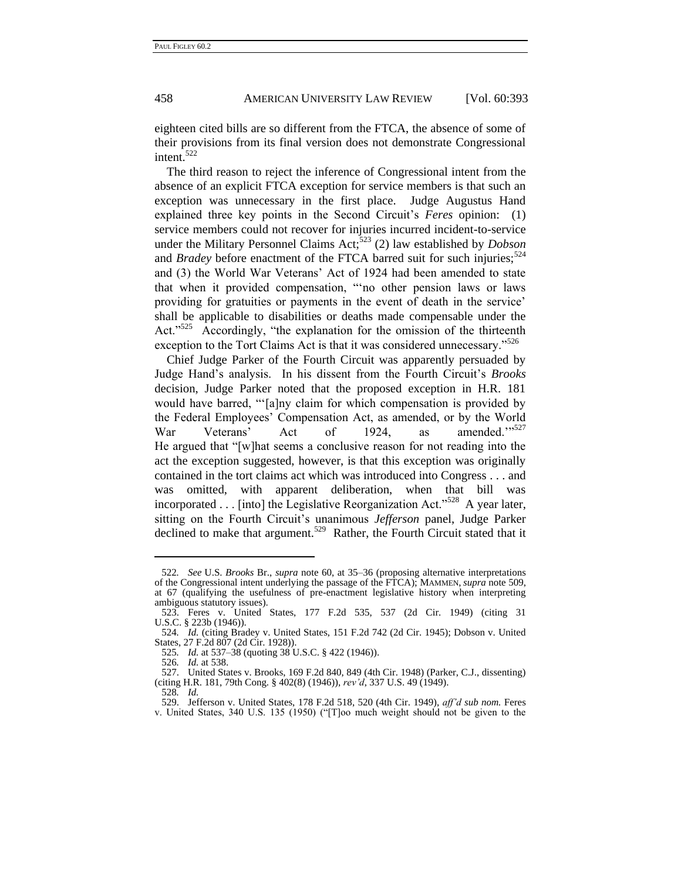eighteen cited bills are so different from the FTCA, the absence of some of their provisions from its final version does not demonstrate Congressional intent.<sup>522</sup>

The third reason to reject the inference of Congressional intent from the absence of an explicit FTCA exception for service members is that such an exception was unnecessary in the first place. Judge Augustus Hand explained three key points in the Second Circuit's *Feres* opinion: (1) service members could not recover for injuries incurred incident-to-service under the Military Personnel Claims Act;<sup>523</sup> (2) law established by *Dobson* and *Bradey* before enactment of the FTCA barred suit for such injuries;<sup>524</sup> and (3) the World War Veterans' Act of 1924 had been amended to state that when it provided compensation, ""no other pension laws or laws providing for gratuities or payments in the event of death in the service' shall be applicable to disabilities or deaths made compensable under the Act."<sup>525</sup> Accordingly, "the explanation for the omission of the thirteenth exception to the Tort Claims Act is that it was considered unnecessary."<sup>526</sup>

Chief Judge Parker of the Fourth Circuit was apparently persuaded by Judge Hand's analysis. In his dissent from the Fourth Circuit's *Brooks* decision, Judge Parker noted that the proposed exception in H.R. 181 would have barred, "[a]ny claim for which compensation is provided by the Federal Employees' Compensation Act, as amended, or by the World War Veterans' Act of 1924, as amended.''<sup>527</sup> He argued that "[w]hat seems a conclusive reason for not reading into the act the exception suggested, however, is that this exception was originally contained in the tort claims act which was introduced into Congress . . . and was omitted, with apparent deliberation, when that bill was incorporated  $\dots$  [into] the Legislative Reorganization Act.<sup>5528</sup> A year later, sitting on the Fourth Circuit's unanimous *Jefferson* panel, Judge Parker declined to make that argument.<sup>529</sup> Rather, the Fourth Circuit stated that it

<sup>522</sup>*. See* U.S. *Brooks* Br., *supra* note [60,](#page-12-0) at 35–36 (proposing alternative interpretations of the Congressional intent underlying the passage of the FTCA); MAMMEN, *supra* not[e 509,](#page-65-0) at 67 (qualifying the usefulness of pre-enactment legislative history when interpreting ambiguous statutory issues).

<sup>523.</sup> Feres v. United States, 177 F.2d 535, 537 (2d Cir. 1949) (citing 31 U.S.C. § 223b (1946)).

<sup>524</sup>*. Id.* (citing Bradey v. United States, 151 F.2d 742 (2d Cir. 1945); Dobson v. United States, 27 F.2d 807 (2d Cir. 1928)).

<sup>525</sup>*. Id.* at 537–38 (quoting 38 U.S.C. § 422 (1946)).

<sup>526</sup>*. Id.* at 538.

<sup>527.</sup> United States v. Brooks, 169 F.2d 840, 849 (4th Cir. 1948) (Parker, C.J., dissenting) (citing H.R. 181, 79th Cong. § 402(8) (1946)), *rev'd*, 337 U.S. 49 (1949).

<sup>528</sup>*. Id.*

<sup>529.</sup> Jefferson v. United States, 178 F.2d 518, 520 (4th Cir. 1949), *aff'd sub nom.* Feres v. United States, 340 U.S. 135 (1950) ("T]oo much weight should not be given to the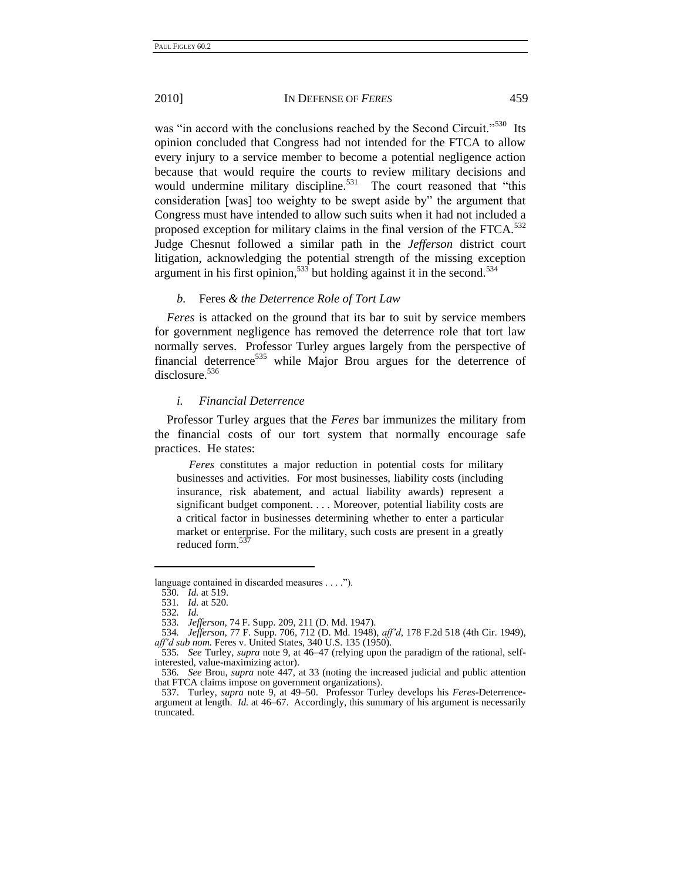was "in accord with the conclusions reached by the Second Circuit."<sup>530</sup> Its opinion concluded that Congress had not intended for the FTCA to allow every injury to a service member to become a potential negligence action because that would require the courts to review military decisions and would undermine military discipline.<sup>531</sup> The court reasoned that "this consideration [was] too weighty to be swept aside by" the argument that Congress must have intended to allow such suits when it had not included a proposed exception for military claims in the final version of the FTCA. $532$ Judge Chesnut followed a similar path in the *Jefferson* district court litigation, acknowledging the potential strength of the missing exception argument in his first opinion,  $533$  but holding against it in the second.  $534$ 

## *b.* Feres *& the Deterrence Role of Tort Law*

*Feres* is attacked on the ground that its bar to suit by service members for government negligence has removed the deterrence role that tort law normally serves. Professor Turley argues largely from the perspective of financial deterrence<sup>535</sup> while Major Brou argues for the deterrence of disclosure.<sup>536</sup>

#### *i. Financial Deterrence*

Professor Turley argues that the *Feres* bar immunizes the military from the financial costs of our tort system that normally encourage safe practices. He states:

*Feres* constitutes a major reduction in potential costs for military businesses and activities. For most businesses, liability costs (including insurance, risk abatement, and actual liability awards) represent a significant budget component. . . . Moreover, potential liability costs are a critical factor in businesses determining whether to enter a particular market or enterprise. For the military, such costs are present in a greatly reduced form.<sup>537</sup>

language contained in discarded measures . . . .").

<sup>530</sup>*. Id.* at 519. 531*. Id*. at 520.

<sup>532</sup>*. Id.*

<sup>533</sup>*. Jefferson*, 74 F. Supp. 209, 211 (D. Md. 1947).

<sup>534</sup>*. Jefferson*, 77 F. Supp. 706, 712 (D. Md. 1948), *aff'd*, 178 F.2d 518 (4th Cir. 1949), *aff'd sub nom.* Feres v. United States, 340 U.S. 135 (1950).

<sup>535</sup>*. See* Turley, *supra* note [9,](#page-4-0) at 46–47 (relying upon the paradigm of the rational, selfinterested, value-maximizing actor).

<sup>536</sup>*. See* Brou, *supra* note [447,](#page-55-0) at 33 (noting the increased judicial and public attention that FTCA claims impose on government organizations).

<sup>537.</sup> Turley, *supra* note [9,](#page-4-0) at 49–50. Professor Turley develops his *Feres*-Deterrenceargument at length. *Id.* at 46–67. Accordingly, this summary of his argument is necessarily truncated.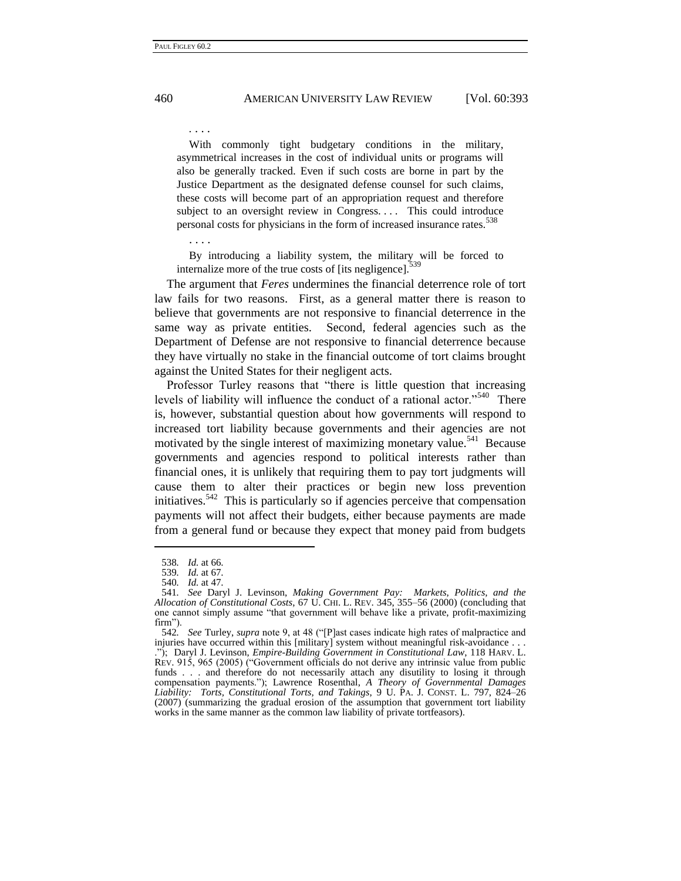*.* . . .

With commonly tight budgetary conditions in the military, asymmetrical increases in the cost of individual units or programs will also be generally tracked. Even if such costs are borne in part by the Justice Department as the designated defense counsel for such claims, these costs will become part of an appropriation request and therefore subject to an oversight review in Congress.... This could introduce personal costs for physicians in the form of increased insurance rates.<sup>538</sup>

. . . .

By introducing a liability system, the military will be forced to internalize more of the true costs of [its negligence]. $\frac{5}{3}$ 

The argument that *Feres* undermines the financial deterrence role of tort law fails for two reasons. First, as a general matter there is reason to believe that governments are not responsive to financial deterrence in the same way as private entities. Second, federal agencies such as the Department of Defense are not responsive to financial deterrence because they have virtually no stake in the financial outcome of tort claims brought against the United States for their negligent acts.

Professor Turley reasons that "there is little question that increasing levels of liability will influence the conduct of a rational actor."<sup>540</sup> There is, however, substantial question about how governments will respond to increased tort liability because governments and their agencies are not motivated by the single interest of maximizing monetary value.<sup>541</sup> Because governments and agencies respond to political interests rather than financial ones, it is unlikely that requiring them to pay tort judgments will cause them to alter their practices or begin new loss prevention initiatives.<sup>542</sup> This is particularly so if agencies perceive that compensation payments will not affect their budgets, either because payments are made from a general fund or because they expect that money paid from budgets

<span id="page-69-0"></span><sup>538</sup>*. Id.* at 66.

<sup>539</sup>*. Id.* at 67.

<sup>540</sup>*. Id.* at 47.

<sup>541</sup>*. See* Daryl J. Levinson, *Making Government Pay: Markets, Politics, and the Allocation of Constitutional Costs*, 67 U. CHI. L. REV. 345, 355–56 (2000) (concluding that one cannot simply assume "that government will behave like a private, profit-maximizing firm").

<sup>542.</sup> *See* Turley, *supra* note 9, at 48 ("[P]ast cases indicate high rates of malpractice and injuries have occurred within this [military] system without meaningful risk-avoidance . . . .‖); Daryl J. Levinson, *Empire-Building Government in Constitutional Law*, 118 HARV. L. REV. 915, 965 (2005) ("Government officials do not derive any intrinsic value from public funds . . . and therefore do not necessarily attach any disutility to losing it through compensation payments.‖); Lawrence Rosenthal, *A Theory of Governmental Damages Liability: Torts, Constitutional Torts, and Takings*, 9 U. PA. J. CONST. L. 797, 824–26 (2007) (summarizing the gradual erosion of the assumption that government tort liability works in the same manner as the common law liability of private tortfeasors).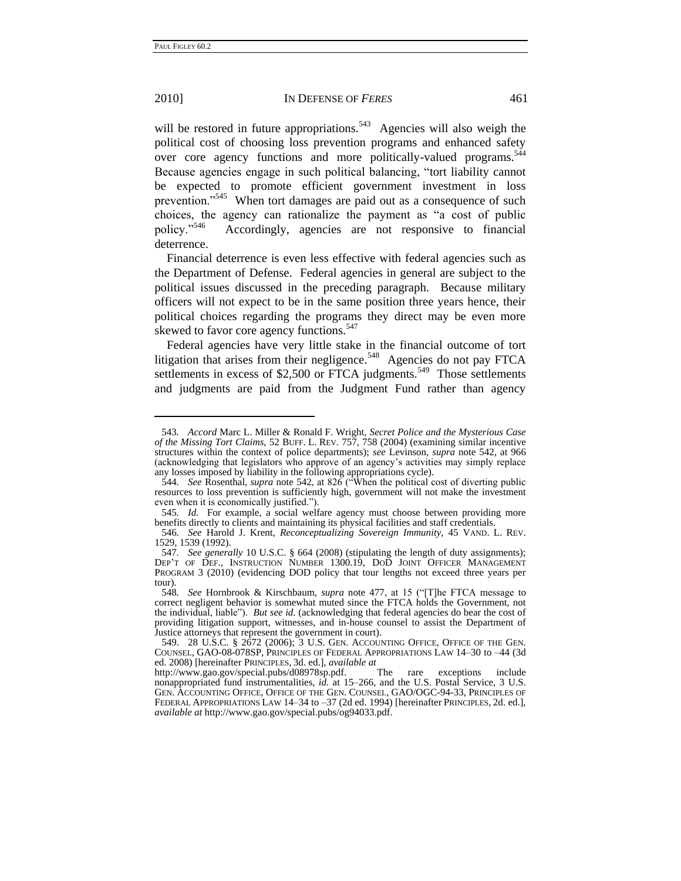#### 2010] IN DEFENSE OF *FERES* 461

will be restored in future appropriations.<sup>543</sup> Agencies will also weigh the political cost of choosing loss prevention programs and enhanced safety over core agency functions and more politically-valued programs.<sup>544</sup> Because agencies engage in such political balancing, "tort liability cannot be expected to promote efficient government investment in loss prevention."<sup>545</sup> When tort damages are paid out as a consequence of such choices, the agency can rationalize the payment as "a cost of public policy."<sup>546</sup> Accordingly, agencies are not responsive to financial deterrence.

Financial deterrence is even less effective with federal agencies such as the Department of Defense. Federal agencies in general are subject to the political issues discussed in the preceding paragraph. Because military officers will not expect to be in the same position three years hence, their political choices regarding the programs they direct may be even more skewed to favor core agency functions.<sup>547</sup>

<span id="page-70-0"></span>Federal agencies have very little stake in the financial outcome of tort litigation that arises from their negligence.<sup>548</sup> Agencies do not pay FTCA settlements in excess of \$2,500 or FTCA judgments.<sup>549</sup> Those settlements and judgments are paid from the Judgment Fund rather than agency

<sup>543</sup>*. Accord* Marc L. Miller & Ronald F. Wright, *Secret Police and the Mysterious Case of the Missing Tort Claims*, 52 BUFF. L. REV. 757, 758 (2004) (examining similar incentive structures within the context of police departments); *see* Levinson, *supra* note [542,](#page-69-0) at 966 (acknowledging that legislators who approve of an agency's activities may simply replace any losses imposed by liability in the following appropriations cycle).

<sup>544.</sup> *See* Rosenthal, *supra* note [542,](#page-69-0) at 826 ("When the political cost of diverting public resources to loss prevention is sufficiently high, government will not make the investment even when it is economically justified.").

<sup>545</sup>*. Id.* For example, a social welfare agency must choose between providing more benefits directly to clients and maintaining its physical facilities and staff credentials.

<sup>546</sup>*. See* Harold J. Krent, *Reconceptualizing Sovereign Immunity*, 45 VAND. L. REV. 1529, 1539 (1992).

<sup>547</sup>*. See generally* 10 U.S.C. § 664 (2008) (stipulating the length of duty assignments); DEP'T OF DEF., INSTRUCTION NUMBER 1300.19, DOD JOINT OFFICER MANAGEMENT PROGRAM 3 (2010) (evidencing DOD policy that tour lengths not exceed three years per tour).<br> $548.$ 

See Hornbrook & Kirschbaum, *supra* note [477,](#page-60-0) at 15 ("T]he FTCA message to correct negligent behavior is somewhat muted since the FTCA holds the Government, not the individual, liable‖). *But see id.* (acknowledging that federal agencies do bear the cost of providing litigation support, witnesses, and in-house counsel to assist the Department of Justice attorneys that represent the government in court).

<sup>549.</sup> 28 U.S.C. § 2672 (2006); 3 U.S. GEN. ACCOUNTING OFFICE, OFFICE OF THE GEN. COUNSEL, GAO-08-078SP, PRINCIPLES OF FEDERAL APPROPRIATIONS LAW 14–30 to –44 (3d ed. 2008) [hereinafter PRINCIPLES, 3d. ed.], *available at*

http://www.gao.gov/special.pubs/d08978sp.pdf. The rare exceptions include nonappropriated fund instrumentalities, *id.* at 15–266, and the U.S. Postal Service, 3 U.S. GEN. ACCOUNTING OFFICE, OFFICE OF THE GEN. COUNSEL, GAO/OGC-94-33, PRINCIPLES OF FEDERAL APPROPRIATIONS LAW 14–34 to –37 (2d ed. 1994) [hereinafter PRINCIPLES, 2d. ed.], *available at* http://www.gao.gov/special.pubs/og94033.pdf.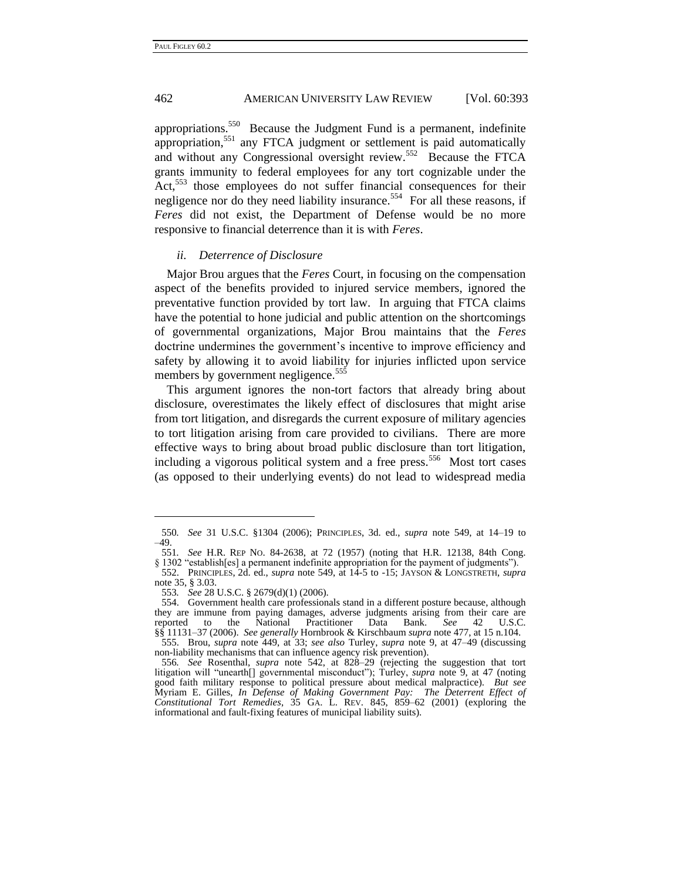appropriations.<sup>550</sup> Because the Judgment Fund is a permanent, indefinite appropriation,<sup>551</sup> any FTCA judgment or settlement is paid automatically and without any Congressional oversight review.<sup>552</sup> Because the FTCA grants immunity to federal employees for any tort cognizable under the Act,<sup>553</sup> those employees do not suffer financial consequences for their negligence nor do they need liability insurance.<sup>554</sup> For all these reasons, if *Feres* did not exist, the Department of Defense would be no more responsive to financial deterrence than it is with *Feres*.

## *ii. Deterrence of Disclosure*

Major Brou argues that the *Feres* Court, in focusing on the compensation aspect of the benefits provided to injured service members, ignored the preventative function provided by tort law. In arguing that FTCA claims have the potential to hone judicial and public attention on the shortcomings of governmental organizations, Major Brou maintains that the *Feres* doctrine undermines the government's incentive to improve efficiency and safety by allowing it to avoid liability for injuries inflicted upon service members by government negligence.<sup>555</sup>

This argument ignores the non-tort factors that already bring about disclosure, overestimates the likely effect of disclosures that might arise from tort litigation, and disregards the current exposure of military agencies to tort litigation arising from care provided to civilians. There are more effective ways to bring about broad public disclosure than tort litigation, including a vigorous political system and a free press.<sup>556</sup> Most tort cases (as opposed to their underlying events) do not lead to widespread media

<sup>550</sup>*. See* 31 U.S.C. §1304 (2006); PRINCIPLES, 3d. ed., *supra* note 549, at 14–19 to  $-49.$ <br>551.

<sup>551</sup>*. See* H.R. REP NO. 84-2638, at 72 (1957) (noting that H.R. 12138, 84th Cong.

<sup>§ 1302 &</sup>quot;establish[es] a permanent indefinite appropriation for the payment of judgments").

<sup>552.</sup> PRINCIPLES, 2d. ed., *supra* note [549,](#page-70-0) at 14-5 to -15; JAYSON & LONGSTRETH, *supra* not[e 35,](#page-9-0) § 3.03.

<sup>553</sup>*. See* 28 U.S.C. § 2679(d)(1) (2006).

<sup>554.</sup> Government health care professionals stand in a different posture because, although they are immune from paying damages, adverse judgments arising from their care are reported to the National Practitioner Data Bank. See 42 U.S.C. reported to the National Practitioner Data Bank. *See* 42 U.S.C. §§ 11131–37 (2006). *See generally* Hornbrook & Kirschbaum *supra* note [477,](#page-60-0) at 15 n.104.

<sup>555.</sup> Brou, *supra* note [449,](#page-56-0) at 33; *see also* Turley, *supra* note [9,](#page-4-0) at 47–49 (discussing non-liability mechanisms that can influence agency risk prevention).

<sup>556</sup>*. See* Rosenthal, *supra* note [542,](#page-69-0) at 828–29 (rejecting the suggestion that tort litigation will "unearth<sup>[]</sup> governmental misconduct"); Turley, *supra* note [9,](#page-4-0) at 47 (noting good faith military response to political pressure about medical malpractice). *But see* Myriam E. Gilles, *In Defense of Making Government Pay: The Deterrent Effect of Constitutional Tort Remedies*, 35 GA. L. REV. 845, 859–62 (2001) (exploring the informational and fault-fixing features of municipal liability suits).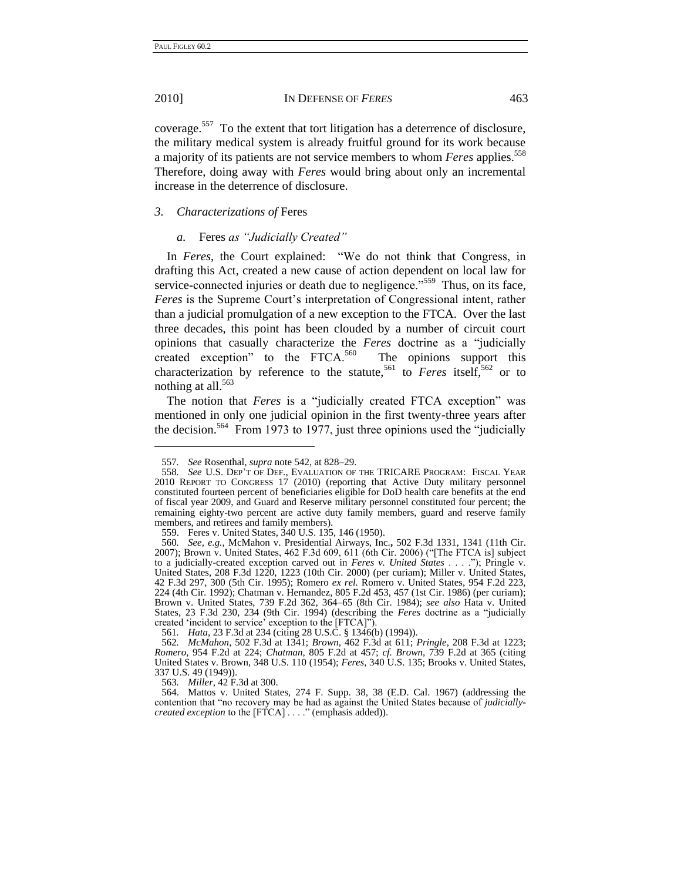-

### 2010] IN DEFENSE OF *FERES* 463

coverage.<sup>557</sup> To the extent that tort litigation has a deterrence of disclosure, the military medical system is already fruitful ground for its work because a majority of its patients are not service members to whom *Feres* applies.<sup>558</sup> Therefore, doing away with *Feres* would bring about only an incremental increase in the deterrence of disclosure.

### *3. Characterizations of* Feres

#### *a.* Feres *as "Judicially Created"*

In *Feres*, the Court explained: "We do not think that Congress, in drafting this Act, created a new cause of action dependent on local law for service-connected injuries or death due to negligence."<sup>559</sup> Thus, on its face, *Feres* is the Supreme Court's interpretation of Congressional intent, rather than a judicial promulgation of a new exception to the FTCA. Over the last three decades, this point has been clouded by a number of circuit court opinions that casually characterize the *Feres* doctrine as a "judicially created exception" to the FTCA. $560$  The opinions support this characterization by reference to the statute,<sup>561</sup> to *Feres* itself,<sup>562</sup> or to nothing at all.<sup>563</sup>

The notion that *Feres* is a "judicially created FTCA exception" was mentioned in only one judicial opinion in the first twenty-three years after the decision.<sup>564</sup> From 1973 to 1977, just three opinions used the "judicially

563*. Miller*, 42 F.3d at 300.

<sup>557</sup>*. See* Rosenthal, *supra* not[e 542,](#page-69-0) at 828–29.

<sup>558</sup>*. See* U.S. DEP'T OF DEF., EVALUATION OF THE TRICARE PROGRAM: FISCAL YEAR 2010 REPORT TO CONGRESS 17 (2010) (reporting that Active Duty military personnel constituted fourteen percent of beneficiaries eligible for DoD health care benefits at the end of fiscal year 2009, and Guard and Reserve military personnel constituted four percent; the remaining eighty-two percent are active duty family members, guard and reserve family members, and retirees and family members).

<sup>559.</sup> Feres v. United States, 340 U.S. 135, 146 (1950).

<sup>560</sup>*. See, e.g.*, McMahon v. Presidential Airways, Inc.**,** 502 F.3d 1331, 1341 (11th Cir. 2007); Brown v. United States, 462 F.3d 609, 611 (6th Cir. 2006) ("The FTCA is] subject to a judicially-created exception carved out in *Feres v. United States* . . . ."); Pringle v. United States, 208 F.3d 1220, 1223 (10th Cir. 2000) (per curiam); Miller v. United States, 42 F.3d 297, 300 (5th Cir. 1995); Romero *ex rel.* Romero v. United States, 954 F.2d 223, 224 (4th Cir. 1992); Chatman v. Hernandez, 805 F.2d 453, 457 (1st Cir. 1986) (per curiam); Brown v. United States, 739 F.2d 362, 364–65 (8th Cir. 1984); *see also* Hata v. United States, 23 F.3d 230, 234 (9th Cir. 1994) (describing the *Feres* doctrine as a "judicially created 'incident to service' exception to the [FTCA]").

<sup>561</sup>*. Hata*, 23 F.3d at 234 (citing 28 U.S.C. § 1346(b) (1994)).

<sup>562</sup>*. McMahon*, 502 F.3d at 1341; *Brown*, 462 F.3d at 611; *Pringle*, 208 F.3d at 1223; *Romero*, 954 F.2d at 224; *Chatman*, 805 F.2d at 457; *cf. Brown*, 739 F.2d at 365 (citing United States v. Brown, 348 U.S. 110 (1954); *Feres*, 340 U.S. 135; Brooks v. United States, 337 U.S. 49 (1949)).

<sup>564.</sup> Mattos v. United States, 274 F. Supp. 38, 38 (E.D. Cal. 1967) (addressing the contention that "no recovery may be had as against the United States because of *judiciallycreated exception* to the [FTCA] . . . ." (emphasis added)).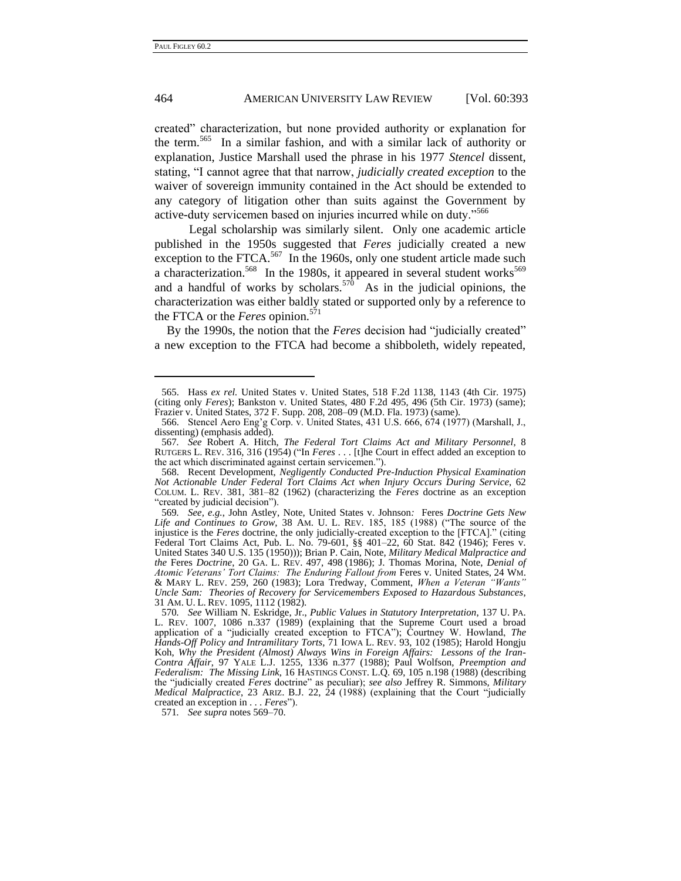-

## 464 AMERICAN UNIVERSITY LAW REVIEW [Vol. 60:393

created" characterization, but none provided authority or explanation for the term.<sup>565</sup> In a similar fashion, and with a similar lack of authority or explanation, Justice Marshall used the phrase in his 1977 *Stencel* dissent, stating, "I cannot agree that that narrow, *judicially created exception* to the waiver of sovereign immunity contained in the Act should be extended to any category of litigation other than suits against the Government by active-duty servicemen based on injuries incurred while on duty."<sup>566</sup>

<span id="page-73-0"></span>Legal scholarship was similarly silent. Only one academic article published in the 1950s suggested that *Feres* judicially created a new exception to the FTCA. $567$  In the 1960s, only one student article made such a characterization.<sup>568</sup> In the 1980s, it appeared in several student works<sup>569</sup> and a handful of works by scholars.<sup>570</sup> As in the judicial opinions, the characterization was either baldly stated or supported only by a reference to the FTCA or the *Feres* opinion.<sup>571</sup>

<span id="page-73-1"></span>By the 1990s, the notion that the *Feres* decision had "judicially created" a new exception to the FTCA had become a shibboleth, widely repeated,

571*. See supra* note[s 569–](#page-73-0)70.

<sup>565.</sup> Hass *ex rel.* United States v. United States, 518 F.2d 1138, 1143 (4th Cir. 1975) (citing only *Feres*); Bankston v. United States, 480 F.2d 495, 496 (5th Cir. 1973) (same); Frazier v. United States, 372 F. Supp. 208, 208–09 (M.D. Fla. 1973) (same).

<sup>566.</sup> Stencel Aero Eng'g Corp. v. United States, 431 U.S. 666, 674 (1977) (Marshall, J., dissenting) (emphasis added).

<sup>567</sup>*. See* Robert A. Hitch, *The Federal Tort Claims Act and Military Personnel*, 8 RUTGERS L. REV. 316, 316 (1954) ("In *Feres* . . . [t]he Court in effect added an exception to the act which discriminated against certain servicemen.").

<sup>568.</sup> Recent Development, *Negligently Conducted Pre-Induction Physical Examination Not Actionable Under Federal Tort Claims Act when Injury Occurs During Service*, 62 COLUM. L. REV. 381, 381–82 (1962) (characterizing the *Feres* doctrine as an exception "created by judicial decision").

<sup>569</sup>*. See, e.g.*, John Astley, Note, United States v. Johnson*:* Feres *Doctrine Gets New Life and Continues to Grow*, 38 AM. U. L. REV. 185, 185 (1988) ("The source of the injustice is the *Feres* doctrine, the only judicially-created exception to the [FTCA]." (citing Federal Tort Claims Act, Pub. L. No. 79-601, §§ 401–22, 60 Stat. 842 (1946); Feres v. United States 340 U.S. 135 (1950))); Brian P. Cain, Note, *Military Medical Malpractice and the* Feres *Doctrine*, 20 GA. L. REV. 497, 498 (1986); J. Thomas Morina, Note, *Denial of*  Atomic Veterans' Tort Claims: The Enduring Fallout from Feres v. United States, 24 WM. & MARY L. REV. 259, 260 (1983); Lora Tredway, Comment, *When a Veteran "Wants" Uncle Sam: Theories of Recovery for Servicemembers Exposed to Hazardous Substances*, 31 AM. U. L. REV. 1095, 1112 (1982).

<sup>570</sup>*. See* William N. Eskridge, Jr., *Public Values in Statutory Interpretation*, 137 U. PA. L. REV. 1007, 1086 n.337 (1989) (explaining that the Supreme Court used a broad application of a "judicially created exception to FTCA"); Courtney W. Howland, *The Hands-Off Policy and Intramilitary Torts*, 71 IOWA L. REV. 93, 102 (1985); Harold Hongju Koh, *Why the President (Almost) Always Wins in Foreign Affairs: Lessons of the Iran-Contra Affair*, 97 YALE L.J. 1255, 1336 n.377 (1988); Paul Wolfson, *Preemption and Federalism: The Missing Link*, 16 HASTINGS CONST. L.Q. 69, 105 n.198 (1988) (describing the "judicially created *Feres* doctrine" as peculiar); see also Jeffrey R. Simmons, Military *Medical Malpractice*, 23 ARIZ. B.J. 22, 24 (1988) (explaining that the Court "judicially created an exception in . . . *Feres*").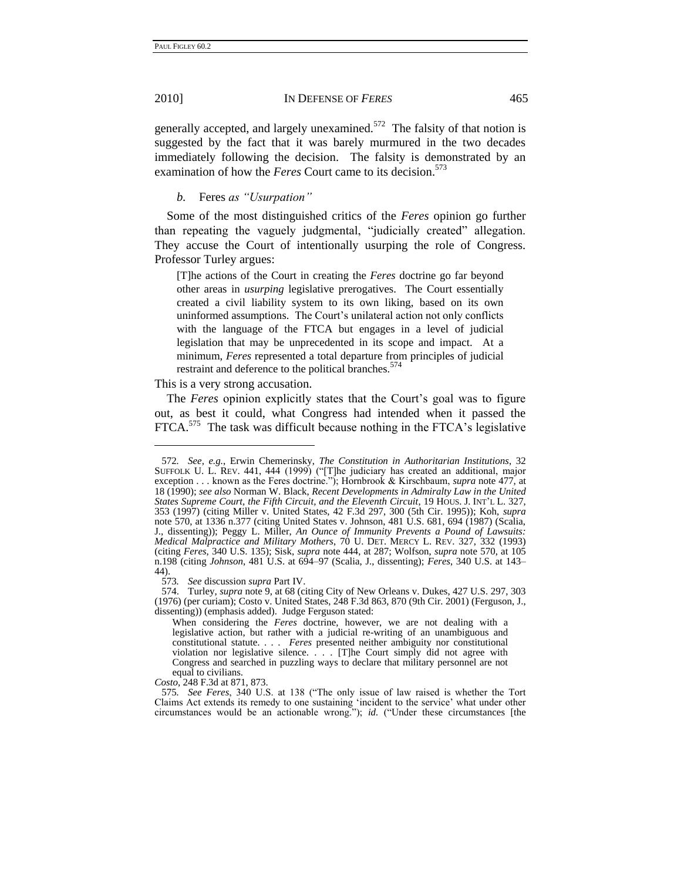## 2010] IN DEFENSE OF *FERES* 465

generally accepted, and largely unexamined.<sup>572</sup> The falsity of that notion is suggested by the fact that it was barely murmured in the two decades immediately following the decision. The falsity is demonstrated by an examination of how the *Feres* Court came to its decision.<sup>573</sup>

## <span id="page-74-0"></span>*b.* Feres *as "Usurpation"*

Some of the most distinguished critics of the *Feres* opinion go further than repeating the vaguely judgmental, "judicially created" allegation. They accuse the Court of intentionally usurping the role of Congress. Professor Turley argues:

[T]he actions of the Court in creating the *Feres* doctrine go far beyond other areas in *usurping* legislative prerogatives. The Court essentially created a civil liability system to its own liking, based on its own uninformed assumptions. The Court's unilateral action not only conflicts with the language of the FTCA but engages in a level of judicial legislation that may be unprecedented in its scope and impact. At a minimum, *Feres* represented a total departure from principles of judicial restraint and deference to the political branches.<sup>574</sup>

## This is a very strong accusation.

-

The *Feres* opinion explicitly states that the Court's goal was to figure out, as best it could, what Congress had intended when it passed the FTCA.<sup>575</sup> The task was difficult because nothing in the FTCA's legislative

*Costo*, 248 F.3d at 871, 873.

<sup>572</sup>*. See, e.g.*, Erwin Chemerinsky, *The Constitution in Authoritarian Institutions*, 32 SUFFOLK U. L. REV. 441, 444 (1999) ("[T]he judiciary has created an additional, major exception . . . known as the Feres doctrine."); Hornbrook & Kirschbaum, *supra* note [477,](#page-60-0) at 18 (1990); *see also* Norman W. Black, *Recent Developments in Admiralty Law in the United States Supreme Court, the Fifth Circuit, and the Eleventh Circuit*, 19 HOUS. J. INT'L L. 327, 353 (1997) (citing Miller v. United States, 42 F.3d 297, 300 (5th Cir. 1995)); Koh, *supra* note [570,](#page-73-1) at 1336 n.377 (citing United States v. Johnson, 481 U.S. 681, 694 (1987) (Scalia, J., dissenting)); Peggy L. Miller, *An Ounce of Immunity Prevents a Pound of Lawsuits: Medical Malpractice and Military Mothers*, 70 U. DET. MERCY L. REV. 327, 332 (1993) (citing *Feres*, 340 U.S. 135); Sisk, *supra* not[e 444,](#page-55-0) at 287; Wolfson, *supra* note [570,](#page-73-1) at 105 n.198 (citing *Johnson*, 481 U.S. at 694–97 (Scalia, J., dissenting); *Feres*, 340 U.S. at 143– 44).<br>573.

<sup>573</sup>*. See* discussion *supra* Part IV.

<sup>574.</sup> Turley, *supra* note [9,](#page-4-0) at 68 (citing City of New Orleans v. Dukes, 427 U.S. 297, 303 (1976) (per curiam); Costo v. United States, 248 F.3d 863, 870 (9th Cir. 2001) (Ferguson, J., dissenting)) (emphasis added). Judge Ferguson stated:

When considering the *Feres* doctrine, however, we are not dealing with a legislative action, but rather with a judicial re-writing of an unambiguous and constitutional statute. . . . *Feres* presented neither ambiguity nor constitutional violation nor legislative silence. . . . [T]he Court simply did not agree with Congress and searched in puzzling ways to declare that military personnel are not equal to civilians.

<sup>575.</sup> See Feres, 340 U.S. at 138 ("The only issue of law raised is whether the Tort Claims Act extends its remedy to one sustaining ‗incident to the service' what under other circumstances would be an actionable wrong.");  $id$ . ("Under these circumstances [the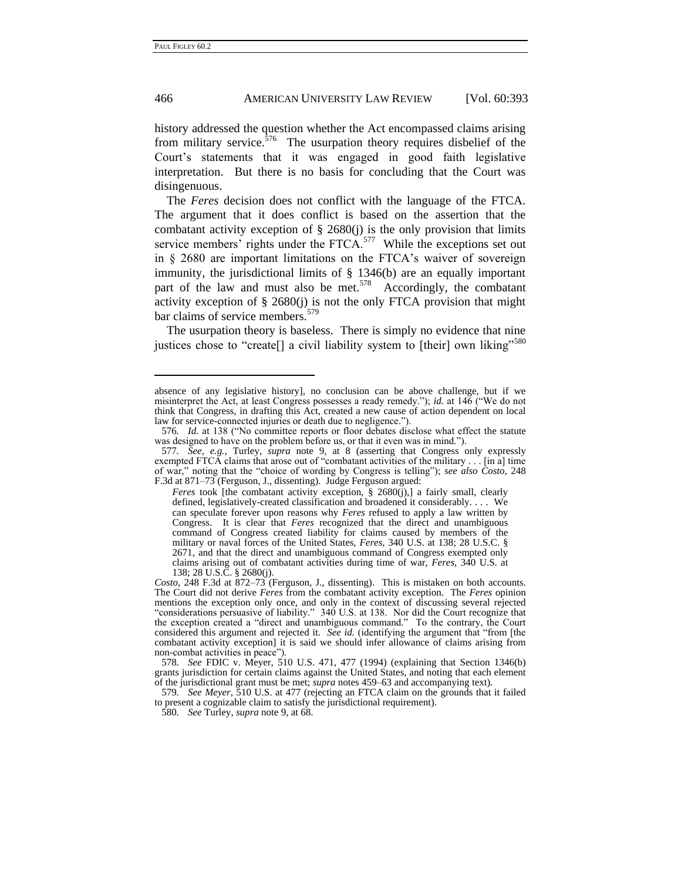<u>.</u>

## 466 AMERICAN UNIVERSITY LAW REVIEW [Vol. 60:393

history addressed the question whether the Act encompassed claims arising from military service. $576$  The usurpation theory requires disbelief of the Court's statements that it was engaged in good faith legislative interpretation. But there is no basis for concluding that the Court was disingenuous.

The *Feres* decision does not conflict with the language of the FTCA. The argument that it does conflict is based on the assertion that the combatant activity exception of  $\S$  2680(j) is the only provision that limits service members' rights under the  $FTCA$ .<sup>577</sup> While the exceptions set out in § 2680 are important limitations on the FTCA's waiver of sovereign immunity, the jurisdictional limits of § 1346(b) are an equally important part of the law and must also be met.<sup>578</sup> Accordingly, the combatant activity exception of  $\S$  2680(j) is not the only FTCA provision that might bar claims of service members.<sup>579</sup>

The usurpation theory is baseless. There is simply no evidence that nine justices chose to "create<sup>[]</sup> a civil liability system to [their] own liking<sup>5580</sup>

*Feres* took [the combatant activity exception, § 2680(j),] a fairly small, clearly defined, legislatively-created classification and broadened it considerably. . . . We can speculate forever upon reasons why *Feres* refused to apply a law written by Congress. It is clear that *Feres* recognized that the direct and unambiguous command of Congress created liability for claims caused by members of the military or naval forces of the United States, *Feres*, 340 U.S. at 138; 28 U.S.C. § 2671, and that the direct and unambiguous command of Congress exempted only claims arising out of combatant activities during time of war, *Feres*, 340 U.S. at 138; 28 U.S.C. § 2680(j).

579*. See Meyer*, 510 U.S. at 477 (rejecting an FTCA claim on the grounds that it failed to present a cognizable claim to satisfy the jurisdictional requirement).

absence of any legislative history], no conclusion can be above challenge, but if we misinterpret the Act, at least Congress possesses a ready remedy."); *id.* at 146 ("We do not think that Congress, in drafting this Act, created a new cause of action dependent on local law for service-connected injuries or death due to negligence.").

<sup>576.</sup> *Id.* at 138 ("No committee reports or floor debates disclose what effect the statute was designed to have on the problem before us, or that it even was in mind.").

<sup>577</sup>*. See, e.g.*, Turley, *supra* note [9,](#page-4-0) at 8 (asserting that Congress only expressly exempted FTCA claims that arose out of "combatant activities of the military  $\dots$ . [in a] time of war,‖ noting that the ―choice of wording by Congress is telling‖); *see also Costo*, 248 F.3d at 871–73 (Ferguson, J., dissenting). Judge Ferguson argued:

*Costo*, 248 F.3d at 872–73 (Ferguson, J., dissenting). This is mistaken on both accounts. The Court did not derive *Feres* from the combatant activity exception. The *Feres* opinion mentions the exception only once, and only in the context of discussing several rejected ―considerations persuasive of liability.‖ 340 U.S. at 138. Nor did the Court recognize that the exception created a "direct and unambiguous command." To the contrary, the Court considered this argument and rejected it. *See id.* (identifying the argument that "from [the combatant activity exception] it is said we should infer allowance of claims arising from non-combat activities in peace").

<sup>578</sup>*. See* FDIC v. Meyer, 510 U.S. 471, 477 (1994) (explaining that Section 1346(b) grants jurisdiction for certain claims against the United States, and noting that each element of the jurisdictional grant must be met; *supra* notes [459–](#page-57-0)63 and accompanying text).

<sup>580</sup>*. See* Turley, *supra* not[e 9,](#page-4-0) at 68.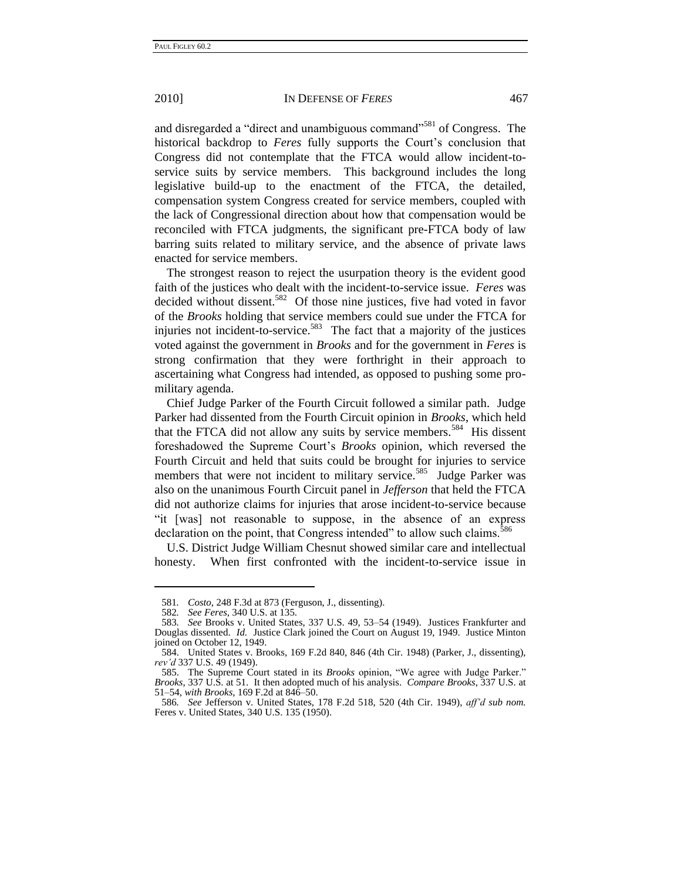#### 2010] IN DEFENSE OF *FERES* 467

and disregarded a "direct and unambiguous command"<sup>581</sup> of Congress. The historical backdrop to *Feres* fully supports the Court's conclusion that Congress did not contemplate that the FTCA would allow incident-toservice suits by service members. This background includes the long legislative build-up to the enactment of the FTCA, the detailed, compensation system Congress created for service members, coupled with the lack of Congressional direction about how that compensation would be reconciled with FTCA judgments, the significant pre-FTCA body of law barring suits related to military service, and the absence of private laws enacted for service members.

The strongest reason to reject the usurpation theory is the evident good faith of the justices who dealt with the incident-to-service issue. *Feres* was decided without dissent.<sup>582</sup> Of those nine justices, five had voted in favor of the *Brooks* holding that service members could sue under the FTCA for injuries not incident-to-service.<sup>583</sup> The fact that a majority of the justices voted against the government in *Brooks* and for the government in *Feres* is strong confirmation that they were forthright in their approach to ascertaining what Congress had intended, as opposed to pushing some promilitary agenda.

Chief Judge Parker of the Fourth Circuit followed a similar path. Judge Parker had dissented from the Fourth Circuit opinion in *Brooks*, which held that the FTCA did not allow any suits by service members.<sup>584</sup> His dissent foreshadowed the Supreme Court's *Brooks* opinion, which reversed the Fourth Circuit and held that suits could be brought for injuries to service members that were not incident to military service.<sup>585</sup> Judge Parker was also on the unanimous Fourth Circuit panel in *Jefferson* that held the FTCA did not authorize claims for injuries that arose incident-to-service because ―it [was] not reasonable to suppose, in the absence of an express declaration on the point, that Congress intended" to allow such claims.<sup>586</sup>

U.S. District Judge William Chesnut showed similar care and intellectual honesty. When first confronted with the incident-to-service issue in

<u>.</u>

<sup>581</sup>*. Costo*, 248 F.3d at 873 (Ferguson, J., dissenting).

<sup>582</sup>*. See Feres*, 340 U.S. at 135.

<sup>583</sup>*. See* Brooks v. United States, 337 U.S. 49, 53–54 (1949). Justices Frankfurter and Douglas dissented. *Id.* Justice Clark joined the Court on August 19, 1949. Justice Minton joined on October 12, 1949.

<sup>584.</sup> United States v. Brooks, 169 F.2d 840, 846 (4th Cir. 1948) (Parker, J., dissenting), *rev'd* 337 U.S. 49 (1949).

<sup>585.</sup> The Supreme Court stated in its *Brooks* opinion, "We agree with Judge Parker." *Brooks*, 337 U.S. at 51. It then adopted much of his analysis. *Compare Brooks*, 337 U.S. at 51–54, *with Brooks*, 169 F.2d at 846–50.

<sup>586</sup>*. See* Jefferson v. United States, 178 F.2d 518, 520 (4th Cir. 1949), *aff'd sub nom.* Feres v. United States, 340 U.S. 135 (1950).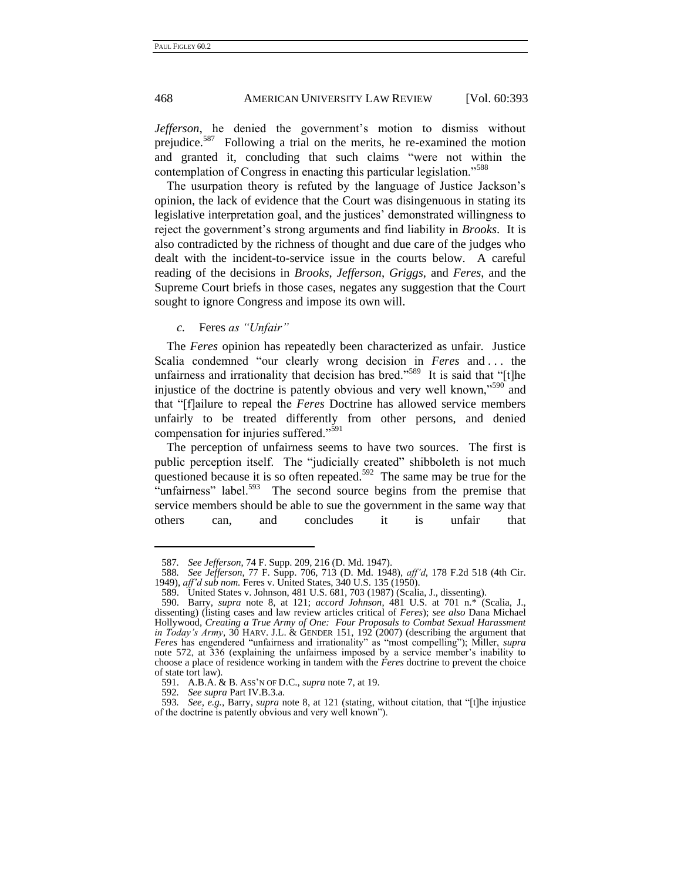## 468 AMERICAN UNIVERSITY LAW REVIEW [Vol. 60:393

*Jefferson*, he denied the government's motion to dismiss without prejudice.<sup>587</sup> Following a trial on the merits, he re-examined the motion and granted it, concluding that such claims "were not within the contemplation of Congress in enacting this particular legislation."<sup>588</sup>

The usurpation theory is refuted by the language of Justice Jackson's opinion, the lack of evidence that the Court was disingenuous in stating its legislative interpretation goal, and the justices' demonstrated willingness to reject the government's strong arguments and find liability in *Brooks*. It is also contradicted by the richness of thought and due care of the judges who dealt with the incident-to-service issue in the courts below. A careful reading of the decisions in *Brooks*, *Jefferson*, *Griggs*, and *Feres*, and the Supreme Court briefs in those cases, negates any suggestion that the Court sought to ignore Congress and impose its own will.

<span id="page-77-0"></span>*c.* Feres *as "Unfair"*

The *Feres* opinion has repeatedly been characterized as unfair. Justice Scalia condemned "our clearly wrong decision in *Feres* and ... the unfairness and irrationality that decision has bred."<sup>589</sup> It is said that "[t]he injustice of the doctrine is patently obvious and very well known,<sup> $590$ </sup> and that "[f]ailure to repeal the *Feres* Doctrine has allowed service members unfairly to be treated differently from other persons, and denied compensation for injuries suffered."<sup>591</sup>

The perception of unfairness seems to have two sources. The first is public perception itself. The "judicially created" shibboleth is not much questioned because it is so often repeated.<sup>592</sup> The same may be true for the "unfairness" label. $593$  The second source begins from the premise that service members should be able to sue the government in the same way that others can, and concludes it is unfair that

<u>.</u>

<sup>587</sup>*. See Jefferson*, 74 F. Supp. 209, 216 (D. Md. 1947).

<sup>588</sup>*. See Jefferson*, 77 F. Supp. 706, 713 (D. Md. 1948), *aff'd*, 178 F.2d 518 (4th Cir. 1949), *aff'd sub nom.* Feres v. United States, 340 U.S. 135 (1950).

<sup>589.</sup> United States v. Johnson, 481 U.S. 681, 703 (1987) (Scalia, J., dissenting).

<sup>590.</sup> Barry, *supra* note [8,](#page-4-1) at 121; *accord Johnson*, 481 U.S. at 701 n.\* (Scalia, J., dissenting) (listing cases and law review articles critical of *Feres*); *see also* Dana Michael Hollywood, *Creating a True Army of One: Four Proposals to Combat Sexual Harassment in Today's Army*, 30 HARV. J.L. & GENDER 151, 192 (2007) (describing the argument that *Feres* has engendered "unfairness and irrationality" as "most compelling"); Miller, *supra* note [572,](#page-74-0) at 336 (explaining the unfairness imposed by a service member's inability to choose a place of residence working in tandem with the *Feres* doctrine to prevent the choice of state tort law).

<sup>591.</sup> A.B.A. & B. ASS'N OF D.C., *supra* note 7, at 19.

<sup>592</sup>*. See supra* Part IV.B.3.a.

<sup>593.</sup> *See, e.g., Barry, supra* note [8,](#page-4-1) at 121 (stating, without citation, that "[t]he injustice of the doctrine is patently obvious and very well known").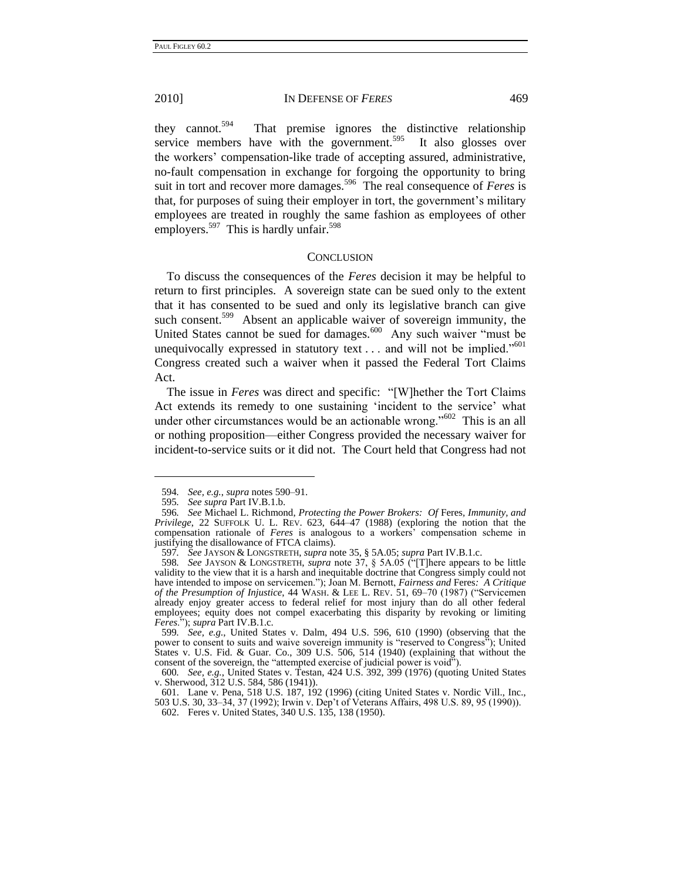#### 2010] IN DEFENSE OF *FERES* 469

they cannot.<sup>594</sup> That premise ignores the distinctive relationship service members have with the government.<sup>595</sup> It also glosses over the workers' compensation-like trade of accepting assured, administrative, no-fault compensation in exchange for forgoing the opportunity to bring suit in tort and recover more damages.<sup>596</sup> The real consequence of *Feres* is that, for purposes of suing their employer in tort, the government's military employees are treated in roughly the same fashion as employees of other employers.<sup>597</sup> This is hardly unfair.<sup>598</sup>

## **CONCLUSION**

<span id="page-78-0"></span>To discuss the consequences of the *Feres* decision it may be helpful to return to first principles. A sovereign state can be sued only to the extent that it has consented to be sued and only its legislative branch can give such consent.<sup>599</sup> Absent an applicable waiver of sovereign immunity, the United States cannot be sued for damages.<sup>600</sup> Any such waiver "must be unequivocally expressed in statutory text  $\dots$  and will not be implied.<sup>5601</sup> Congress created such a waiver when it passed the Federal Tort Claims Act.

The issue in *Feres* was direct and specific: "[W]hether the Tort Claims Act extends its remedy to one sustaining 'incident to the service' what under other circumstances would be an actionable wrong."<sup>602</sup> This is an all or nothing proposition—either Congress provided the necessary waiver for incident-to-service suits or it did not. The Court held that Congress had not

<u>.</u>

<sup>594</sup>*. See, e.g.*, *supra* note[s 590–](#page-77-0)91.

<sup>595</sup>*. See supra* Part IV.B.1.b.

<sup>596</sup>*. See* Michael L. Richmond, *Protecting the Power Brokers: Of* Feres*, Immunity, and Privilege*, 22 SUFFOLK U. L. REV. 623, 644–47 (1988) (exploring the notion that the compensation rationale of *Feres* is analogous to a workers' compensation scheme in justifying the disallowance of FTCA claims).

<sup>597</sup>*. See* JAYSON & LONGSTRETH, *supra* note [35,](#page-9-0) § 5A.05; *supra* Part IV.B.1.c.

<sup>598.</sup> *See* JAYSON & LONGSTRETH, *supra* note 37, § 5A.05 ("There appears to be little validity to the view that it is a harsh and inequitable doctrine that Congress simply could not have intended to impose on servicemen."); Joan M. Bernott, *Fairness and* Feres: A Critique *of the Presumption of Injustice*, 44 WASH. & LEE L. REV. 51, 69-70 (1987) ("Servicemen already enjoy greater access to federal relief for most injury than do all other federal employees; equity does not compel exacerbating this disparity by revoking or limiting *Feres*.‖); *supra* Part IV.B.1.c.

<sup>599</sup>*. See, e.g.*, United States v. Dalm, 494 U.S. 596, 610 (1990) (observing that the power to consent to suits and waive sovereign immunity is "reserved to Congress"); United States v. U.S. Fid. & Guar. Co., 309 U.S. 506, 514 (1940) (explaining that without the consent of the sovereign, the "attempted exercise of judicial power is void").

<sup>600</sup>*. See, e.g.*, United States v. Testan, 424 U.S. 392, 399 (1976) (quoting United States v. Sherwood, 312 U.S. 584, 586 (1941)).

<sup>601.</sup> Lane v. Pena, 518 U.S. 187, 192 (1996) (citing United States v. Nordic Vill., Inc., 503 U.S. 30, 33–34, 37 (1992); Irwin v. Dep't of Veterans Affairs, 498 U.S. 89, 95 (1990)). 602. Feres v. United States, 340 U.S. 135, 138 (1950).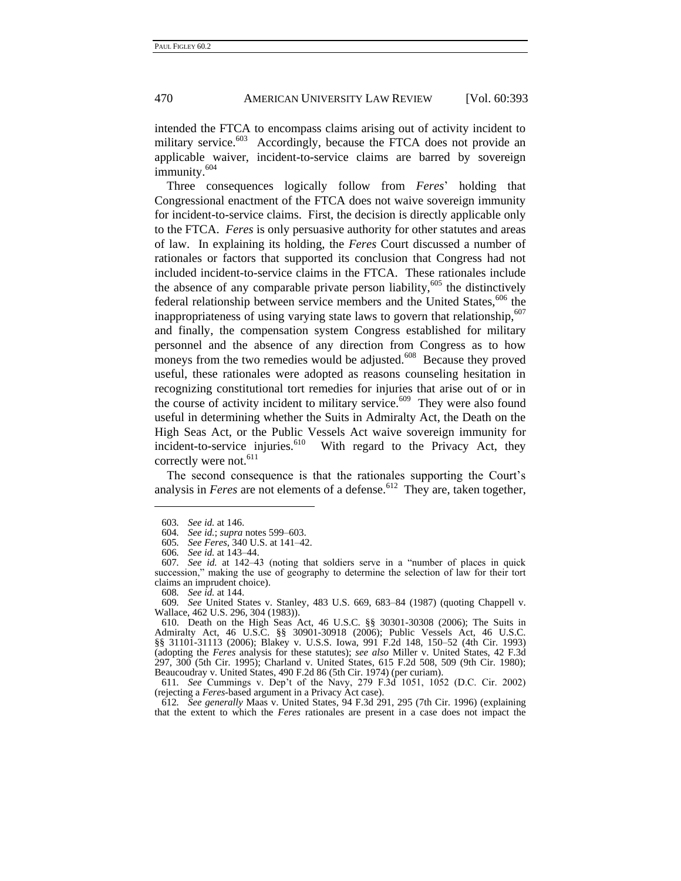# 470 AMERICAN UNIVERSITY LAW REVIEW [Vol. 60:393

<span id="page-79-0"></span>intended the FTCA to encompass claims arising out of activity incident to military service.<sup>603</sup> Accordingly, because the FTCA does not provide an applicable waiver, incident-to-service claims are barred by sovereign immunity.<sup>604</sup>

Three consequences logically follow from *Feres*' holding that Congressional enactment of the FTCA does not waive sovereign immunity for incident-to-service claims. First, the decision is directly applicable only to the FTCA. *Feres* is only persuasive authority for other statutes and areas of law. In explaining its holding, the *Feres* Court discussed a number of rationales or factors that supported its conclusion that Congress had not included incident-to-service claims in the FTCA. These rationales include the absence of any comparable private person liability,<sup>605</sup> the distinctively federal relationship between service members and the United States,  $606$  the inappropriateness of using varying state laws to govern that relationship, $607$ and finally, the compensation system Congress established for military personnel and the absence of any direction from Congress as to how moneys from the two remedies would be adjusted.<sup>608</sup> Because they proved useful, these rationales were adopted as reasons counseling hesitation in recognizing constitutional tort remedies for injuries that arise out of or in the course of activity incident to military service.<sup>609</sup> They were also found useful in determining whether the Suits in Admiralty Act, the Death on the High Seas Act, or the Public Vessels Act waive sovereign immunity for incident-to-service injuries. $610$  With regard to the Privacy Act, they correctly were not.<sup>611</sup>

The second consequence is that the rationales supporting the Court's analysis in *Feres* are not elements of a defense.<sup>612</sup> They are, taken together,

<u>.</u>

609*. See* United States v. Stanley, 483 U.S. 669, 683–84 (1987) (quoting Chappell v. Wallace, 462 U.S. 296, 304 (1983)).

611*. See* Cummings v. Dep't of the Navy, 279 F.3d 1051, 1052 (D.C. Cir. 2002) (rejecting a *Feres*-based argument in a Privacy Act case).

612*. See generally* Maas v. United States, 94 F.3d 291, 295 (7th Cir. 1996) (explaining that the extent to which the *Feres* rationales are present in a case does not impact the

<sup>603</sup>*. See id.* at 146.

<sup>604</sup>*. See id.*; *supra* note[s 599](#page-78-0)[–603.](#page-79-0)

<sup>605</sup>*. See Feres*, 340 U.S. at 141–42.

<sup>606</sup>*. See id.* at 143–44.

<sup>607.</sup> See id. at 142–43 (noting that soldiers serve in a "number of places in quick succession," making the use of geography to determine the selection of law for their tort claims an imprudent choice).

<sup>608</sup>*. See id.* at 144.

<sup>610.</sup> Death on the High Seas Act, 46 U.S.C. §§ 30301-30308 (2006); The Suits in Admiralty Act, 46 U.S.C. §§ 30901-30918 (2006); Public Vessels Act, 46 U.S.C. §§ 31101-31113 (2006); Blakey v. U.S.S. Iowa, 991 F.2d 148, 150–52 (4th Cir. 1993) (adopting the *Feres* analysis for these statutes); *see also* Miller v. United States, 42 F.3d 297, 300 (5th Cir. 1995); Charland v. United States, 615 F.2d 508, 509 (9th Cir. 1980); Beaucoudray v. United States, 490 F.2d 86 (5th Cir. 1974) (per curiam).